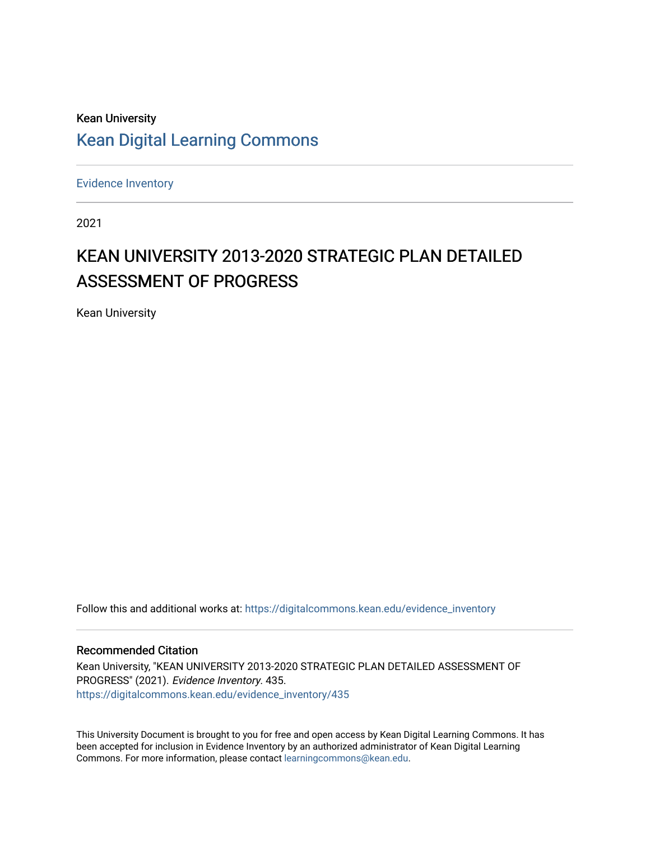# Kean University [Kean Digital Learning Commons](https://digitalcommons.kean.edu/)

[Evidence Inventory](https://digitalcommons.kean.edu/evidence_inventory) 

2021

# KEAN UNIVERSITY 2013-2020 STRATEGIC PLAN DETAILED ASSESSMENT OF PROGRESS

Kean University

Follow this and additional works at: [https://digitalcommons.kean.edu/evidence\\_inventory](https://digitalcommons.kean.edu/evidence_inventory?utm_source=digitalcommons.kean.edu%2Fevidence_inventory%2F435&utm_medium=PDF&utm_campaign=PDFCoverPages)

#### Recommended Citation

Kean University, "KEAN UNIVERSITY 2013-2020 STRATEGIC PLAN DETAILED ASSESSMENT OF PROGRESS" (2021). Evidence Inventory. 435. [https://digitalcommons.kean.edu/evidence\\_inventory/435](https://digitalcommons.kean.edu/evidence_inventory/435?utm_source=digitalcommons.kean.edu%2Fevidence_inventory%2F435&utm_medium=PDF&utm_campaign=PDFCoverPages)

This University Document is brought to you for free and open access by Kean Digital Learning Commons. It has been accepted for inclusion in Evidence Inventory by an authorized administrator of Kean Digital Learning Commons. For more information, please contact [learningcommons@kean.edu.](mailto:learningcommons@kean.edu)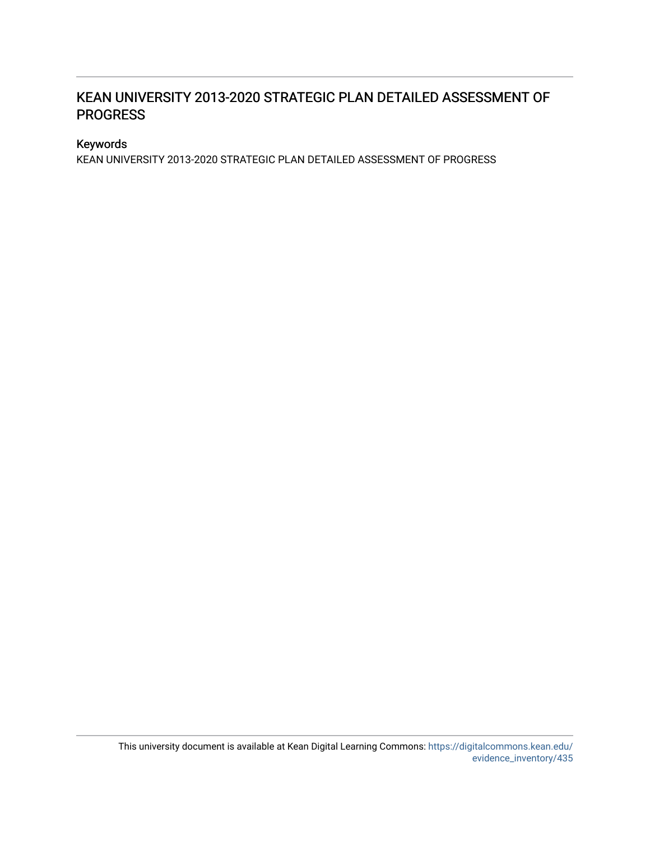## KEAN UNIVERSITY 2013-2020 STRATEGIC PLAN DETAILED ASSESSMENT OF **PROGRESS**

### Keywords

KEAN UNIVERSITY 2013-2020 STRATEGIC PLAN DETAILED ASSESSMENT OF PROGRESS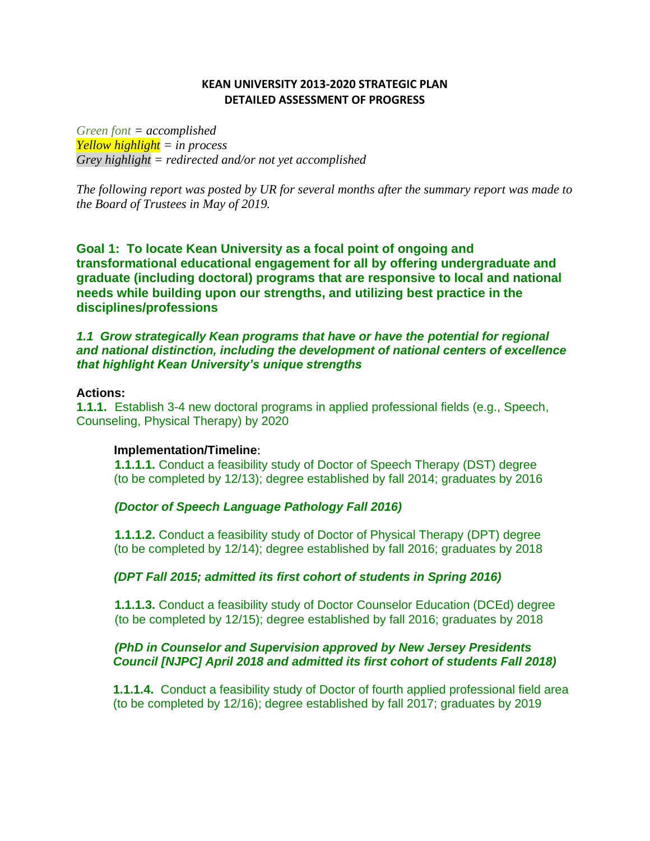### **KEAN UNIVERSITY 2013-2020 STRATEGIC PLAN DETAILED ASSESSMENT OF PROGRESS**

*Green font = accomplished Yellow highlight = in process Grey highlight = redirected and/or not yet accomplished*

*The following report was posted by UR for several months after the summary report was made to the Board of Trustees in May of 2019.*

**Goal 1: To locate Kean University as a focal point of ongoing and transformational educational engagement for all by offering undergraduate and graduate (including doctoral) programs that are responsive to local and national needs while building upon our strengths, and utilizing best practice in the disciplines/professions**

1.1 Grow strategically Kean programs that have or have the potential for regional *and national distinction, including the development of national centers of excellence that highlight Kean University's unique strengths*

#### **Actions:**

**1.1.1.** Establish 3-4 new doctoral programs in applied professional fields (e.g., Speech, Counseling, Physical Therapy) by 2020

#### **Implementation/Timeline**:

**1.1.1.1.** Conduct a feasibility study of Doctor of Speech Therapy (DST) degree (to be completed by 12/13); degree established by fall 2014; graduates by 2016

### *(Doctor of Speech Language Pathology Fall 2016)*

**1.1.1.2.** Conduct a feasibility study of Doctor of Physical Therapy (DPT) degree (to be completed by 12/14); degree established by fall 2016; graduates by 2018

### *(DPT Fall 2015; admitted its first cohort of students in Spring 2016)*

**1.1.1.3.** Conduct a feasibility study of Doctor Counselor Education (DCEd) degree (to be completed by 12/15); degree established by fall 2016; graduates by 2018

### *(PhD in Counselor and Supervision approved by New Jersey Presidents Council [NJPC] April 2018 and admitted its first cohort of students Fall 2018)*

**1.1.1.4.** Conduct a feasibility study of Doctor of fourth applied professional field area (to be completed by 12/16); degree established by fall 2017; graduates by 2019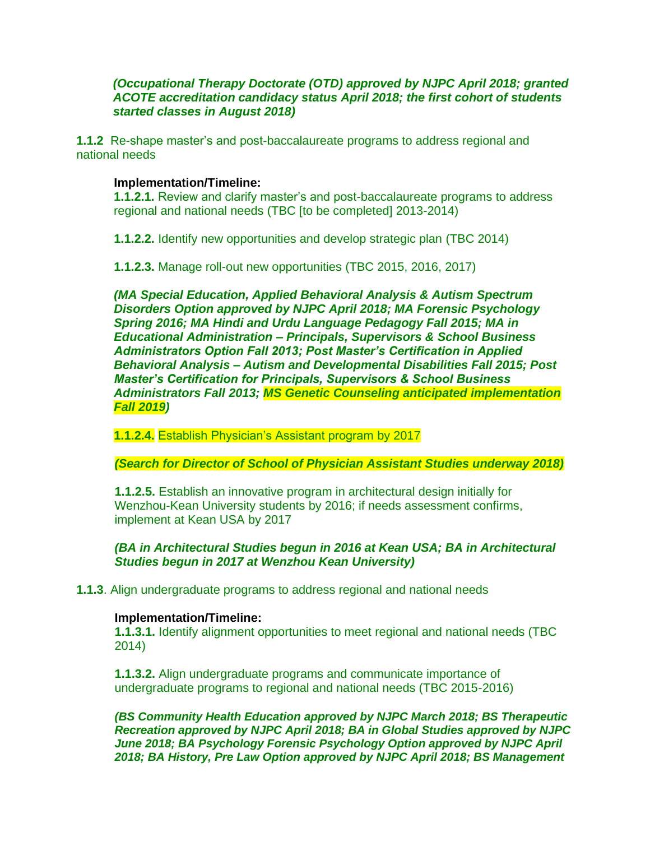### *(Occupational Therapy Doctorate (OTD) approved by NJPC April 2018; granted ACOTE accreditation candidacy status April 2018; the first cohort of students started classes in August 2018)*

**1.1.2** Re-shape master's and post-baccalaureate programs to address regional and national needs

#### **Implementation/Timeline:**

**1.1.2.1.** Review and clarify master's and post-baccalaureate programs to address regional and national needs (TBC [to be completed] 2013-2014)

**1.1.2.2.** Identify new opportunities and develop strategic plan (TBC 2014)

**1.1.2.3.** Manage roll-out new opportunities (TBC 2015, 2016, 2017)

*(MA Special Education, Applied Behavioral Analysis & Autism Spectrum Disorders Option approved by NJPC April 2018; MA Forensic Psychology Spring 2016; MA Hindi and Urdu Language Pedagogy Fall 2015; MA in Educational Administration – Principals, Supervisors & School Business Administrators Option Fall 2013; Post Master's Certification in Applied Behavioral Analysis – Autism and Developmental Disabilities Fall 2015; Post Master's Certification for Principals, Supervisors & School Business Administrators Fall 2013; MS Genetic Counseling anticipated implementation Fall 2019)*

**1.1.2.4.** Establish Physician's Assistant program by 2017

*(Search for Director of School of Physician Assistant Studies underway 2018)*

**1.1.2.5.** Establish an innovative program in architectural design initially for Wenzhou-Kean University students by 2016; if needs assessment confirms, implement at Kean USA by 2017

*(BA in Architectural Studies begun in 2016 at Kean USA; BA in Architectural Studies begun in 2017 at Wenzhou Kean University)*

#### **1.1.3**. Align undergraduate programs to address regional and national needs

#### **Implementation/Timeline:**

**1.1.3.1.** Identify alignment opportunities to meet regional and national needs (TBC 2014)

**1.1.3.2.** Align undergraduate programs and communicate importance of undergraduate programs to regional and national needs (TBC 2015-2016)

*(BS Community Health Education approved by NJPC March 2018; BS Therapeutic Recreation approved by NJPC April 2018; BA in Global Studies approved by NJPC June 2018; BA Psychology Forensic Psychology Option approved by NJPC April 2018; BA History, Pre Law Option approved by NJPC April 2018; BS Management*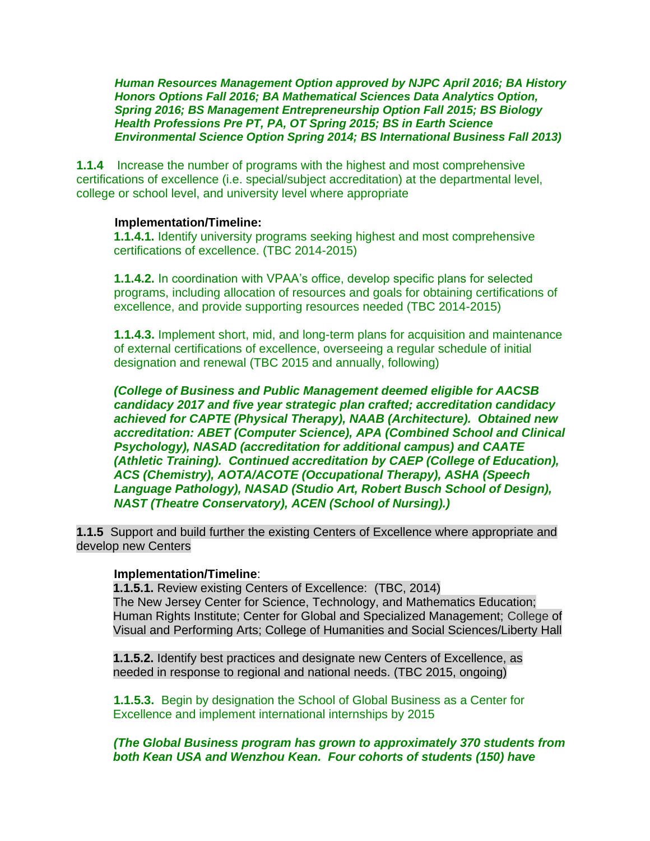*Human Resources Management Option approved by NJPC April 2016; BA History Honors Options Fall 2016; BA Mathematical Sciences Data Analytics Option, Spring 2016; BS Management Entrepreneurship Option Fall 2015; BS Biology Health Professions Pre PT, PA, OT Spring 2015; BS in Earth Science Environmental Science Option Spring 2014; BS International Business Fall 2013)*

**1.1.4** Increase the number of programs with the highest and most comprehensive certifications of excellence (i.e. special/subject accreditation) at the departmental level, college or school level, and university level where appropriate

#### **Implementation/Timeline:**

 **1.1.4.1.** Identify university programs seeking highest and most comprehensive certifications of excellence. (TBC 2014-2015)

**1.1.4.2.** In coordination with VPAA's office, develop specific plans for selected programs, including allocation of resources and goals for obtaining certifications of excellence, and provide supporting resources needed (TBC 2014-2015)

**1.1.4.3.** Implement short, mid, and long-term plans for acquisition and maintenance of external certifications of excellence, overseeing a regular schedule of initial designation and renewal (TBC 2015 and annually, following)

*(College of Business and Public Management deemed eligible for AACSB candidacy 2017 and five year strategic plan crafted; accreditation candidacy achieved for CAPTE (Physical Therapy), NAAB (Architecture). Obtained new accreditation: ABET (Computer Science), APA (Combined School and Clinical Psychology), NASAD (accreditation for additional campus) and CAATE (Athletic Training). Continued accreditation by CAEP (College of Education), ACS (Chemistry), AOTA/ACOTE (Occupational Therapy), ASHA (Speech Language Pathology), NASAD (Studio Art, Robert Busch School of Design), NAST (Theatre Conservatory), ACEN (School of Nursing).)*

**1.1.5** Support and build further the existing Centers of Excellence where appropriate and develop new Centers

### **Implementation/Timeline**:

**1.1.5.1.** Review existing Centers of Excellence: (TBC, 2014) The New Jersey Center for Science, Technology, and Mathematics Education; Human Rights Institute; Center for Global and Specialized Management; College of Visual and Performing Arts; College of Humanities and Social Sciences/Liberty Hall

**1.1.5.2.** Identify best practices and designate new Centers of Excellence, as needed in response to regional and national needs. (TBC 2015, ongoing)

**1.1.5.3.** Begin by designation the School of Global Business as a Center for Excellence and implement international internships by 2015

*(The Global Business program has grown to approximately 370 students from both Kean USA and Wenzhou Kean. Four cohorts of students (150) have*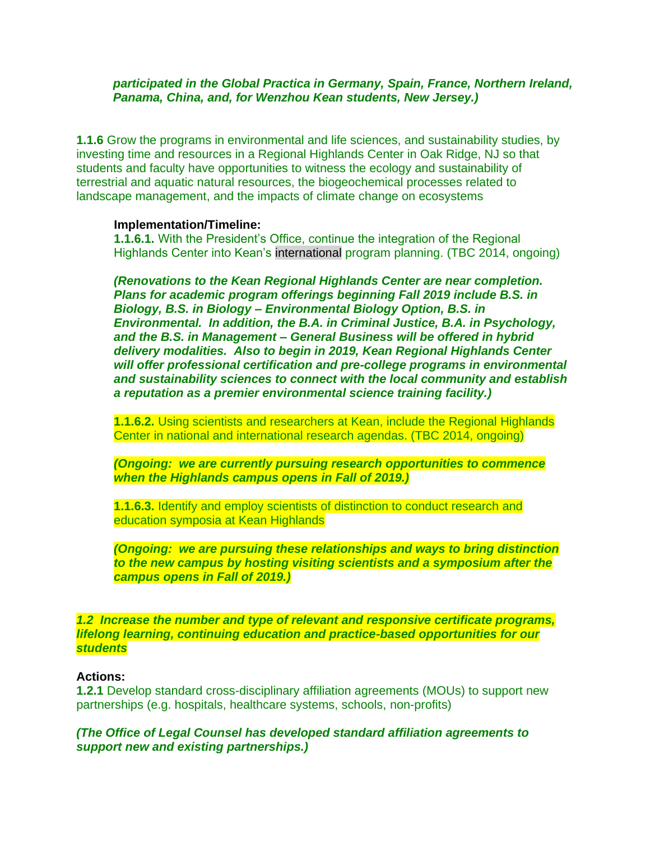#### *participated in the Global Practica in Germany, Spain, France, Northern Ireland, Panama, China, and, for Wenzhou Kean students, New Jersey.)*

**1.1.6** Grow the programs in environmental and life sciences, and sustainability studies, by investing time and resources in a Regional Highlands Center in Oak Ridge, NJ so that students and faculty have opportunities to witness the ecology and sustainability of terrestrial and aquatic natural resources, the biogeochemical processes related to landscape management, and the impacts of climate change on ecosystems

#### **Implementation/Timeline:**

**1.1.6.1.** With the President's Office, continue the integration of the Regional Highlands Center into Kean's international program planning. (TBC 2014, ongoing)

*(Renovations to the Kean Regional Highlands Center are near completion. Plans for academic program offerings beginning Fall 2019 include B.S. in Biology, B.S. in Biology – Environmental Biology Option, B.S. in Environmental. In addition, the B.A. in Criminal Justice, B.A. in Psychology, and the B.S. in Management – General Business will be offered in hybrid delivery modalities. Also to begin in 2019, Kean Regional Highlands Center will offer professional certification and pre-college programs in environmental and sustainability sciences to connect with the local community and establish a reputation as a premier environmental science training facility.)*

**1.1.6.2.** Using scientists and researchers at Kean, include the Regional Highlands Center in national and international research agendas. (TBC 2014, ongoing)

*(Ongoing: we are currently pursuing research opportunities to commence when the Highlands campus opens in Fall of 2019.)* 

**1.1.6.3.** Identify and employ scientists of distinction to conduct research and education symposia at Kean Highlands

*(Ongoing: we are pursuing these relationships and ways to bring distinction to the new campus by hosting visiting scientists and a symposium after the campus opens in Fall of 2019.)* 

*1.2 Increase the number and type of relevant and responsive certificate programs, lifelong learning, continuing education and practice-based opportunities for our students*

#### **Actions:**

**1.2.1** Develop standard cross-disciplinary affiliation agreements (MOUs) to support new partnerships (e.g. hospitals, healthcare systems, schools, non-profits)

*(The Office of Legal Counsel has developed standard affiliation agreements to support new and existing partnerships.)*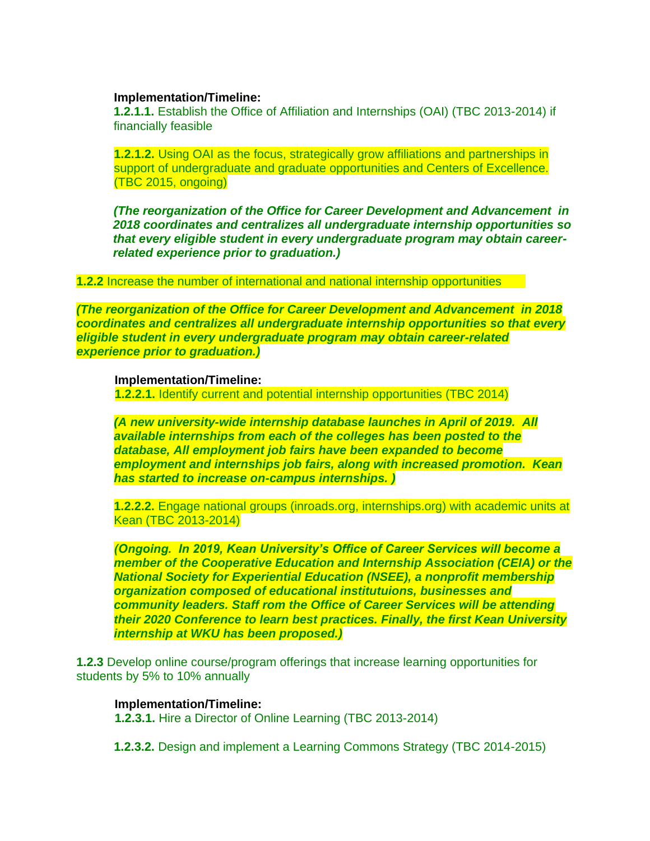#### **Implementation/Timeline:**

**1.2.1.1.** Establish the Office of Affiliation and Internships (OAI) (TBC 2013-2014) if financially feasible

**1.2.1.2.** Using OAI as the focus, strategically grow affiliations and partnerships in support of undergraduate and graduate opportunities and Centers of Excellence. (TBC 2015, ongoing)

*(The reorganization of the Office for Career Development and Advancement in 2018 coordinates and centralizes all undergraduate internship opportunities so that every eligible student in every undergraduate program may obtain careerrelated experience prior to graduation.)* 

**1.2.2** Increase the number of international and national internship opportunities

*(The reorganization of the Office for Career Development and Advancement in 2018 coordinates and centralizes all undergraduate internship opportunities so that every eligible student in every undergraduate program may obtain career-related experience prior to graduation.)*

#### **Implementation/Timeline:**

**1.2.2.1.** Identify current and potential internship opportunities (TBC 2014)

*(A new university-wide internship database launches in April of 2019. All available internships from each of the colleges has been posted to the database, All employment job fairs have been expanded to become employment and internships job fairs, along with increased promotion. Kean has started to increase on-campus internships. )*

**1.2.2.2.** Engage national groups (inroads.org, internships.org) with academic units at Kean (TBC 2013-2014)

*(Ongoing. In 2019, Kean University's Office of Career Services will become a member of the Cooperative Education and Internship Association (CEIA) or the National Society for Experiential Education (NSEE), a nonprofit membership organization composed of educational institutuions, businesses and community leaders. Staff rom the Office of Career Services will be attending their 2020 Conference to learn best practices. Finally, the first Kean University internship at WKU has been proposed.)* 

**1.2.3** Develop online course/program offerings that increase learning opportunities for students by 5% to 10% annually

#### **Implementation/Timeline:**

**1.2.3.1.** Hire a Director of Online Learning (TBC 2013-2014)

**1.2.3.2.** Design and implement a Learning Commons Strategy (TBC 2014-2015)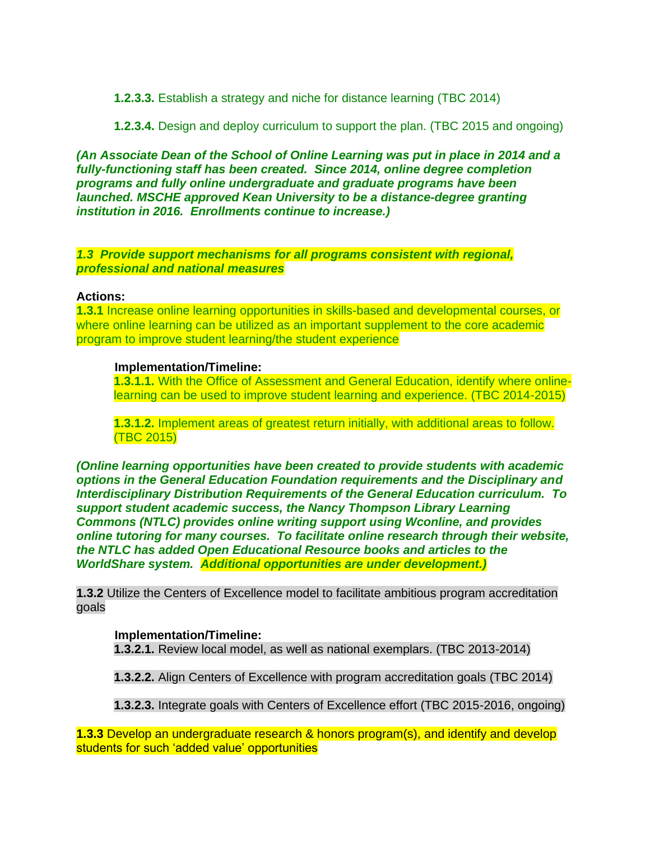**1.2.3.3.** Establish a strategy and niche for distance learning (TBC 2014)

**1.2.3.4.** Design and deploy curriculum to support the plan. (TBC 2015 and ongoing)

*(An Associate Dean of the School of Online Learning was put in place in 2014 and a fully-functioning staff has been created. Since 2014, online degree completion programs and fully online undergraduate and graduate programs have been launched. MSCHE approved Kean University to be a distance-degree granting institution in 2016. Enrollments continue to increase.)*

*1.3 Provide support mechanisms for all programs consistent with regional, professional and national measures*

#### **Actions:**

**1.3.1** Increase online learning opportunities in skills-based and developmental courses, or where online learning can be utilized as an important supplement to the core academic program to improve student learning/the student experience

### **Implementation/Timeline:**

**1.3.1.1.** With the Office of Assessment and General Education, identify where onlinelearning can be used to improve student learning and experience. (TBC 2014-2015)

**1.3.1.2.** Implement areas of greatest return initially, with additional areas to follow. (TBC 2015)

*(Online learning opportunities have been created to provide students with academic options in the General Education Foundation requirements and the Disciplinary and Interdisciplinary Distribution Requirements of the General Education curriculum. To support student academic success, the Nancy Thompson Library Learning Commons (NTLC) provides online writing support using Wconline, and provides online tutoring for many courses. To facilitate online research through their website, the NTLC has added Open Educational Resource books and articles to the WorldShare system. Additional opportunities are under development.)*

**1.3.2** Utilize the Centers of Excellence model to facilitate ambitious program accreditation goals

### **Implementation/Timeline:**

**1.3.2.1.** Review local model, as well as national exemplars. (TBC 2013-2014)

**1.3.2.2.** Align Centers of Excellence with program accreditation goals (TBC 2014)

**1.3.2.3.** Integrate goals with Centers of Excellence effort (TBC 2015-2016, ongoing)

**1.3.3** Develop an undergraduate research & honors program(s), and identify and develop students for such 'added value' opportunities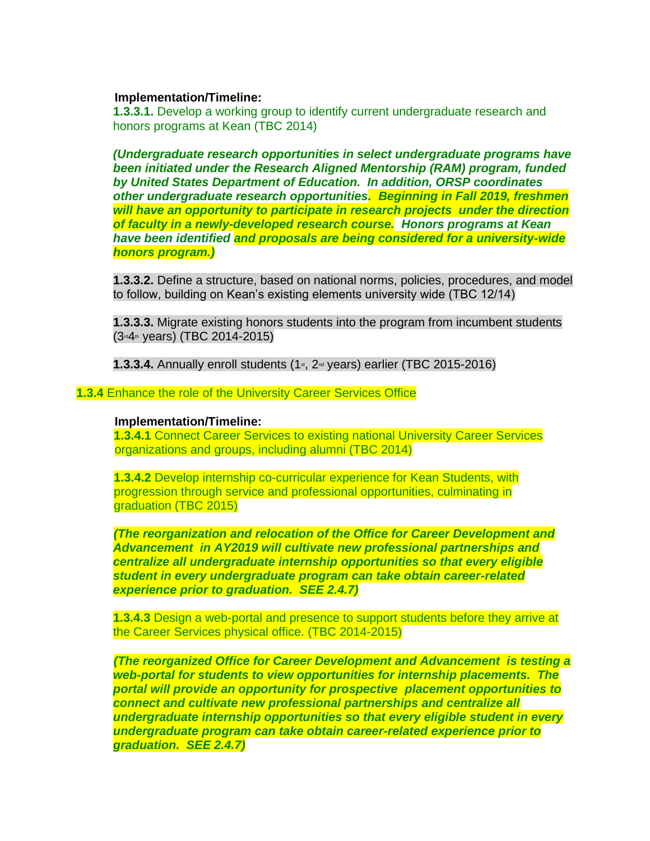#### **Implementation/Timeline:**

**1.3.3.1.** Develop a working group to identify current undergraduate research and honors programs at Kean (TBC 2014)

*(Undergraduate research opportunities in select undergraduate programs have been initiated under the Research Aligned Mentorship (RAM) program, funded by United States Department of Education. In addition, ORSP coordinates other undergraduate research opportunities. Beginning in Fall 2019, freshmen will have an opportunity to participate in research projects under the direction of faculty in a newly-developed research course. Honors programs at Kean have been identified and proposals are being considered for a university-wide honors program.)*

**1.3.3.2.** Define a structure, based on national norms, policies, procedures, and model to follow, building on Kean's existing elements university wide (TBC 12/14)

**1.3.3.3.** Migrate existing honors students into the program from incumbent students (3rd4th years) (TBC 2014-2015)

**1.3.3.4.** Annually enroll students (1<sup>st</sup>, 2<sup>nd</sup> years) earlier (TBC 2015-2016)

**1.3.4** Enhance the role of the University Career Services Office

#### **Implementation/Timeline:**

 **1.3.4.1** Connect Career Services to existing national University Career Services organizations and groups, including alumni (TBC 2014)

**1.3.4.2** Develop internship co-curricular experience for Kean Students, with progression through service and professional opportunities, culminating in graduation (TBC 2015)

*(The reorganization and relocation of the Office for Career Development and Advancement in AY2019 will cultivate new professional partnerships and centralize all undergraduate internship opportunities so that every eligible student in every undergraduate program can take obtain career-related experience prior to graduation. SEE 2.4.7)*

**1.3.4.3** Design a web-portal and presence to support students before they arrive at the Career Services physical office. (TBC 2014-2015)

*(The reorganized Office for Career Development and Advancement is testing a web-portal for students to view opportunities for internship placements. The portal will provide an opportunity for prospective placement opportunities to connect and cultivate new professional partnerships and centralize all undergraduate internship opportunities so that every eligible student in every undergraduate program can take obtain career-related experience prior to graduation. SEE 2.4.7)*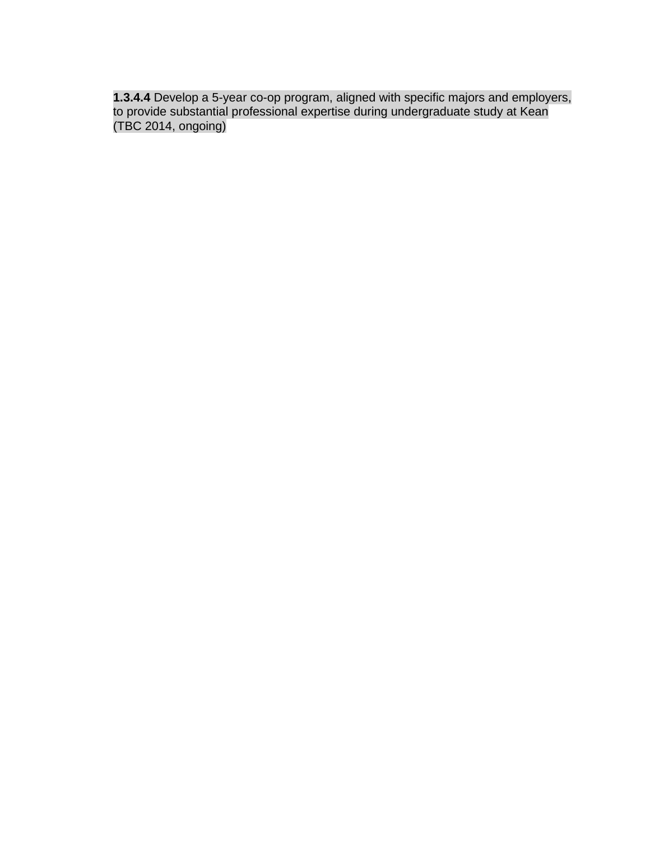**1.3.4.4** Develop a 5-year co-op program, aligned with specific majors and employers, to provide substantial professional expertise during undergraduate study at Kean (TBC 2014, ongoing)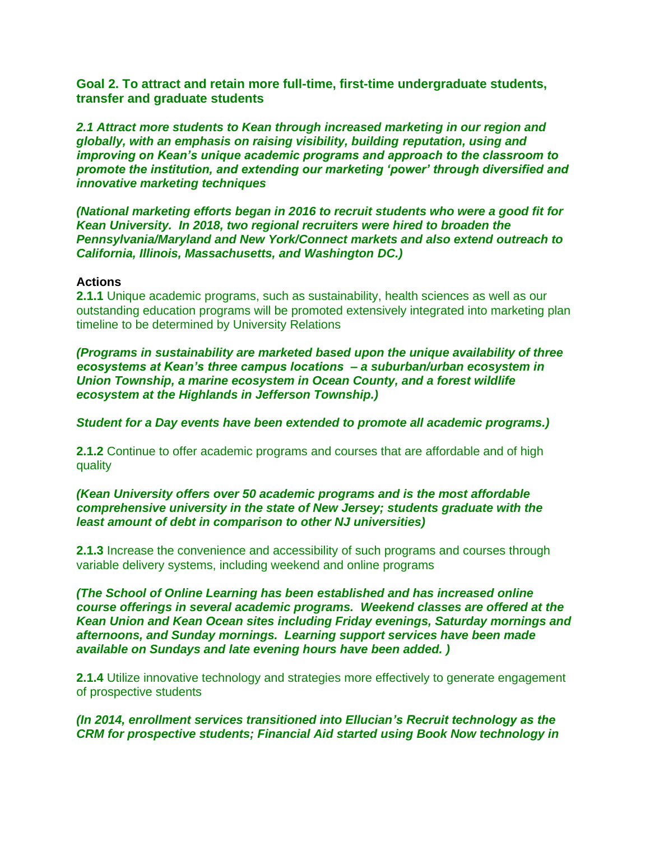**Goal 2. To attract and retain more full-time, first-time undergraduate students, transfer and graduate students**

*2.1 Attract more students to Kean through increased marketing in our region and globally, with an emphasis on raising visibility, building reputation, using and improving on Kean's unique academic programs and approach to the classroom to promote the institution, and extending our marketing 'power' through diversified and innovative marketing techniques*

*(National marketing efforts began in 2016 to recruit students who were a good fit for Kean University. In 2018, two regional recruiters were hired to broaden the Pennsylvania/Maryland and New York/Connect markets and also extend outreach to California, Illinois, Massachusetts, and Washington DC.)*

#### **Actions**

**2.1.1** Unique academic programs, such as sustainability, health sciences as well as our outstanding education programs will be promoted extensively integrated into marketing plan timeline to be determined by University Relations

*(Programs in sustainability are marketed based upon the unique availability of three ecosystems at Kean's three campus locations – a suburban/urban ecosystem in Union Township, a marine ecosystem in Ocean County, and a forest wildlife ecosystem at the Highlands in Jefferson Township.)*

*Student for a Day events have been extended to promote all academic programs.)*

**2.1.2** Continue to offer academic programs and courses that are affordable and of high quality

#### *(Kean University offers over 50 academic programs and is the most affordable comprehensive university in the state of New Jersey; students graduate with the least amount of debt in comparison to other NJ universities)*

**2.1.3** Increase the convenience and accessibility of such programs and courses through variable delivery systems, including weekend and online programs

*(The School of Online Learning has been established and has increased online course offerings in several academic programs. Weekend classes are offered at the Kean Union and Kean Ocean sites including Friday evenings, Saturday mornings and afternoons, and Sunday mornings. Learning support services have been made available on Sundays and late evening hours have been added. )*

**2.1.4** Utilize innovative technology and strategies more effectively to generate engagement of prospective students

*(In 2014, enrollment services transitioned into Ellucian's Recruit technology as the CRM for prospective students; Financial Aid started using Book Now technology in*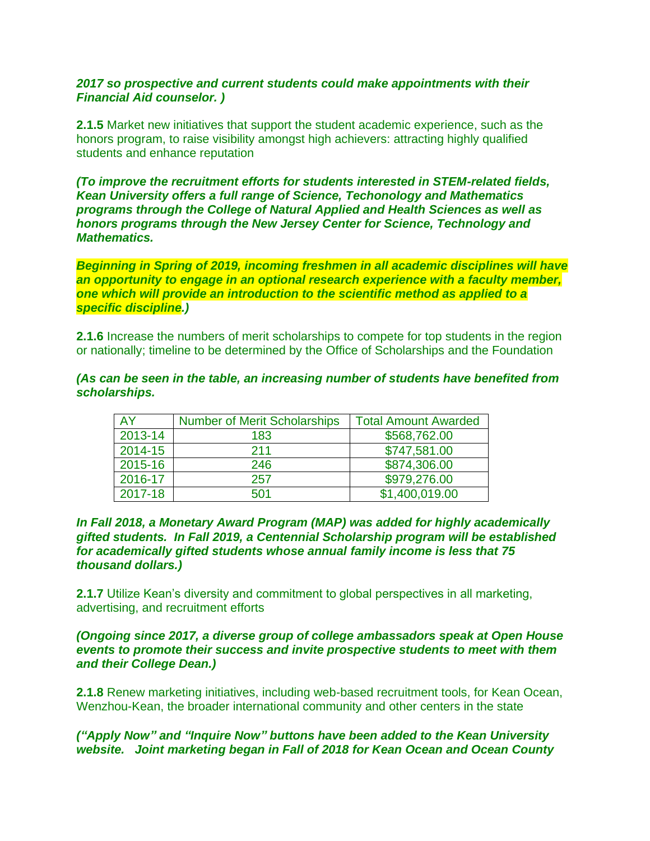### *2017 so prospective and current students could make appointments with their Financial Aid counselor. )*

**2.1.5** Market new initiatives that support the student academic experience, such as the honors program, to raise visibility amongst high achievers: attracting highly qualified students and enhance reputation

*(To improve the recruitment efforts for students interested in STEM-related fields, Kean University offers a full range of Science, Techonology and Mathematics programs through the College of Natural Applied and Health Sciences as well as honors programs through the New Jersey Center for Science, Technology and Mathematics.*

*Beginning in Spring of 2019, incoming freshmen in all academic disciplines will have an opportunity to engage in an optional research experience with a faculty member, one which will provide an introduction to the scientific method as applied to a specific discipline.)* 

**2.1.6** Increase the numbers of merit scholarships to compete for top students in the region or nationally; timeline to be determined by the Office of Scholarships and the Foundation

#### *(As can be seen in the table, an increasing number of students have benefited from scholarships.*

| AY      | <b>Number of Merit Scholarships</b> | <b>Total Amount Awarded</b> |
|---------|-------------------------------------|-----------------------------|
| 2013-14 | 183                                 | \$568,762.00                |
| 2014-15 | 211                                 | \$747,581.00                |
| 2015-16 | 246                                 | \$874,306.00                |
| 2016-17 | 257                                 | \$979,276.00                |
| 2017-18 | 501                                 | \$1,400,019.00              |

#### *In Fall 2018, a Monetary Award Program (MAP) was added for highly academically gifted students. In Fall 2019, a Centennial Scholarship program will be established for academically gifted students whose annual family income is less that 75 thousand dollars.)*

**2.1.7** Utilize Kean's diversity and commitment to global perspectives in all marketing, advertising, and recruitment efforts

#### *(Ongoing since 2017, a diverse group of college ambassadors speak at Open House events to promote their success and invite prospective students to meet with them and their College Dean.)*

**2.1.8** Renew marketing initiatives, including web-based recruitment tools, for Kean Ocean, Wenzhou-Kean, the broader international community and other centers in the state

### *("Apply Now" and "Inquire Now" buttons have been added to the Kean University website. Joint marketing began in Fall of 2018 for Kean Ocean and Ocean County*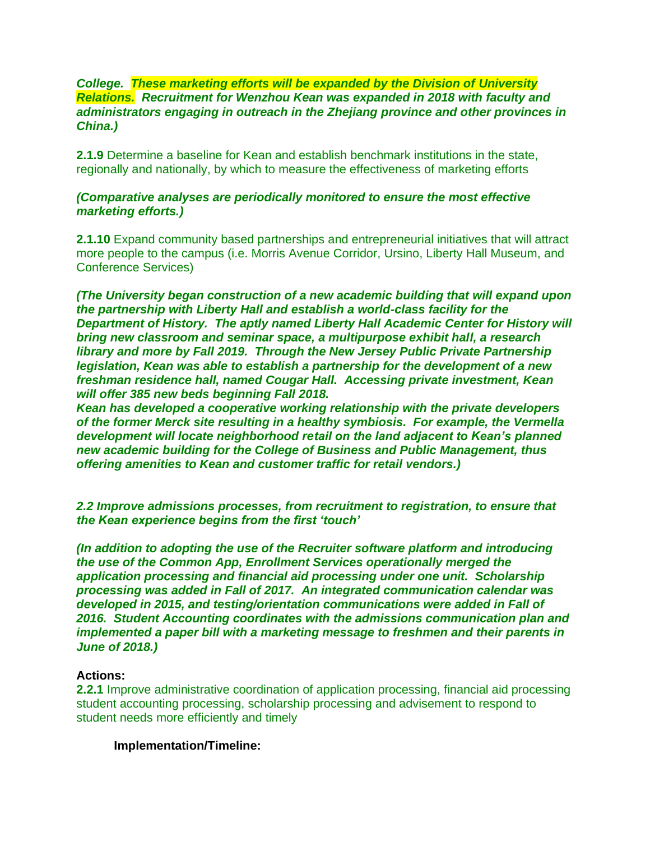### *College. These marketing efforts will be expanded by the Division of University Relations. Recruitment for Wenzhou Kean was expanded in 2018 with faculty and administrators engaging in outreach in the Zhejiang province and other provinces in China.)*

**2.1.9** Determine a baseline for Kean and establish benchmark institutions in the state, regionally and nationally, by which to measure the effectiveness of marketing efforts

### *(Comparative analyses are periodically monitored to ensure the most effective marketing efforts.)*

**2.1.10** Expand community based partnerships and entrepreneurial initiatives that will attract more people to the campus (i.e. Morris Avenue Corridor, Ursino, Liberty Hall Museum, and Conference Services)

*(The University began construction of a new academic building that will expand upon the partnership with Liberty Hall and establish a world-class facility for the Department of History. The aptly named Liberty Hall Academic Center for History will bring new classroom and seminar space, a multipurpose exhibit hall, a research library and more by Fall 2019. Through the New Jersey Public Private Partnership legislation, Kean was able to establish a partnership for the development of a new freshman residence hall, named Cougar Hall. Accessing private investment, Kean will offer 385 new beds beginning Fall 2018.* 

*Kean has developed a cooperative working relationship with the private developers of the former Merck site resulting in a healthy symbiosis. For example, the Vermella development will locate neighborhood retail on the land adjacent to Kean's planned new academic building for the College of Business and Public Management, thus offering amenities to Kean and customer traffic for retail vendors.)*

*2.2 Improve admissions processes, from recruitment to registration, to ensure that the Kean experience begins from the first 'touch'* 

*(In addition to adopting the use of the Recruiter software platform and introducing the use of the Common App, Enrollment Services operationally merged the application processing and financial aid processing under one unit. Scholarship processing was added in Fall of 2017. An integrated communication calendar was developed in 2015, and testing/orientation communications were added in Fall of 2016. Student Accounting coordinates with the admissions communication plan and implemented a paper bill with a marketing message to freshmen and their parents in June of 2018.)*

### **Actions:**

**2.2.1** Improve administrative coordination of application processing, financial aid processing student accounting processing, scholarship processing and advisement to respond to student needs more efficiently and timely

#### **Implementation/Timeline:**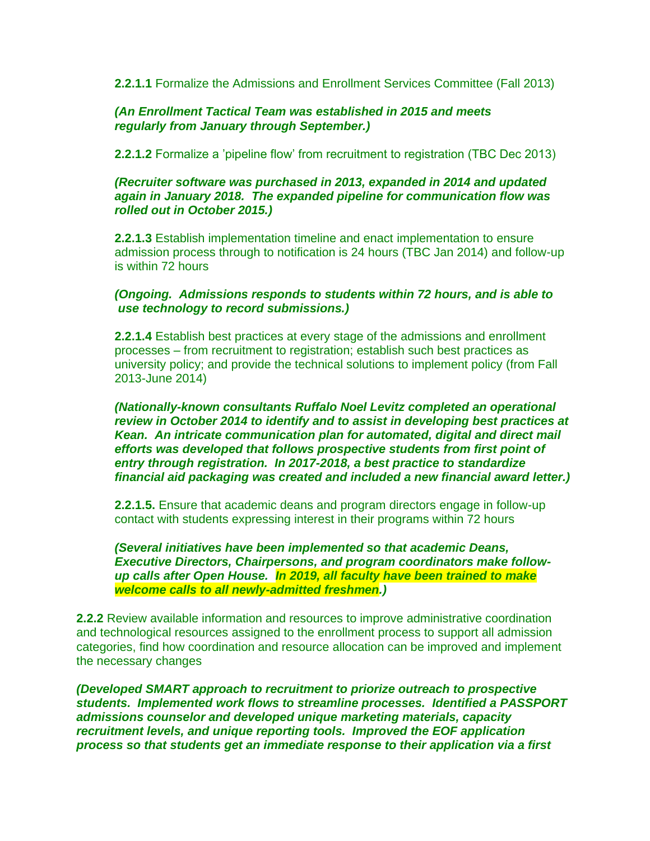**2.2.1.1** Formalize the Admissions and Enrollment Services Committee (Fall 2013)

### *(An Enrollment Tactical Team was established in 2015 and meets regularly from January through September.)*

**2.2.1.2** Formalize a 'pipeline flow' from recruitment to registration (TBC Dec 2013)

#### *(Recruiter software was purchased in 2013, expanded in 2014 and updated again in January 2018. The expanded pipeline for communication flow was rolled out in October 2015.)*

**2.2.1.3** Establish implementation timeline and enact implementation to ensure admission process through to notification is 24 hours (TBC Jan 2014) and follow-up is within 72 hours

### *(Ongoing. Admissions responds to students within 72 hours, and is able to use technology to record submissions.)*

**2.2.1.4** Establish best practices at every stage of the admissions and enrollment processes – from recruitment to registration; establish such best practices as university policy; and provide the technical solutions to implement policy (from Fall 2013-June 2014)

*(Nationally-known consultants Ruffalo Noel Levitz completed an operational review in October 2014 to identify and to assist in developing best practices at Kean. An intricate communication plan for automated, digital and direct mail efforts was developed that follows prospective students from first point of entry through registration. In 2017-2018, a best practice to standardize financial aid packaging was created and included a new financial award letter.)*

**2.2.1.5.** Ensure that academic deans and program directors engage in follow-up contact with students expressing interest in their programs within 72 hours

*(Several initiatives have been implemented so that academic Deans, Executive Directors, Chairpersons, and program coordinators make followup calls after Open House. In 2019, all faculty have been trained to make welcome calls to all newly-admitted freshmen.)*

**2.2.2** Review available information and resources to improve administrative coordination and technological resources assigned to the enrollment process to support all admission categories, find how coordination and resource allocation can be improved and implement the necessary changes

*(Developed SMART approach to recruitment to priorize outreach to prospective students. Implemented work flows to streamline processes. Identified a PASSPORT admissions counselor and developed unique marketing materials, capacity recruitment levels, and unique reporting tools. Improved the EOF application process so that students get an immediate response to their application via a first*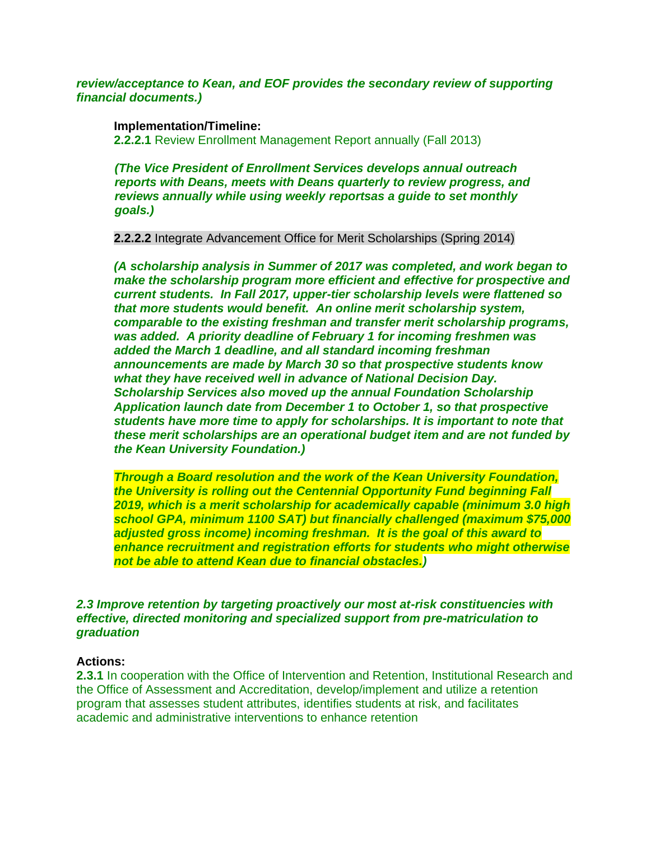#### *review/acceptance to Kean, and EOF provides the secondary review of supporting financial documents.)*

#### **Implementation/Timeline:**

**2.2.2.1** Review Enrollment Management Report annually (Fall 2013)

*(The Vice President of Enrollment Services develops annual outreach reports with Deans, meets with Deans quarterly to review progress, and reviews annually while using weekly reportsas a guide to set monthly goals.)*

**2.2.2.2** Integrate Advancement Office for Merit Scholarships (Spring 2014)

*(A scholarship analysis in Summer of 2017 was completed, and work began to make the scholarship program more efficient and effective for prospective and current students. In Fall 2017, upper-tier scholarship levels were flattened so that more students would benefit. An online merit scholarship system, comparable to the existing freshman and transfer merit scholarship programs, was added. A priority deadline of February 1 for incoming freshmen was added the March 1 deadline, and all standard incoming freshman announcements are made by March 30 so that prospective students know what they have received well in advance of National Decision Day. Scholarship Services also moved up the annual Foundation Scholarship Application launch date from December 1 to October 1, so that prospective students have more time to apply for scholarships. It is important to note that these merit scholarships are an operational budget item and are not funded by the Kean University Foundation.)*

*Through a Board resolution and the work of the Kean University Foundation, the University is rolling out the Centennial Opportunity Fund beginning Fall 2019, which is a merit scholarship for academically capable (minimum 3.0 high school GPA, minimum 1100 SAT) but financially challenged (maximum \$75,000 adjusted gross income) incoming freshman. It is the goal of this award to enhance recruitment and registration efforts for students who might otherwise not be able to attend Kean due to financial obstacles.)* 

#### *2.3 Improve retention by targeting proactively our most at-risk constituencies with effective, directed monitoring and specialized support from pre-matriculation to graduation*

#### **Actions:**

**2.3.1** In cooperation with the Office of Intervention and Retention, Institutional Research and the Office of Assessment and Accreditation, develop/implement and utilize a retention program that assesses student attributes, identifies students at risk, and facilitates academic and administrative interventions to enhance retention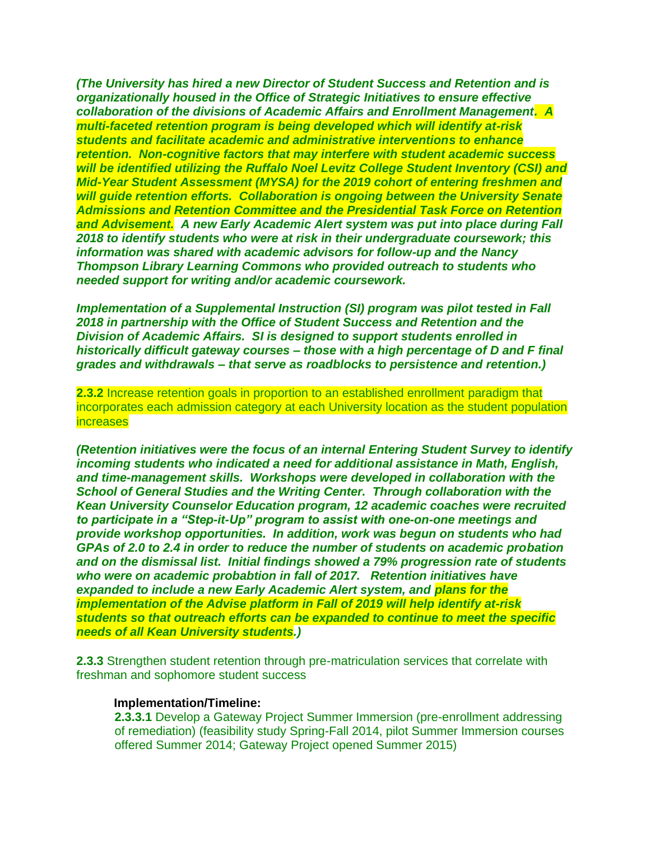*(The University has hired a new Director of Student Success and Retention and is organizationally housed in the Office of Strategic Initiatives to ensure effective collaboration of the divisions of Academic Affairs and Enrollment Management. A multi-faceted retention program is being developed which will identify at-risk students and facilitate academic and administrative interventions to enhance retention. Non-cognitive factors that may interfere with student academic success will be identified utilizing the Ruffalo Noel Levitz College Student Inventory (CSI) and Mid-Year Student Assessment (MYSA) for the 2019 cohort of entering freshmen and will guide retention efforts. Collaboration is ongoing between the University Senate Admissions and Retention Committee and the Presidential Task Force on Retention and Advisement. A new Early Academic Alert system was put into place during Fall 2018 to identify students who were at risk in their undergraduate coursework; this information was shared with academic advisors for follow-up and the Nancy Thompson Library Learning Commons who provided outreach to students who needed support for writing and/or academic coursework.* 

*Implementation of a Supplemental Instruction (SI) program was pilot tested in Fall 2018 in partnership with the Office of Student Success and Retention and the Division of Academic Affairs. SI is designed to support students enrolled in historically difficult gateway courses – those with a high percentage of D and F final grades and withdrawals – that serve as roadblocks to persistence and retention.)*

**2.3.2** Increase retention goals in proportion to an established enrollment paradigm that incorporates each admission category at each University location as the student population **increases** 

*(Retention initiatives were the focus of an internal Entering Student Survey to identify incoming students who indicated a need for additional assistance in Math, English, and time-management skills. Workshops were developed in collaboration with the School of General Studies and the Writing Center. Through collaboration with the Kean University Counselor Education program, 12 academic coaches were recruited to participate in a "Step-it-Up" program to assist with one-on-one meetings and provide workshop opportunities. In addition, work was begun on students who had GPAs of 2.0 to 2.4 in order to reduce the number of students on academic probation and on the dismissal list. Initial findings showed a 79% progression rate of students who were on academic probabtion in fall of 2017. Retention initiatives have expanded to include a new Early Academic Alert system, and plans for the implementation of the Advise platform in Fall of 2019 will help identify at-risk students so that outreach efforts can be expanded to continue to meet the specific needs of all Kean University students.)*

**2.3.3** Strengthen student retention through pre-matriculation services that correlate with freshman and sophomore student success

#### **Implementation/Timeline:**

**2.3.3.1** Develop a Gateway Project Summer Immersion (pre-enrollment addressing of remediation) (feasibility study Spring-Fall 2014, pilot Summer Immersion courses offered Summer 2014; Gateway Project opened Summer 2015)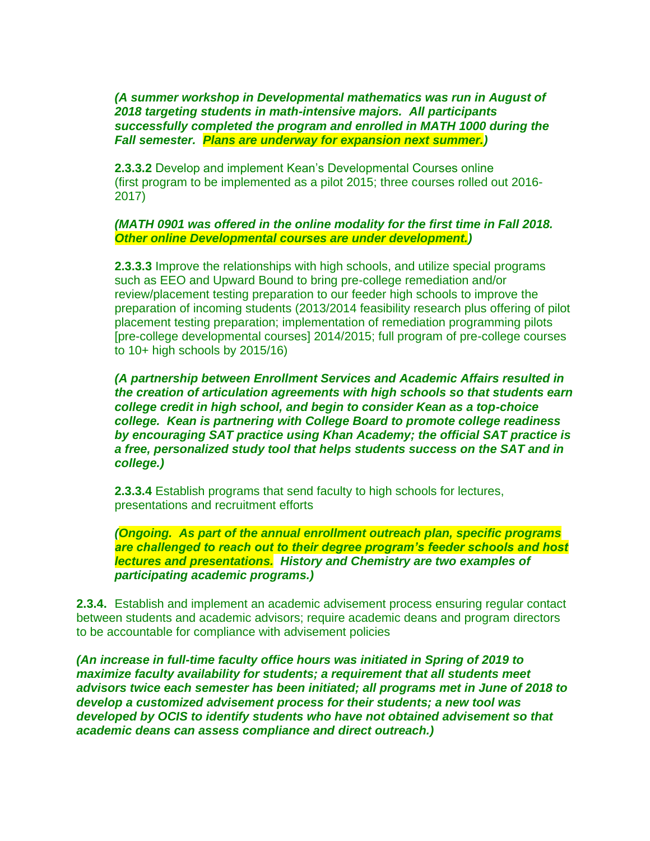*(A summer workshop in Developmental mathematics was run in August of 2018 targeting students in math-intensive majors. All participants successfully completed the program and enrolled in MATH 1000 during the Fall semester. Plans are underway for expansion next summer.)*

**2.3.3.2** Develop and implement Kean's Developmental Courses online (first program to be implemented as a pilot 2015; three courses rolled out 2016- 2017)

#### *(MATH 0901 was offered in the online modality for the first time in Fall 2018. Other online Developmental courses are under development.)*

**2.3.3.3** Improve the relationships with high schools, and utilize special programs such as EEO and Upward Bound to bring pre-college remediation and/or review/placement testing preparation to our feeder high schools to improve the preparation of incoming students (2013/2014 feasibility research plus offering of pilot placement testing preparation; implementation of remediation programming pilots [pre-college developmental courses] 2014/2015; full program of pre-college courses to 10+ high schools by 2015/16)

*(A partnership between Enrollment Services and Academic Affairs resulted in the creation of articulation agreements with high schools so that students earn college credit in high school, and begin to consider Kean as a top-choice college. Kean is partnering with College Board to promote college readiness by encouraging SAT practice using Khan Academy; the official SAT practice is a free, personalized study tool that helps students success on the SAT and in college.)* 

**2.3.3.4** Establish programs that send faculty to high schools for lectures, presentations and recruitment efforts

*(Ongoing. As part of the annual enrollment outreach plan, specific programs are challenged to reach out to their degree program's feeder schools and host lectures and presentations. History and Chemistry are two examples of participating academic programs.)*

**2.3.4.** Establish and implement an academic advisement process ensuring regular contact between students and academic advisors; require academic deans and program directors to be accountable for compliance with advisement policies

*(An increase in full-time faculty office hours was initiated in Spring of 2019 to maximize faculty availability for students; a requirement that all students meet advisors twice each semester has been initiated; all programs met in June of 2018 to develop a customized advisement process for their students; a new tool was developed by OCIS to identify students who have not obtained advisement so that academic deans can assess compliance and direct outreach.)*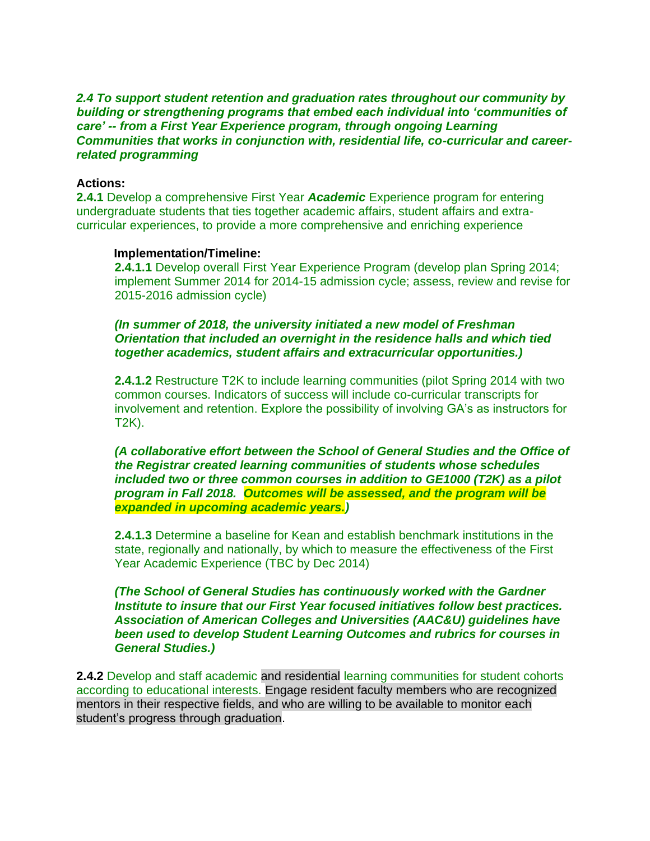### *2.4 To support student retention and graduation rates throughout our community by building or strengthening programs that embed each individual into 'communities of care' -- from a First Year Experience program, through ongoing Learning Communities that works in conjunction with, residential life, co-curricular and careerrelated programming*

### **Actions:**

**2.4.1** Develop a comprehensive First Year *Academic* Experience program for entering undergraduate students that ties together academic affairs, student affairs and extracurricular experiences, to provide a more comprehensive and enriching experience

#### **Implementation/Timeline:**

**2.4.1.1** Develop overall First Year Experience Program (develop plan Spring 2014; implement Summer 2014 for 2014-15 admission cycle; assess, review and revise for 2015-2016 admission cycle)

*(In summer of 2018, the university initiated a new model of Freshman Orientation that included an overnight in the residence halls and which tied together academics, student affairs and extracurricular opportunities.)*

**2.4.1.2** Restructure T2K to include learning communities (pilot Spring 2014 with two common courses. Indicators of success will include co-curricular transcripts for involvement and retention. Explore the possibility of involving GA's as instructors for T2K).

*(A collaborative effort between the School of General Studies and the Office of the Registrar created learning communities of students whose schedules included two or three common courses in addition to GE1000 (T2K) as a pilot program in Fall 2018. Outcomes will be assessed, and the program will be expanded in upcoming academic years.)*

**2.4.1.3** Determine a baseline for Kean and establish benchmark institutions in the state, regionally and nationally, by which to measure the effectiveness of the First Year Academic Experience (TBC by Dec 2014)

*(The School of General Studies has continuously worked with the Gardner Institute to insure that our First Year focused initiatives follow best practices. Association of American Colleges and Universities (AAC&U) guidelines have been used to develop Student Learning Outcomes and rubrics for courses in General Studies.)*

**2.4.2** Develop and staff academic and residential learning communities for student cohorts according to educational interests. Engage resident faculty members who are recognized mentors in their respective fields, and who are willing to be available to monitor each student's progress through graduation.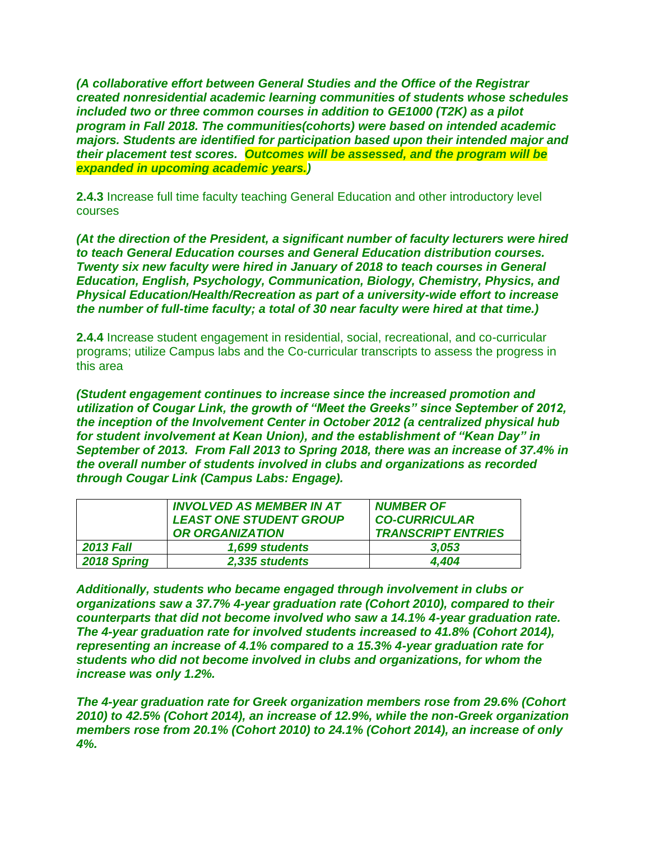*(A collaborative effort between General Studies and the Office of the Registrar created nonresidential academic learning communities of students whose schedules included two or three common courses in addition to GE1000 (T2K) as a pilot program in Fall 2018. The communities(cohorts) were based on intended academic majors. Students are identified for participation based upon their intended major and their placement test scores. Outcomes will be assessed, and the program will be expanded in upcoming academic years.)*

**2.4.3** Increase full time faculty teaching General Education and other introductory level courses

*(At the direction of the President, a significant number of faculty lecturers were hired to teach General Education courses and General Education distribution courses. Twenty six new faculty were hired in January of 2018 to teach courses in General Education, English, Psychology, Communication, Biology, Chemistry, Physics, and Physical Education/Health/Recreation as part of a university-wide effort to increase the number of full-time faculty; a total of 30 near faculty were hired at that time.)*

**2.4.4** Increase student engagement in residential, social, recreational, and co-curricular programs; utilize Campus labs and the Co-curricular transcripts to assess the progress in this area

*(Student engagement continues to increase since the increased promotion and utilization of Cougar Link, the growth of "Meet the Greeks" since September of 2012, the inception of the Involvement Center in October 2012 (a centralized physical hub for student involvement at Kean Union), and the establishment of "Kean Day" in September of 2013. From Fall 2013 to Spring 2018, there was an increase of 37.4% in the overall number of students involved in clubs and organizations as recorded through Cougar Link (Campus Labs: Engage).* 

|                  | INVOLVED AS MEMBER IN AT       | <b>NUMBER OF</b>          |  |  |
|------------------|--------------------------------|---------------------------|--|--|
|                  | <b>LEAST ONE STUDENT GROUP</b> | <b>CO-CURRICULAR</b>      |  |  |
|                  | <b>OR ORGANIZATION</b>         | <b>TRANSCRIPT ENTRIES</b> |  |  |
| <b>2013 Fall</b> | 1,699 students                 | 3.053                     |  |  |
| 2018 Spring      | 2,335 students                 | 4.404                     |  |  |

*Additionally, students who became engaged through involvement in clubs or organizations saw a 37.7% 4-year graduation rate (Cohort 2010), compared to their counterparts that did not become involved who saw a 14.1% 4-year graduation rate. The 4-year graduation rate for involved students increased to 41.8% (Cohort 2014), representing an increase of 4.1% compared to a 15.3% 4-year graduation rate for students who did not become involved in clubs and organizations, for whom the increase was only 1.2%.* 

*The 4-year graduation rate for Greek organization members rose from 29.6% (Cohort 2010) to 42.5% (Cohort 2014), an increase of 12.9%, while the non-Greek organization members rose from 20.1% (Cohort 2010) to 24.1% (Cohort 2014), an increase of only 4%.*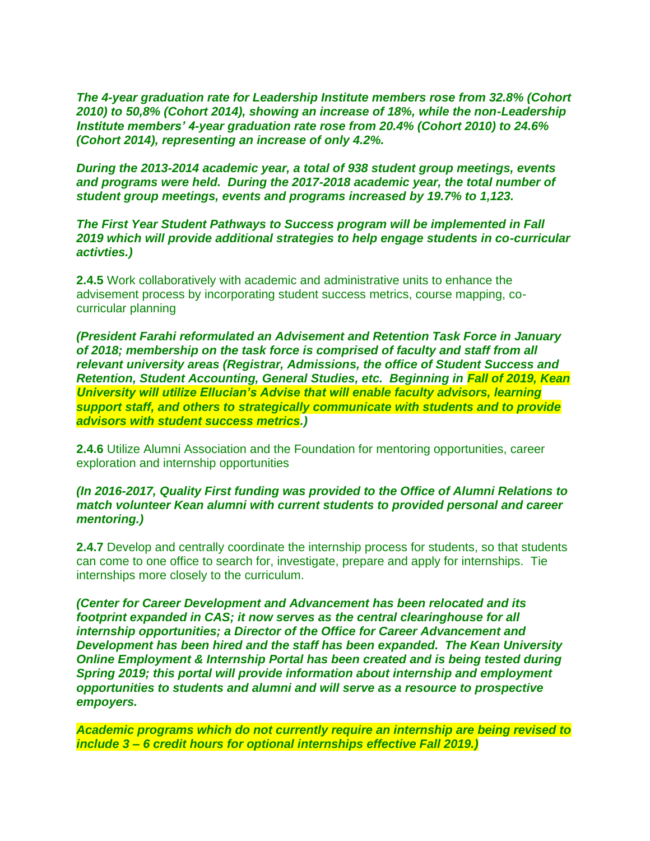*The 4-year graduation rate for Leadership Institute members rose from 32.8% (Cohort 2010) to 50,8% (Cohort 2014), showing an increase of 18%, while the non-Leadership Institute members' 4-year graduation rate rose from 20.4% (Cohort 2010) to 24.6% (Cohort 2014), representing an increase of only 4.2%.* 

*During the 2013-2014 academic year, a total of 938 student group meetings, events and programs were held. During the 2017-2018 academic year, the total number of student group meetings, events and programs increased by 19.7% to 1,123.*

*The First Year Student Pathways to Success program will be implemented in Fall 2019 which will provide additional strategies to help engage students in co-curricular activties.)*

**2.4.5** Work collaboratively with academic and administrative units to enhance the advisement process by incorporating student success metrics, course mapping, cocurricular planning

*(President Farahi reformulated an Advisement and Retention Task Force in January of 2018; membership on the task force is comprised of faculty and staff from all relevant university areas (Registrar, Admissions, the office of Student Success and Retention, Student Accounting, General Studies, etc. Beginning in Fall of 2019, Kean University will utilize Ellucian's Advise that will enable faculty advisors, learning support staff, and others to strategically communicate with students and to provide advisors with student success metrics.)*

**2.4.6** Utilize Alumni Association and the Foundation for mentoring opportunities, career exploration and internship opportunities

### *(In 2016-2017, Quality First funding was provided to the Office of Alumni Relations to match volunteer Kean alumni with current students to provided personal and career mentoring.)*

**2.4.7** Develop and centrally coordinate the internship process for students, so that students can come to one office to search for, investigate, prepare and apply for internships. Tie internships more closely to the curriculum.

*(Center for Career Development and Advancement has been relocated and its footprint expanded in CAS; it now serves as the central clearinghouse for all internship opportunities; a Director of the Office for Career Advancement and Development has been hired and the staff has been expanded. The Kean University Online Employment & Internship Portal has been created and is being tested during Spring 2019; this portal will provide information about internship and employment opportunities to students and alumni and will serve as a resource to prospective empoyers.* 

*Academic programs which do not currently require an internship are being revised to include 3 – 6 credit hours for optional internships effective Fall 2019.)*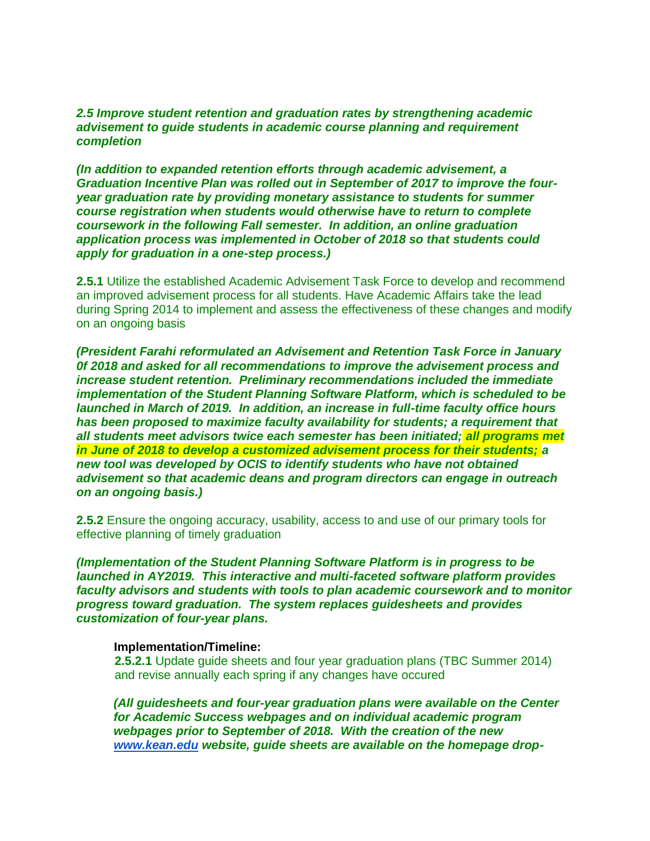*2.5 Improve student retention and graduation rates by strengthening academic advisement to guide students in academic course planning and requirement completion*

*(In addition to expanded retention efforts through academic advisement, a Graduation Incentive Plan was rolled out in September of 2017 to improve the fouryear graduation rate by providing monetary assistance to students for summer course registration when students would otherwise have to return to complete coursework in the following Fall semester. In addition, an online graduation application process was implemented in October of 2018 so that students could apply for graduation in a one-step process.)*

**2.5.1** Utilize the established Academic Advisement Task Force to develop and recommend an improved advisement process for all students. Have Academic Affairs take the lead during Spring 2014 to implement and assess the effectiveness of these changes and modify on an ongoing basis

*(President Farahi reformulated an Advisement and Retention Task Force in January 0f 2018 and asked for all recommendations to improve the advisement process and increase student retention. Preliminary recommendations included the immediate implementation of the Student Planning Software Platform, which is scheduled to be launched in March of 2019. In addition, an increase in full-time faculty office hours has been proposed to maximize faculty availability for students; a requirement that all students meet advisors twice each semester has been initiated; all programs met in June of 2018 to develop a customized advisement process for their students; a new tool was developed by OCIS to identify students who have not obtained advisement so that academic deans and program directors can engage in outreach on an ongoing basis.)* 

**2.5.2** Ensure the ongoing accuracy, usability, access to and use of our primary tools for effective planning of timely graduation

*(Implementation of the Student Planning Software Platform is in progress to be launched in AY2019. This interactive and multi-faceted software platform provides faculty advisors and students with tools to plan academic coursework and to monitor progress toward graduation. The system replaces guidesheets and provides customization of four-year plans.* 

#### **Implementation/Timeline:**

**2.5.2.1** Update guide sheets and four year graduation plans (TBC Summer 2014) and revise annually each spring if any changes have occured

*(All guidesheets and four-year graduation plans were available on the Center for Academic Success webpages and on individual academic program webpages prior to September of 2018. With the creation of the ne[w](http://www.kean.edu/) [www.kean.edu](http://www.kean.edu/) website, guide sheets are available on the homepage drop-*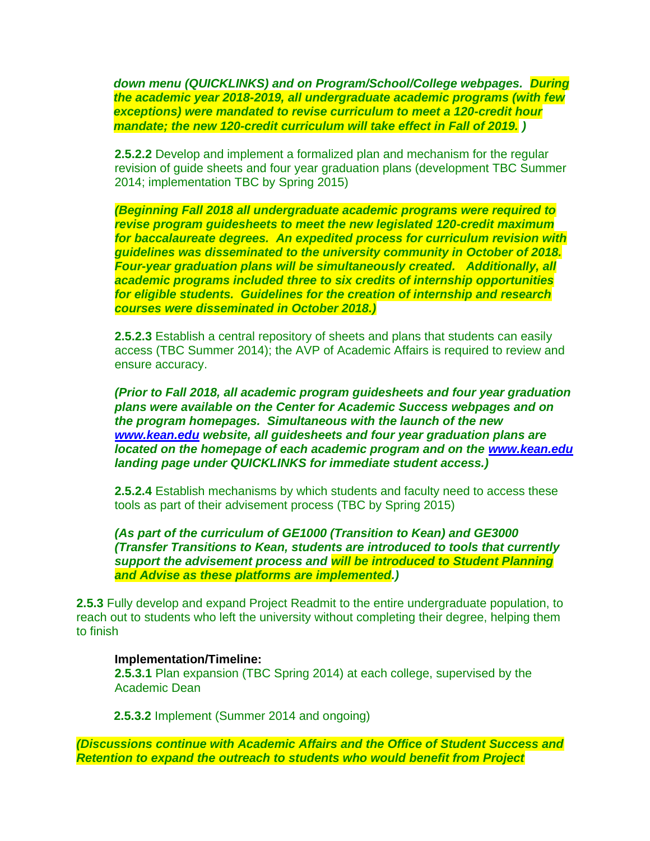*down menu (QUICKLINKS) and on Program/School/College webpages. During the academic year 2018-2019, all undergraduate academic programs (with few exceptions) were mandated to revise curriculum to meet a 120-credit hour mandate; the new 120-credit curriculum will take effect in Fall of 2019. )*

**2.5.2.2** Develop and implement a formalized plan and mechanism for the regular revision of guide sheets and four year graduation plans (development TBC Summer 2014; implementation TBC by Spring 2015)

*(Beginning Fall 2018 all undergraduate academic programs were required to revise program guidesheets to meet the new legislated 120-credit maximum for baccalaureate degrees. An expedited process for curriculum revision with guidelines was disseminated to the university community in October of 2018. Four-year graduation plans will be simultaneously created. Additionally, all academic programs included three to six credits of internship opportunities for eligible students. Guidelines for the creation of internship and research courses were disseminated in October 2018.)*

**2.5.2.3** Establish a central repository of sheets and plans that students can easily access (TBC Summer 2014); the AVP of Academic Affairs is required to review and ensure accuracy.

*(Prior to Fall 2018, all academic program guidesheets and four year graduation plans were available on the Center for Academic Success webpages and on the program homepages. Simultaneous with the launch of the new [www.kean.edu](http://www.kean.edu/) website, all guidesheets and four year graduation plans are located on the homepage of each academic program and on the [www.kean.edu](http://www.kean.edu/) landing page under QUICKLINKS for immediate student access.)*

**2.5.2.4** Establish mechanisms by which students and faculty need to access these tools as part of their advisement process (TBC by Spring 2015)

*(As part of the curriculum of GE1000 (Transition to Kean) and GE3000 (Transfer Transitions to Kean, students are introduced to tools that currently support the advisement process and will be introduced to Student Planning and Advise as these platforms are implemented.)*

**2.5.3** Fully develop and expand Project Readmit to the entire undergraduate population, to reach out to students who left the university without completing their degree, helping them to finish

#### **Implementation/Timeline:**

**2.5.3.1** Plan expansion (TBC Spring 2014) at each college, supervised by the Academic Dean

**2.5.3.2** Implement (Summer 2014 and ongoing)

*(Discussions continue with Academic Affairs and the Office of Student Success and Retention to expand the outreach to students who would benefit from Project*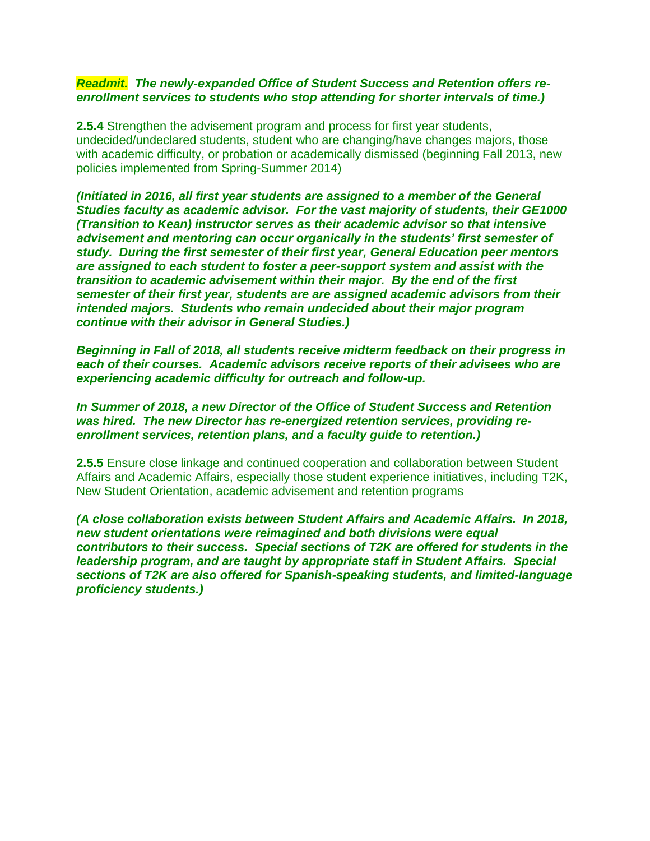#### *Readmit. The newly-expanded Office of Student Success and Retention offers reenrollment services to students who stop attending for shorter intervals of time.)*

**2.5.4** Strengthen the advisement program and process for first year students, undecided/undeclared students, student who are changing/have changes majors, those with academic difficulty, or probation or academically dismissed (beginning Fall 2013, new policies implemented from Spring-Summer 2014)

*(Initiated in 2016, all first year students are assigned to a member of the General Studies faculty as academic advisor. For the vast majority of students, their GE1000 (Transition to Kean) instructor serves as their academic advisor so that intensive advisement and mentoring can occur organically in the students' first semester of study. During the first semester of their first year, General Education peer mentors are assigned to each student to foster a peer-support system and assist with the transition to academic advisement within their major. By the end of the first semester of their first year, students are are assigned academic advisors from their intended majors. Students who remain undecided about their major program continue with their advisor in General Studies.)* 

*Beginning in Fall of 2018, all students receive midterm feedback on their progress in each of their courses. Academic advisors receive reports of their advisees who are experiencing academic difficulty for outreach and follow-up.*

*In Summer of 2018, a new Director of the Office of Student Success and Retention was hired. The new Director has re-energized retention services, providing reenrollment services, retention plans, and a faculty guide to retention.)*

**2.5.5** Ensure close linkage and continued cooperation and collaboration between Student Affairs and Academic Affairs, especially those student experience initiatives, including T2K, New Student Orientation, academic advisement and retention programs

*(A close collaboration exists between Student Affairs and Academic Affairs. In 2018, new student orientations were reimagined and both divisions were equal contributors to their success. Special sections of T2K are offered for students in the leadership program, and are taught by appropriate staff in Student Affairs. Special sections of T2K are also offered for Spanish-speaking students, and limited-language proficiency students.)*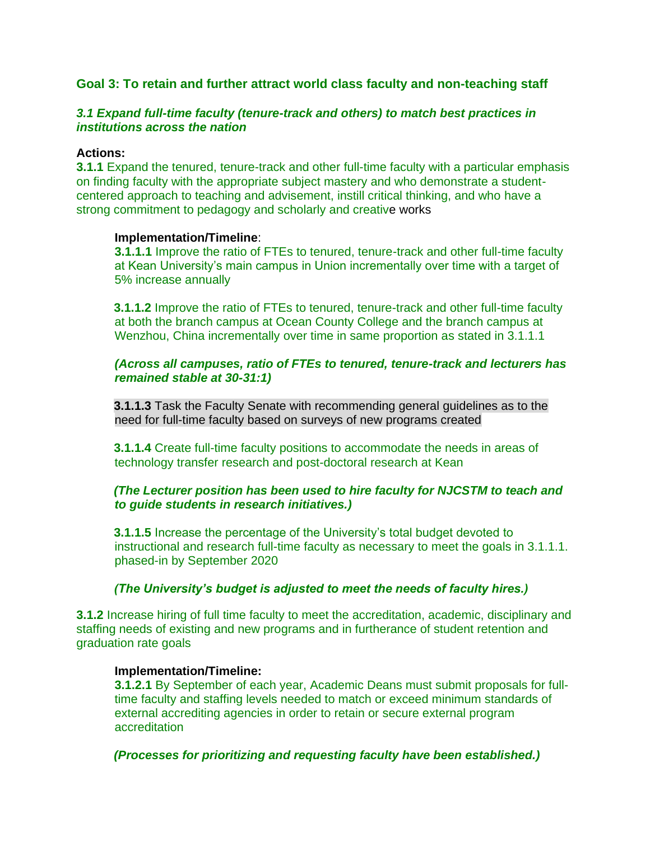### **Goal 3: To retain and further attract world class faculty and non-teaching staff**

### *3.1 Expand full-time faculty (tenure-track and others) to match best practices in institutions across the nation*

### **Actions:**

**3.1.1** Expand the tenured, tenure-track and other full-time faculty with a particular emphasis on finding faculty with the appropriate subject mastery and who demonstrate a studentcentered approach to teaching and advisement, instill critical thinking, and who have a strong commitment to pedagogy and scholarly and creative works

### **Implementation/Timeline**:

**3.1.1.1** Improve the ratio of FTEs to tenured, tenure-track and other full-time faculty at Kean University's main campus in Union incrementally over time with a target of 5% increase annually

**3.1.1.2** Improve the ratio of FTEs to tenured, tenure-track and other full-time faculty at both the branch campus at Ocean County College and the branch campus at Wenzhou, China incrementally over time in same proportion as stated in 3.1.1.1

### *(Across all campuses, ratio of FTEs to tenured, tenure-track and lecturers has remained stable at 30-31:1)*

**3.1.1.3** Task the Faculty Senate with recommending general guidelines as to the need for full-time faculty based on surveys of new programs created

**3.1.1.4** Create full-time faculty positions to accommodate the needs in areas of technology transfer research and post-doctoral research at Kean

### *(The Lecturer position has been used to hire faculty for NJCSTM to teach and to guide students in research initiatives.)*

**3.1.1.5** Increase the percentage of the University's total budget devoted to instructional and research full-time faculty as necessary to meet the goals in 3.1.1.1. phased-in by September 2020

### *(The University's budget is adjusted to meet the needs of faculty hires.)*

**3.1.2** Increase hiring of full time faculty to meet the accreditation, academic, disciplinary and staffing needs of existing and new programs and in furtherance of student retention and graduation rate goals

### **Implementation/Timeline:**

**3.1.2.1** By September of each year, Academic Deans must submit proposals for fulltime faculty and staffing levels needed to match or exceed minimum standards of external accrediting agencies in order to retain or secure external program accreditation

### *(Processes for prioritizing and requesting faculty have been established.)*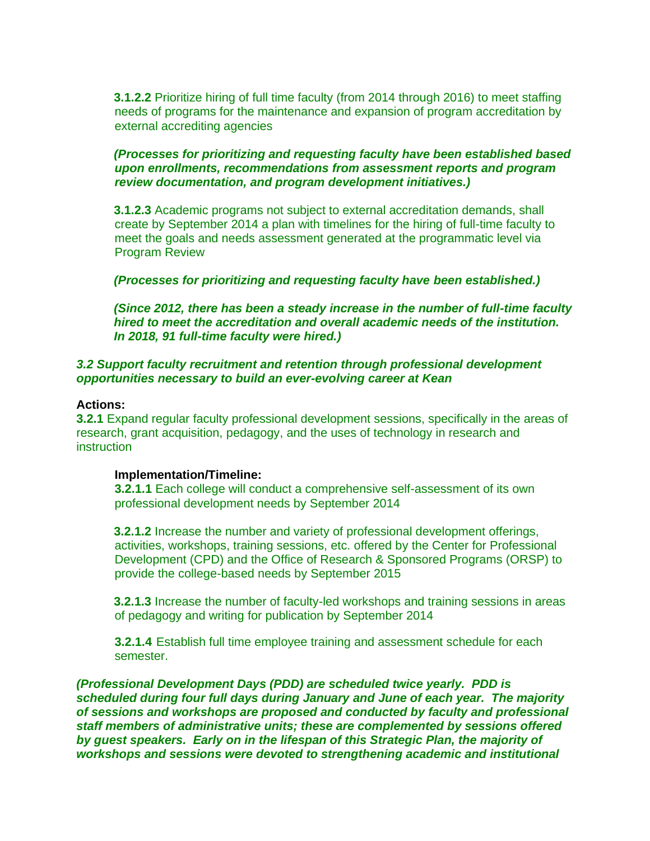**3.1.2.2** Prioritize hiring of full time faculty (from 2014 through 2016) to meet staffing needs of programs for the maintenance and expansion of program accreditation by external accrediting agencies

#### *(Processes for prioritizing and requesting faculty have been established based upon enrollments, recommendations from assessment reports and program review documentation, and program development initiatives.)*

**3.1.2.3** Academic programs not subject to external accreditation demands, shall create by September 2014 a plan with timelines for the hiring of full-time faculty to meet the goals and needs assessment generated at the programmatic level via Program Review

#### *(Processes for prioritizing and requesting faculty have been established.)*

*(Since 2012, there has been a steady increase in the number of full-time faculty hired to meet the accreditation and overall academic needs of the institution. In 2018, 91 full-time faculty were hired.)*

#### *3.2 Support faculty recruitment and retention through professional development opportunities necessary to build an ever-evolving career at Kean*

#### **Actions:**

**3.2.1** Expand regular faculty professional development sessions, specifically in the areas of research, grant acquisition, pedagogy, and the uses of technology in research and instruction

#### **Implementation/Timeline:**

**3.2.1.1** Each college will conduct a comprehensive self-assessment of its own professional development needs by September 2014

**3.2.1.2** Increase the number and variety of professional development offerings, activities, workshops, training sessions, etc. offered by the Center for Professional Development (CPD) and the Office of Research & Sponsored Programs (ORSP) to provide the college-based needs by September 2015

**3.2.1.3** Increase the number of faculty-led workshops and training sessions in areas of pedagogy and writing for publication by September 2014

**3.2.1.4** Establish full time employee training and assessment schedule for each semester.

*(Professional Development Days (PDD) are scheduled twice yearly. PDD is scheduled during four full days during January and June of each year. The majority of sessions and workshops are proposed and conducted by faculty and professional staff members of administrative units; these are complemented by sessions offered by guest speakers. Early on in the lifespan of this Strategic Plan, the majority of workshops and sessions were devoted to strengthening academic and institutional*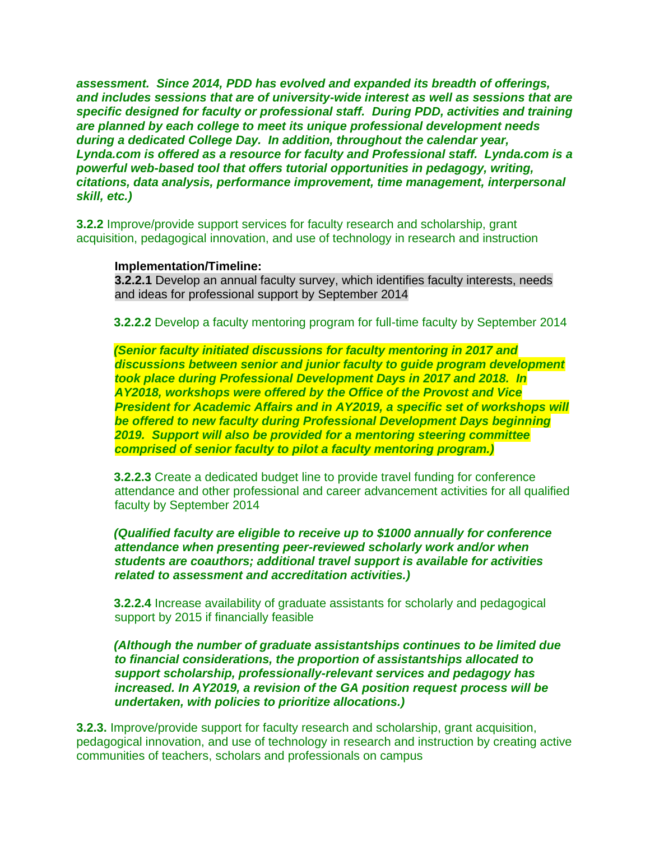*assessment. Since 2014, PDD has evolved and expanded its breadth of offerings, and includes sessions that are of university-wide interest as well as sessions that are specific designed for faculty or professional staff. During PDD, activities and training are planned by each college to meet its unique professional development needs during a dedicated College Day. In addition, throughout the calendar year, Lynda.com is offered as a resource for faculty and Professional staff. Lynda.com is a powerful web-based tool that offers tutorial opportunities in pedagogy, writing, citations, data analysis, performance improvement, time management, interpersonal skill, etc.)*

**3.2.2** Improve/provide support services for faculty research and scholarship, grant acquisition, pedagogical innovation, and use of technology in research and instruction

#### **Implementation/Timeline:**

**3.2.2.1** Develop an annual faculty survey, which identifies faculty interests, needs and ideas for professional support by September 2014

**3.2.2.2** Develop a faculty mentoring program for full-time faculty by September 2014

*(Senior faculty initiated discussions for faculty mentoring in 2017 and discussions between senior and junior faculty to guide program development took place during Professional Development Days in 2017 and 2018. In AY2018, workshops were offered by the Office of the Provost and Vice President for Academic Affairs and in AY2019, a specific set of workshops will be offered to new faculty during Professional Development Days beginning 2019. Support will also be provided for a mentoring steering committee comprised of senior faculty to pilot a faculty mentoring program.)*

**3.2.2.3** Create a dedicated budget line to provide travel funding for conference attendance and other professional and career advancement activities for all qualified faculty by September 2014

*(Qualified faculty are eligible to receive up to \$1000 annually for conference attendance when presenting peer-reviewed scholarly work and/or when students are coauthors; additional travel support is available for activities related to assessment and accreditation activities.)*

**3.2.2.4** Increase availability of graduate assistants for scholarly and pedagogical support by 2015 if financially feasible

*(Although the number of graduate assistantships continues to be limited due to financial considerations, the proportion of assistantships allocated to support scholarship, professionally-relevant services and pedagogy has increased. In AY2019, a revision of the GA position request process will be undertaken, with policies to prioritize allocations.)*

**3.2.3.** Improve/provide support for faculty research and scholarship, grant acquisition, pedagogical innovation, and use of technology in research and instruction by creating active communities of teachers, scholars and professionals on campus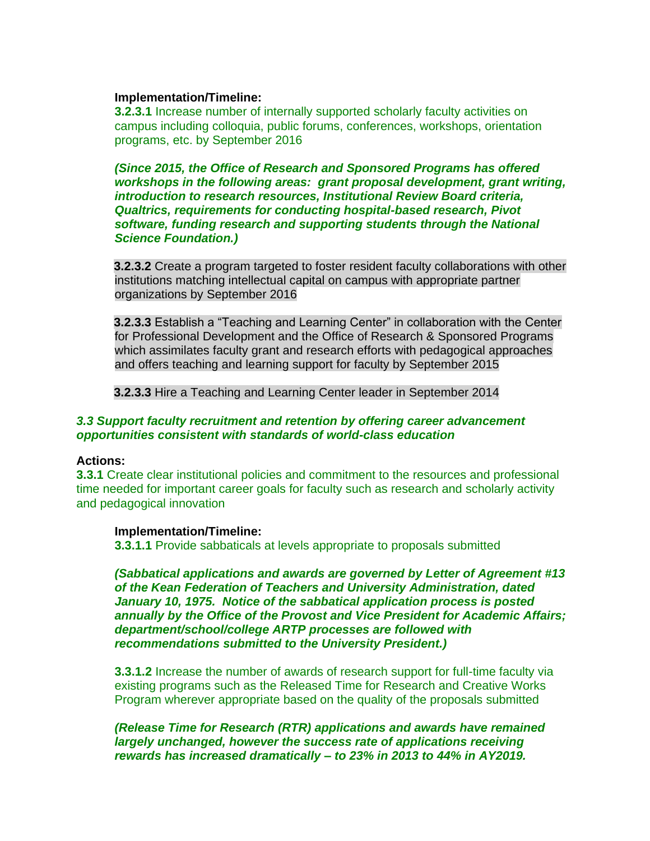#### **Implementation/Timeline:**

**3.2.3.1** Increase number of internally supported scholarly faculty activities on campus including colloquia, public forums, conferences, workshops, orientation programs, etc. by September 2016

*(Since 2015, the Office of Research and Sponsored Programs has offered workshops in the following areas: grant proposal development, grant writing, introduction to research resources, Institutional Review Board criteria, Qualtrics, requirements for conducting hospital-based research, Pivot software, funding research and supporting students through the National Science Foundation.)* 

**3.2.3.2** Create a program targeted to foster resident faculty collaborations with other institutions matching intellectual capital on campus with appropriate partner organizations by September 2016

**3.2.3.3** Establish a "Teaching and Learning Center" in collaboration with the Center for Professional Development and the Office of Research & Sponsored Programs which assimilates faculty grant and research efforts with pedagogical approaches and offers teaching and learning support for faculty by September 2015

**3.2.3.3** Hire a Teaching and Learning Center leader in September 2014

### *3.3 Support faculty recruitment and retention by offering career advancement opportunities consistent with standards of world-class education*

#### **Actions:**

**3.3.1** Create clear institutional policies and commitment to the resources and professional time needed for important career goals for faculty such as research and scholarly activity and pedagogical innovation

#### **Implementation/Timeline:**

**3.3.1.1** Provide sabbaticals at levels appropriate to proposals submitted

*(Sabbatical applications and awards are governed by Letter of Agreement #13 of the Kean Federation of Teachers and University Administration, dated January 10, 1975. Notice of the sabbatical application process is posted annually by the Office of the Provost and Vice President for Academic Affairs; department/school/college ARTP processes are followed with recommendations submitted to the University President.)*

**3.3.1.2** Increase the number of awards of research support for full-time faculty via existing programs such as the Released Time for Research and Creative Works Program wherever appropriate based on the quality of the proposals submitted

*(Release Time for Research (RTR) applications and awards have remained largely unchanged, however the success rate of applications receiving rewards has increased dramatically – to 23% in 2013 to 44% in AY2019.*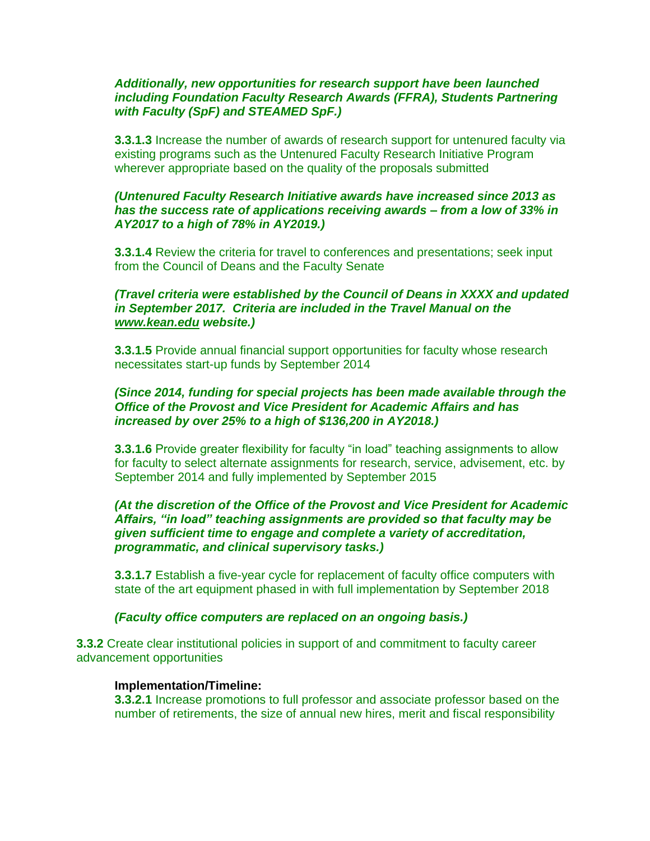### *Additionally, new opportunities for research support have been launched including Foundation Faculty Research Awards (FFRA), Students Partnering with Faculty (SpF) and STEAMED SpF.)*

**3.3.1.3** Increase the number of awards of research support for untenured faculty via existing programs such as the Untenured Faculty Research Initiative Program wherever appropriate based on the quality of the proposals submitted

### *(Untenured Faculty Research Initiative awards have increased since 2013 as has the success rate of applications receiving awards – from a low of 33% in AY2017 to a high of 78% in AY2019.)*

**3.3.1.4** Review the criteria for travel to conferences and presentations; seek input from the Council of Deans and the Faculty Senate

### *(Travel criteria were established by the Council of Deans in XXXX and updated in September 2017. Criteria are included in the Travel Manual on the [www.kean.edu](http://www.kean.edu/) website.)*

**3.3.1.5** Provide annual financial support opportunities for faculty whose research necessitates start-up funds by September 2014

### *(Since 2014, funding for special projects has been made available through the Office of the Provost and Vice President for Academic Affairs and has increased by over 25% to a high of \$136,200 in AY2018.)*

**3.3.1.6** Provide greater flexibility for faculty "in load" teaching assignments to allow for faculty to select alternate assignments for research, service, advisement, etc. by September 2014 and fully implemented by September 2015

### *(At the discretion of the Office of the Provost and Vice President for Academic Affairs, "in load" teaching assignments are provided so that faculty may be given sufficient time to engage and complete a variety of accreditation, programmatic, and clinical supervisory tasks.)*

**3.3.1.7** Establish a five-year cycle for replacement of faculty office computers with state of the art equipment phased in with full implementation by September 2018

### *(Faculty office computers are replaced on an ongoing basis.)*

**3.3.2** Create clear institutional policies in support of and commitment to faculty career advancement opportunities

#### **Implementation/Timeline:**

**3.3.2.1** Increase promotions to full professor and associate professor based on the number of retirements, the size of annual new hires, merit and fiscal responsibility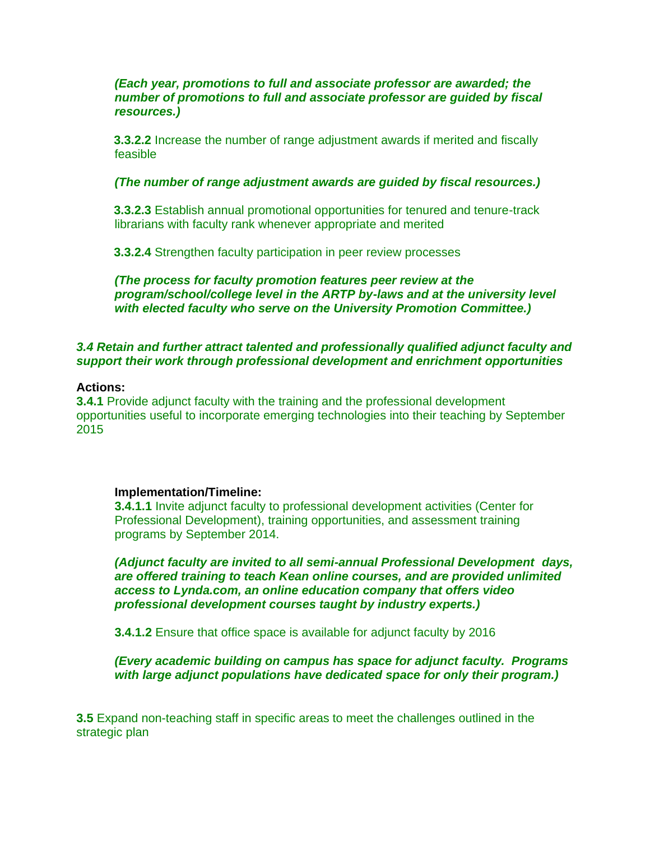### *(Each year, promotions to full and associate professor are awarded; the number of promotions to full and associate professor are guided by fiscal resources.)*

**3.3.2.2** Increase the number of range adjustment awards if merited and fiscally feasible

#### *(The number of range adjustment awards are guided by fiscal resources.)*

**3.3.2.3** Establish annual promotional opportunities for tenured and tenure-track librarians with faculty rank whenever appropriate and merited

**3.3.2.4** Strengthen faculty participation in peer review processes

*(The process for faculty promotion features peer review at the program/school/college level in the ARTP by-laws and at the university level with elected faculty who serve on the University Promotion Committee.)*

### *3.4 Retain and further attract talented and professionally qualified adjunct faculty and support their work through professional development and enrichment opportunities*

#### **Actions:**

**3.4.1** Provide adjunct faculty with the training and the professional development opportunities useful to incorporate emerging technologies into their teaching by September 2015

#### **Implementation/Timeline:**

**3.4.1.1** Invite adjunct faculty to professional development activities (Center for Professional Development), training opportunities, and assessment training programs by September 2014.

*(Adjunct faculty are invited to all semi-annual Professional Development days, are offered training to teach Kean online courses, and are provided unlimited access to Lynda.com, an online education company that offers video professional development courses taught by industry experts.)*

**3.4.1.2** Ensure that office space is available for adjunct faculty by 2016

*(Every academic building on campus has space for adjunct faculty. Programs with large adjunct populations have dedicated space for only their program.)*

**3.5** Expand non-teaching staff in specific areas to meet the challenges outlined in the strategic plan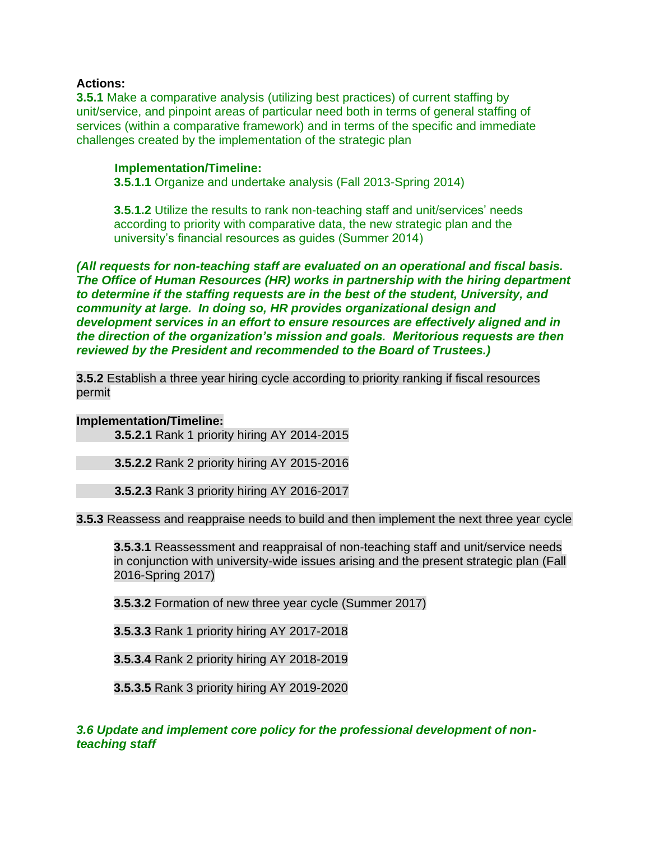### **Actions:**

**3.5.1** Make a comparative analysis (utilizing best practices) of current staffing by unit/service, and pinpoint areas of particular need both in terms of general staffing of services (within a comparative framework) and in terms of the specific and immediate challenges created by the implementation of the strategic plan

#### **Implementation/Timeline:**

**3.5.1.1** Organize and undertake analysis (Fall 2013-Spring 2014)

**3.5.1.2** Utilize the results to rank non-teaching staff and unit/services' needs according to priority with comparative data, the new strategic plan and the university's financial resources as guides (Summer 2014)

*(All requests for non-teaching staff are evaluated on an operational and fiscal basis. The Office of Human Resources (HR) works in partnership with the hiring department to determine if the staffing requests are in the best of the student, University, and community at large. In doing so, HR provides organizational design and development services in an effort to ensure resources are effectively aligned and in the direction of the organization's mission and goals. Meritorious requests are then reviewed by the President and recommended to the Board of Trustees.)*

**3.5.2** Establish a three year hiring cycle according to priority ranking if fiscal resources permit

#### **Implementation/Timeline:**

**3.5.2.1** Rank 1 priority hiring AY 2014-2015

**3.5.2.2** Rank 2 priority hiring AY 2015-2016

**3.5.2.3** Rank 3 priority hiring AY 2016-2017

**3.5.3** Reassess and reappraise needs to build and then implement the next three year cycle

**3.5.3.1** Reassessment and reappraisal of non-teaching staff and unit/service needs in conjunction with university-wide issues arising and the present strategic plan (Fall 2016-Spring 2017)

**3.5.3.2** Formation of new three year cycle (Summer 2017)

**3.5.3.3** Rank 1 priority hiring AY 2017-2018

**3.5.3.4** Rank 2 priority hiring AY 2018-2019

**3.5.3.5** Rank 3 priority hiring AY 2019-2020

*3.6 Update and implement core policy for the professional development of nonteaching staff*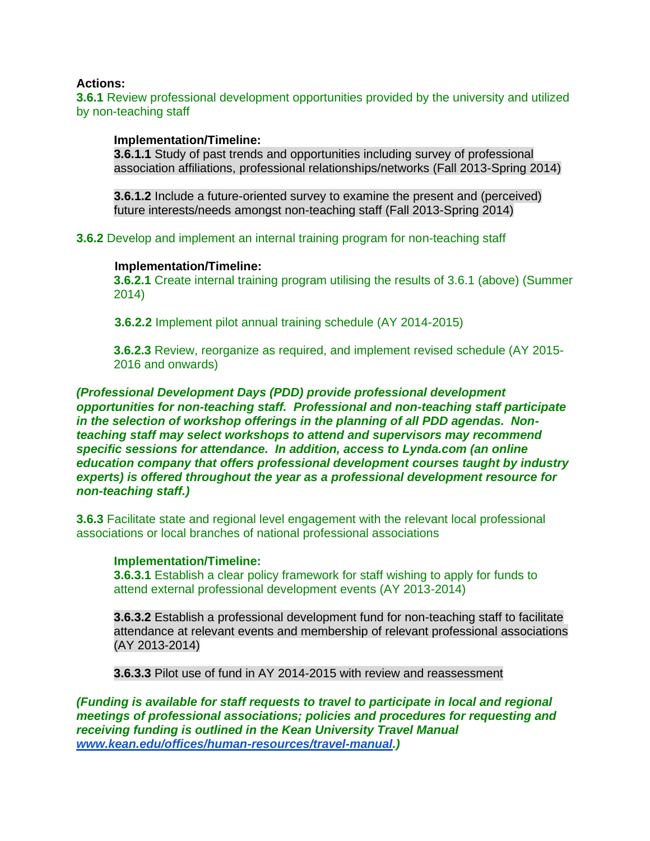#### **Actions:**

**3.6.1** Review professional development opportunities provided by the university and utilized by non-teaching staff

#### **Implementation/Timeline:**

**3.6.1.1** Study of past trends and opportunities including survey of professional association affiliations, professional relationships/networks (Fall 2013-Spring 2014)

**3.6.1.2** Include a future-oriented survey to examine the present and (perceived) future interests/needs amongst non-teaching staff (Fall 2013-Spring 2014)

**3.6.2** Develop and implement an internal training program for non-teaching staff

#### **Implementation/Timeline:**

**3.6.2.1** Create internal training program utilising the results of 3.6.1 (above) (Summer 2014)

**3.6.2.2** Implement pilot annual training schedule (AY 2014-2015)

**3.6.2.3** Review, reorganize as required, and implement revised schedule (AY 2015- 2016 and onwards)

*(Professional Development Days (PDD) provide professional development opportunities for non-teaching staff. Professional and non-teaching staff participate in the selection of workshop offerings in the planning of all PDD agendas. Nonteaching staff may select workshops to attend and supervisors may recommend specific sessions for attendance. In addition, access to Lynda.com (an online education company that offers professional development courses taught by industry experts) is offered throughout the year as a professional development resource for non-teaching staff.)*

**3.6.3** Facilitate state and regional level engagement with the relevant local professional associations or local branches of national professional associations

#### **Implementation/Timeline:**

**3.6.3.1** Establish a clear policy framework for staff wishing to apply for funds to attend external professional development events (AY 2013-2014)

**3.6.3.2** Establish a professional development fund for non-teaching staff to facilitate attendance at relevant events and membership of relevant professional associations (AY 2013-2014)

**3.6.3.3** Pilot use of fund in AY 2014-2015 with review and reassessment

*(Funding is available for staff requests to travel to participate in local and regional meetings of professional associations; policies and procedures for requesting and receiving funding is outlined in the Kean University Travel Manual [www.kean.edu/offices/human-resources/travel-manual.](http://www.kean.edu/offices/human-resources/travel-manual))*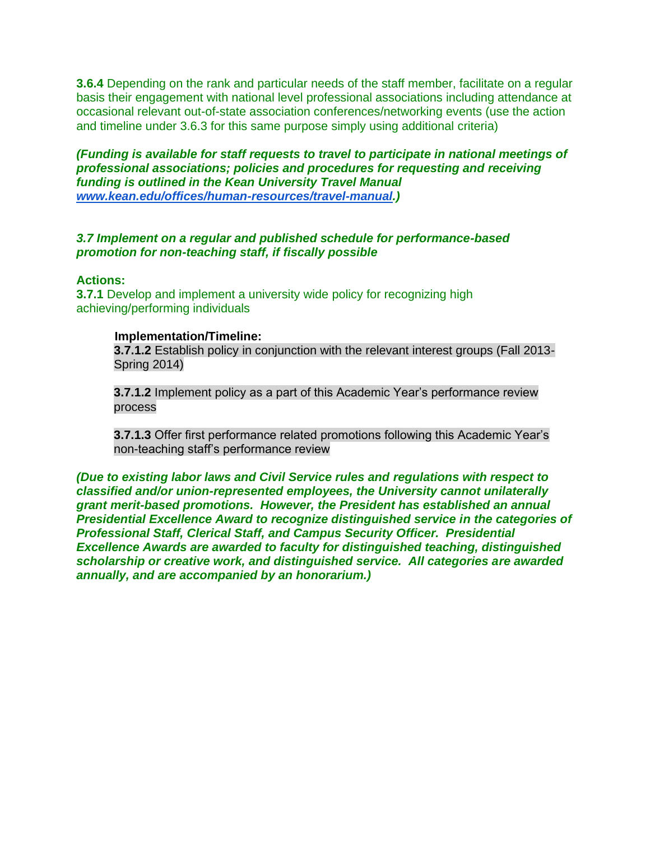**3.6.4** Depending on the rank and particular needs of the staff member, facilitate on a regular basis their engagement with national level professional associations including attendance at occasional relevant out-of-state association conferences/networking events (use the action and timeline under 3.6.3 for this same purpose simply using additional criteria)

*(Funding is available for staff requests to travel to participate in national meetings of professional associations; policies and procedures for requesting and receiving funding is outlined in the Kean University Travel Manual [www.kean.edu/offices/human-resources/travel-manual.](http://www.kean.edu/offices/human-resources/travel-manual))*

### *3.7 Implement on a regular and published schedule for performance-based promotion for non-teaching staff, if fiscally possible*

#### **Actions:**

**3.7.1** Develop and implement a university wide policy for recognizing high achieving/performing individuals

#### **Implementation/Timeline:**

**3.7.1.2** Establish policy in conjunction with the relevant interest groups (Fall 2013- Spring 2014)

**3.7.1.2** Implement policy as a part of this Academic Year's performance review process

**3.7.1.3** Offer first performance related promotions following this Academic Year's non-teaching staff's performance review

*(Due to existing labor laws and Civil Service rules and regulations with respect to classified and/or union-represented employees, the University cannot unilaterally grant merit-based promotions. However, the President has established an annual Presidential Excellence Award to recognize distinguished service in the categories of Professional Staff, Clerical Staff, and Campus Security Officer. Presidential Excellence Awards are awarded to faculty for distinguished teaching, distinguished scholarship or creative work, and distinguished service. All categories are awarded annually, and are accompanied by an honorarium.)*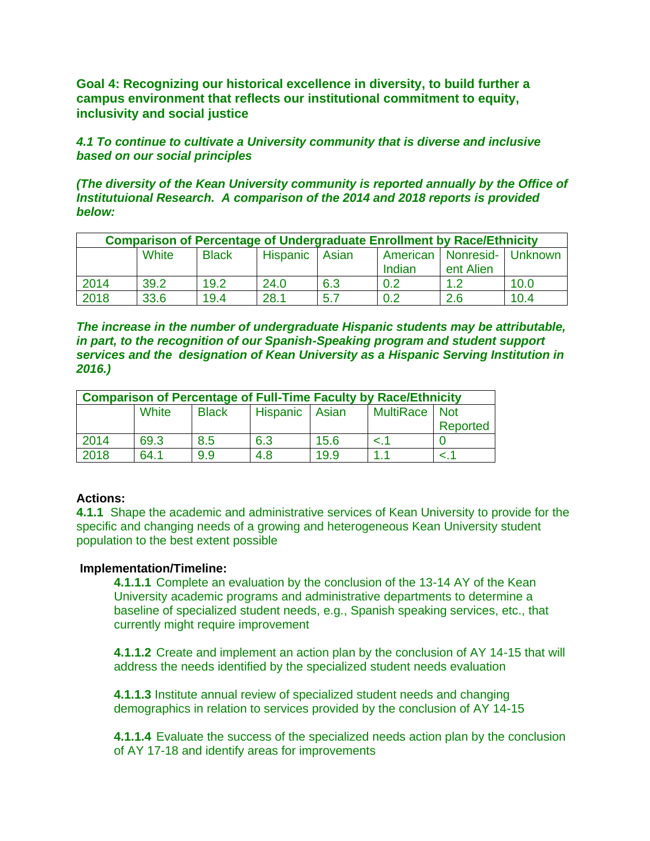**Goal 4: Recognizing our historical excellence in diversity, to build further a campus environment that reflects our institutional commitment to equity, inclusivity and social justice**

*4.1 To continue to cultivate a University community that is diverse and inclusive based on our social principles* 

*(The diversity of the Kean University community is reported annually by the Office of Institutuional Research. A comparison of the 2014 and 2018 reports is provided below:*

| <b>Comparison of Percentage of Undergraduate Enrollment by Race/Ethnicity</b> |       |              |                |      |        |                                |      |
|-------------------------------------------------------------------------------|-------|--------------|----------------|------|--------|--------------------------------|------|
|                                                                               | White | <b>Black</b> | Hispanic Asian |      |        | American   Nonresid-   Unknown |      |
|                                                                               |       |              |                |      | Indian | ent Alien                      |      |
| 2014                                                                          | 39.2  | 19.2         | 24.0           | 6.3  | 0.2    |                                | 10.0 |
| 2018                                                                          | 33.6  | 19.4         | 28.1           | -5.7 | 0.2    | 2.6                            | 10.4 |

*The increase in the number of undergraduate Hispanic students may be attributable, in part, to the recognition of our Spanish-Speaking program and student support services and the designation of Kean University as a Hispanic Serving Institution in 2016.)*

| <b>Comparison of Percentage of Full-Time Faculty by Race/Ethnicity</b> |       |              |                       |      |                 |          |  |
|------------------------------------------------------------------------|-------|--------------|-----------------------|------|-----------------|----------|--|
|                                                                        | White | <b>Black</b> | <b>Hispanic</b> Asian |      | MultiRace   Not |          |  |
|                                                                        |       |              |                       |      |                 | Reported |  |
| 2014                                                                   | 69.3  | 8.5          | 6.3                   | 15.6 | < 1             |          |  |
| 2018                                                                   | 64.1  | 9.9          | 4.8                   | 19.9 | 1.1             |          |  |

### **Actions:**

**4.1.1** Shape the academic and administrative services of Kean University to provide for the specific and changing needs of a growing and heterogeneous Kean University student population to the best extent possible

#### **Implementation/Timeline:**

**4.1.1.1** Complete an evaluation by the conclusion of the 13-14 AY of the Kean University academic programs and administrative departments to determine a baseline of specialized student needs, e.g., Spanish speaking services, etc., that currently might require improvement

**4.1.1.2** Create and implement an action plan by the conclusion of AY 14-15 that will address the needs identified by the specialized student needs evaluation

**4.1.1.3** Institute annual review of specialized student needs and changing demographics in relation to services provided by the conclusion of AY 14-15

**4.1.1.4** Evaluate the success of the specialized needs action plan by the conclusion of AY 17-18 and identify areas for improvements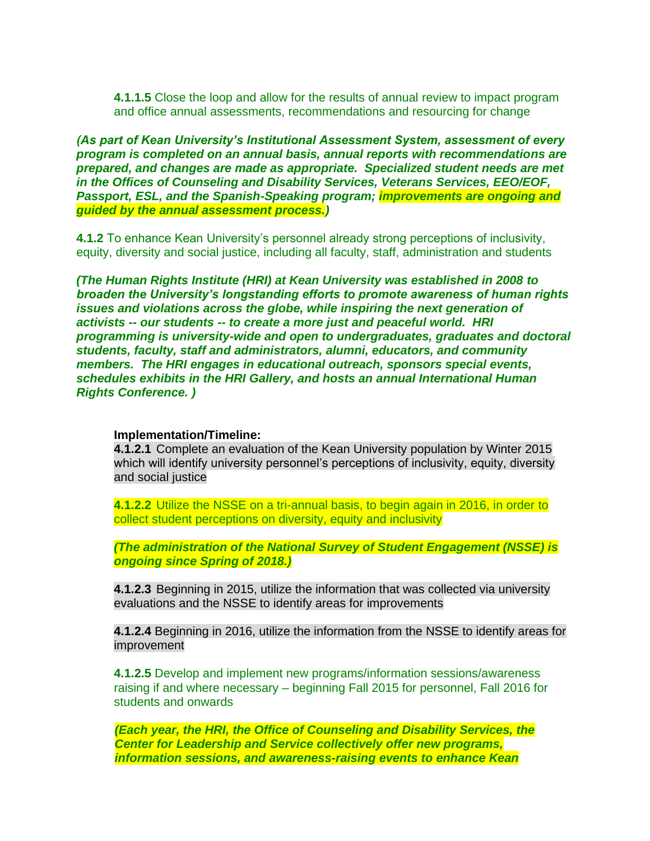**4.1.1.5** Close the loop and allow for the results of annual review to impact program and office annual assessments, recommendations and resourcing for change

*(As part of Kean University's Institutional Assessment System, assessment of every program is completed on an annual basis, annual reports with recommendations are prepared, and changes are made as appropriate. Specialized student needs are met in the Offices of Counseling and Disability Services, Veterans Services, EEO/EOF, Passport, ESL, and the Spanish-Speaking program; improvements are ongoing and guided by the annual assessment process.)*

**4.1.2** To enhance Kean University's personnel already strong perceptions of inclusivity, equity, diversity and social justice, including all faculty, staff, administration and students

*(The Human Rights Institute (HRI) at Kean University was established in 2008 to broaden the University's longstanding efforts to promote awareness of human rights issues and violations across the globe, while inspiring the next generation of activists -- our students -- to create a more just and peaceful world. HRI programming is university-wide and open to undergraduates, graduates and doctoral students, faculty, staff and administrators, alumni, educators, and community members. The HRI engages in educational outreach, sponsors special events, schedules exhibits in the HRI Gallery, and hosts an annual International Human Rights Conference. )*

#### **Implementation/Timeline:**

**4.1.2.1** Complete an evaluation of the Kean University population by Winter 2015 which will identify university personnel's perceptions of inclusivity, equity, diversity and social justice

**4.1.2.2** Utilize the NSSE on a tri-annual basis, to begin again in 2016, in order to collect student perceptions on diversity, equity and inclusivity

*(The administration of the National Survey of Student Engagement (NSSE) is ongoing since Spring of 2018.)*

**4.1.2.3** Beginning in 2015, utilize the information that was collected via university evaluations and the NSSE to identify areas for improvements

**4.1.2.4** Beginning in 2016, utilize the information from the NSSE to identify areas for improvement

**4.1.2.5** Develop and implement new programs/information sessions/awareness raising if and where necessary – beginning Fall 2015 for personnel, Fall 2016 for students and onwards

*(Each year, the HRI, the Office of Counseling and Disability Services, the Center for Leadership and Service collectively offer new programs, information sessions, and awareness-raising events to enhance Kean*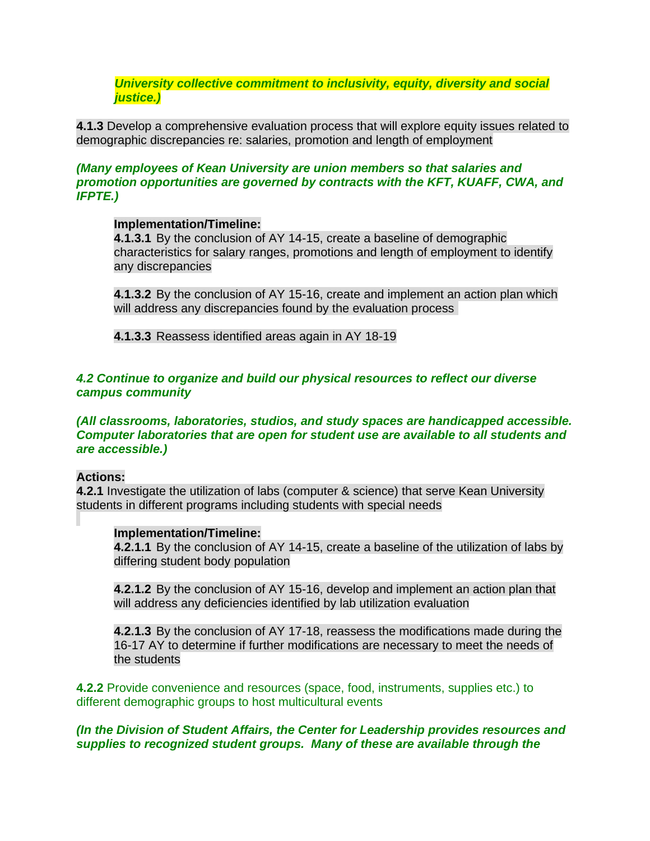*University collective commitment to inclusivity, equity, diversity and social justice.)*

**4.1.3** Develop a comprehensive evaluation process that will explore equity issues related to demographic discrepancies re: salaries, promotion and length of employment

### *(Many employees of Kean University are union members so that salaries and promotion opportunities are governed by contracts with the KFT, KUAFF, CWA, and IFPTE.)*

### **Implementation/Timeline:**

**4.1.3.1** By the conclusion of AY 14-15, create a baseline of demographic characteristics for salary ranges, promotions and length of employment to identify any discrepancies

**4.1.3.2** By the conclusion of AY 15-16, create and implement an action plan which will address any discrepancies found by the evaluation process

**4.1.3.3** Reassess identified areas again in AY 18-19

#### *4.2 Continue to organize and build our physical resources to reflect our diverse campus community*

*(All classrooms, laboratories, studios, and study spaces are handicapped accessible. Computer laboratories that are open for student use are available to all students and are accessible.)*

### **Actions:**

**4.2.1** Investigate the utilization of labs (computer & science) that serve Kean University students in different programs including students with special needs

### **Implementation/Timeline:**

**4.2.1.1** By the conclusion of AY 14-15, create a baseline of the utilization of labs by differing student body population

**4.2.1.2** By the conclusion of AY 15-16, develop and implement an action plan that will address any deficiencies identified by lab utilization evaluation

**4.2.1.3** By the conclusion of AY 17-18, reassess the modifications made during the 16-17 AY to determine if further modifications are necessary to meet the needs of the students

**4.2.2** Provide convenience and resources (space, food, instruments, supplies etc.) to different demographic groups to host multicultural events

### *(In the Division of Student Affairs, the Center for Leadership provides resources and supplies to recognized student groups. Many of these are available through the*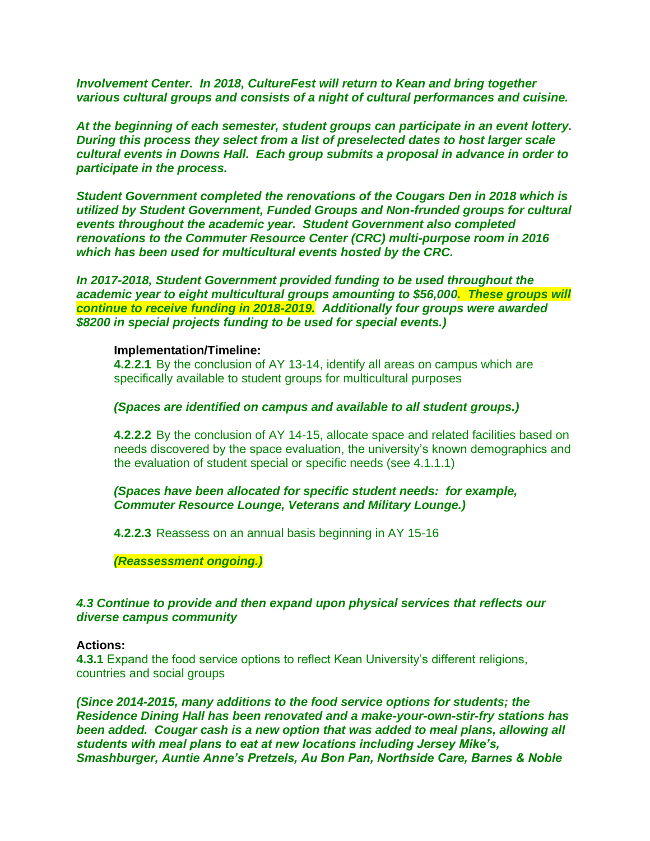*Involvement Center. In 2018, CultureFest will return to Kean and bring together various cultural groups and consists of a night of cultural performances and cuisine.* 

*At the beginning of each semester, student groups can participate in an event lottery. During this process they select from a list of preselected dates to host larger scale cultural events in Downs Hall. Each group submits a proposal in advance in order to participate in the process.*

*Student Government completed the renovations of the Cougars Den in 2018 which is utilized by Student Government, Funded Groups and Non-frunded groups for cultural events throughout the academic year. Student Government also completed renovations to the Commuter Resource Center (CRC) multi-purpose room in 2016 which has been used for multicultural events hosted by the CRC.*

*In 2017-2018, Student Government provided funding to be used throughout the academic year to eight multicultural groups amounting to \$56,000. These groups will continue to receive funding in 2018-2019. Additionally four groups were awarded \$8200 in special projects funding to be used for special events.)*

#### **Implementation/Timeline:**

**4.2.2.1** By the conclusion of AY 13-14, identify all areas on campus which are specifically available to student groups for multicultural purposes

#### *(Spaces are identified on campus and available to all student groups.)*

**4.2.2.2** By the conclusion of AY 14-15, allocate space and related facilities based on needs discovered by the space evaluation, the university's known demographics and the evaluation of student special or specific needs (see 4.1.1.1)

#### *(Spaces have been allocated for specific student needs: for example, Commuter Resource Lounge, Veterans and Military Lounge.)*

**4.2.2.3** Reassess on an annual basis beginning in AY 15-16

*(Reassessment ongoing.)*

### *4.3 Continue to provide and then expand upon physical services that reflects our diverse campus community*

#### **Actions:**

**4.3.1** Expand the food service options to reflect Kean University's different religions, countries and social groups

*(Since 2014-2015, many additions to the food service options for students; the Residence Dining Hall has been renovated and a make-your-own-stir-fry stations has been added. Cougar cash is a new option that was added to meal plans, allowing all students with meal plans to eat at new locations including Jersey Mike's, Smashburger, Auntie Anne's Pretzels, Au Bon Pan, Northside Care, Barnes & Noble*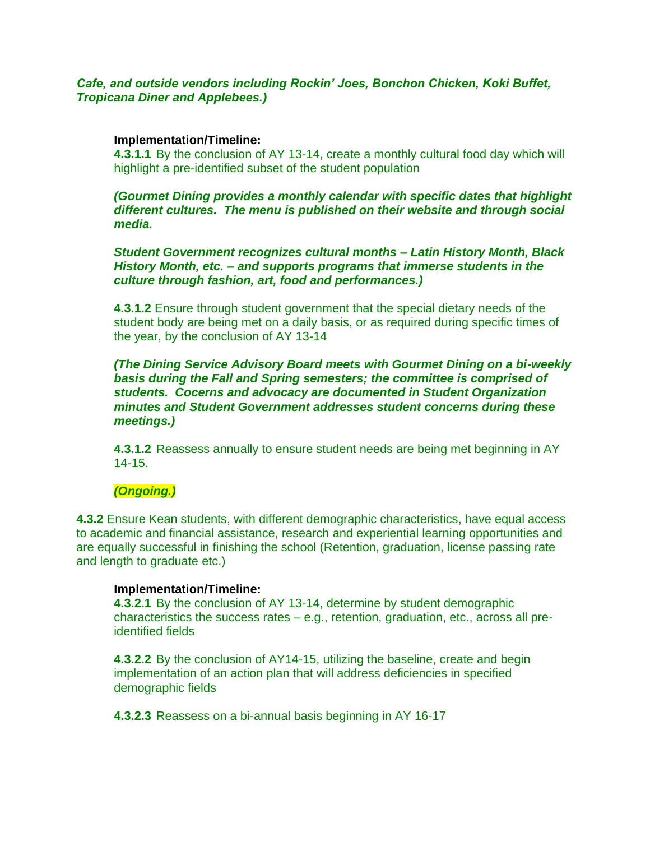# *Cafe, and outside vendors including Rockin' Joes, Bonchon Chicken, Koki Buffet, Tropicana Diner and Applebees.)*

### **Implementation/Timeline:**

**4.3.1.1** By the conclusion of AY 13-14, create a monthly cultural food day which will highlight a pre-identified subset of the student population

### *(Gourmet Dining provides a monthly calendar with specific dates that highlight different cultures. The menu is published on their website and through social media.*

*Student Government recognizes cultural months – Latin History Month, Black History Month, etc. – and supports programs that immerse students in the culture through fashion, art, food and performances.)*

**4.3.1.2** Ensure through student government that the special dietary needs of the student body are being met on a daily basis, or as required during specific times of the year, by the conclusion of AY 13-14

*(The Dining Service Advisory Board meets with Gourmet Dining on a bi-weekly basis during the Fall and Spring semesters; the committee is comprised of students. Cocerns and advocacy are documented in Student Organization minutes and Student Government addresses student concerns during these meetings.)*

**4.3.1.2** Reassess annually to ensure student needs are being met beginning in AY 14-15.

# *(Ongoing.)*

**4.3.2** Ensure Kean students, with different demographic characteristics, have equal access to academic and financial assistance, research and experiential learning opportunities and are equally successful in finishing the school (Retention, graduation, license passing rate and length to graduate etc.)

### **Implementation/Timeline:**

**4.3.2.1** By the conclusion of AY 13-14, determine by student demographic characteristics the success rates – e.g., retention, graduation, etc., across all preidentified fields

**4.3.2.2** By the conclusion of AY14-15, utilizing the baseline, create and begin implementation of an action plan that will address deficiencies in specified demographic fields

**4.3.2.3** Reassess on a bi-annual basis beginning in AY 16-17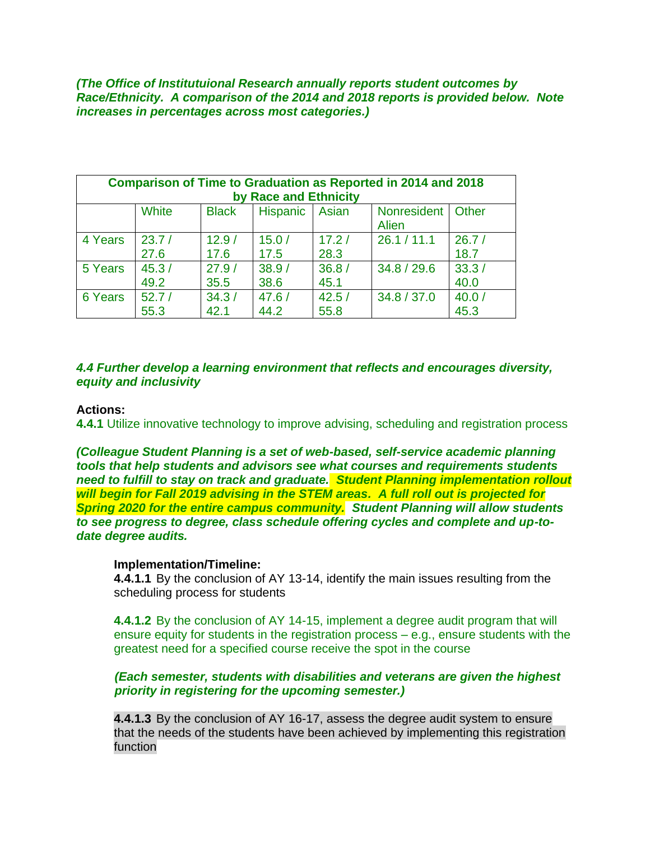*(The Office of Institutuional Research annually reports student outcomes by Race/Ethnicity. A comparison of the 2014 and 2018 reports is provided below. Note increases in percentages across most categories.)*

| <b>Comparison of Time to Graduation as Reported in 2014 and 2018</b><br>by Race and Ethnicity |               |               |                  |               |                                     |               |  |  |
|-----------------------------------------------------------------------------------------------|---------------|---------------|------------------|---------------|-------------------------------------|---------------|--|--|
|                                                                                               | White         | <b>Black</b>  | Hispanic   Asian |               | Nonresident   Other<br><b>Alien</b> |               |  |  |
| 4 Years                                                                                       | 23.7/<br>27.6 | 12.9/<br>17.6 | 15.0/<br>17.5    | 17.2/<br>28.3 | 26.1 / 11.1                         | 26.7/<br>18.7 |  |  |
| 5 Years                                                                                       | 45.3/<br>49.2 | 27.9/<br>35.5 | 38.9/<br>38.6    | 36.8/<br>45.1 | 34.8 / 29.6                         | 33.3/<br>40.0 |  |  |
| 6 Years                                                                                       | 52.7/<br>55.3 | 34.3/<br>42.1 | 47.6/<br>44.2    | 42.5/<br>55.8 | 34.8 / 37.0                         | 40.0/<br>45.3 |  |  |

# *4.4 Further develop a learning environment that reflects and encourages diversity, equity and inclusivity*

### **Actions:**

**4.4.1** Utilize innovative technology to improve advising, scheduling and registration process

*(Colleague Student Planning is a set of web-based, self-service academic planning tools that help students and advisors see what courses and requirements students need to fulfill to stay on track and graduate. Student Planning implementation rollout will begin for Fall 2019 advising in the STEM areas. A full roll out is projected for Spring 2020 for the entire campus community. Student Planning will allow students to see progress to degree, class schedule offering cycles and complete and up-todate degree audits.*

### **Implementation/Timeline:**

**4.4.1.1** By the conclusion of AY 13-14, identify the main issues resulting from the scheduling process for students

**4.4.1.2** By the conclusion of AY 14-15, implement a degree audit program that will ensure equity for students in the registration process – e.g., ensure students with the greatest need for a specified course receive the spot in the course

## *(Each semester, students with disabilities and veterans are given the highest priority in registering for the upcoming semester.)*

**4.4.1.3** By the conclusion of AY 16-17, assess the degree audit system to ensure that the needs of the students have been achieved by implementing this registration function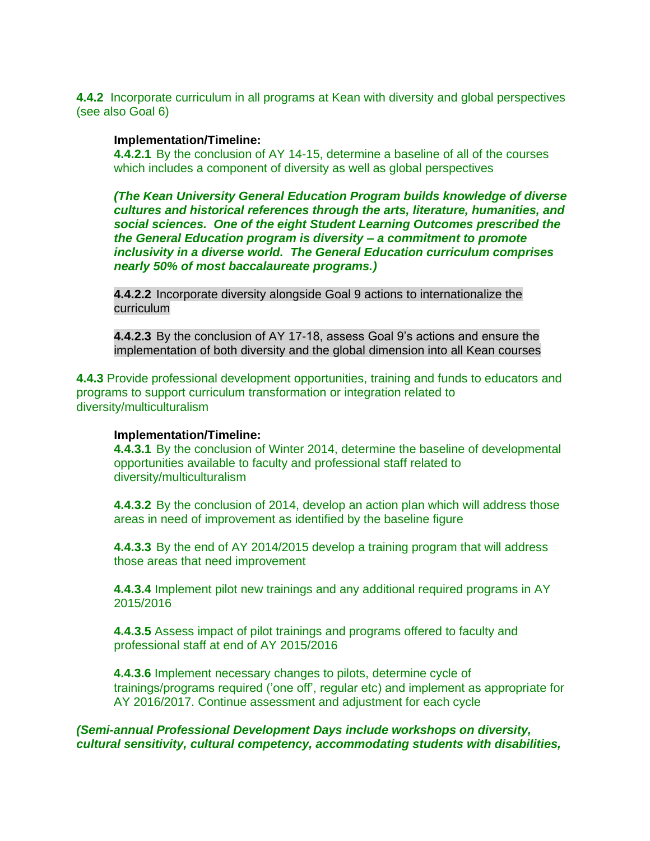**4.4.2** Incorporate curriculum in all programs at Kean with diversity and global perspectives (see also Goal 6)

### **Implementation/Timeline:**

**4.4.2.1** By the conclusion of AY 14-15, determine a baseline of all of the courses which includes a component of diversity as well as global perspectives

*(The Kean University General Education Program builds knowledge of diverse cultures and historical references through the arts, literature, humanities, and social sciences. One of the eight Student Learning Outcomes prescribed the the General Education program is diversity – a commitment to promote inclusivity in a diverse world. The General Education curriculum comprises nearly 50% of most baccalaureate programs.)*

**4.4.2.2** Incorporate diversity alongside Goal 9 actions to internationalize the curriculum

**4.4.2.3** By the conclusion of AY 17-18, assess Goal 9's actions and ensure the implementation of both diversity and the global dimension into all Kean courses

**4.4.3** Provide professional development opportunities, training and funds to educators and programs to support curriculum transformation or integration related to diversity/multiculturalism

### **Implementation/Timeline:**

**4.4.3.1** By the conclusion of Winter 2014, determine the baseline of developmental opportunities available to faculty and professional staff related to diversity/multiculturalism

**4.4.3.2** By the conclusion of 2014, develop an action plan which will address those areas in need of improvement as identified by the baseline figure

**4.4.3.3** By the end of AY 2014/2015 develop a training program that will address those areas that need improvement

**4.4.3.4** Implement pilot new trainings and any additional required programs in AY 2015/2016

**4.4.3.5** Assess impact of pilot trainings and programs offered to faculty and professional staff at end of AY 2015/2016

**4.4.3.6** Implement necessary changes to pilots, determine cycle of trainings/programs required ('one off', regular etc) and implement as appropriate for AY 2016/2017. Continue assessment and adjustment for each cycle

## *(Semi-annual Professional Development Days include workshops on diversity, cultural sensitivity, cultural competency, accommodating students with disabilities,*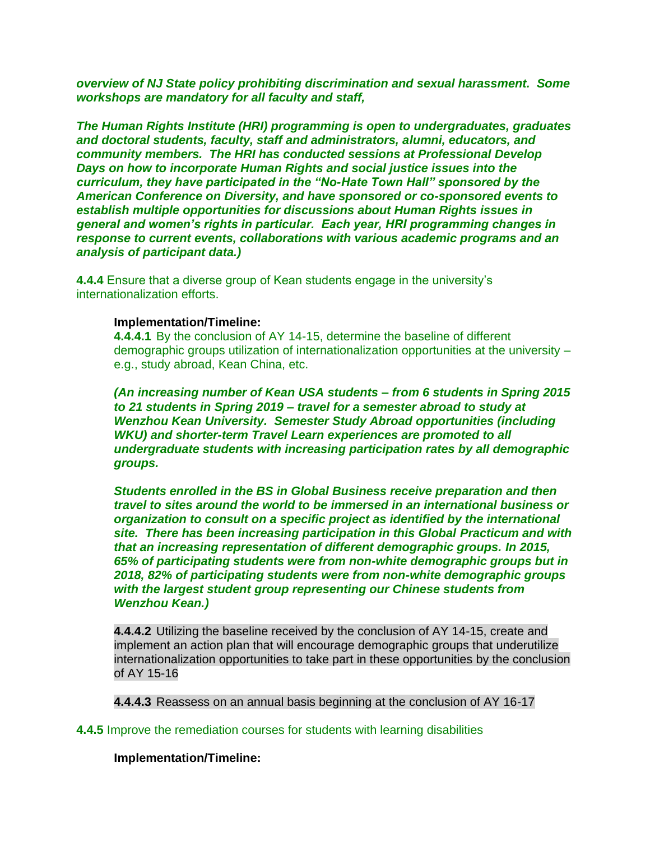*overview of NJ State policy prohibiting discrimination and sexual harassment. Some workshops are mandatory for all faculty and staff,* 

*The Human Rights Institute (HRI) programming is open to undergraduates, graduates and doctoral students, faculty, staff and administrators, alumni, educators, and community members. The HRI has conducted sessions at Professional Develop Days on how to incorporate Human Rights and social justice issues into the curriculum, they have participated in the "No-Hate Town Hall" sponsored by the American Conference on Diversity, and have sponsored or co-sponsored events to establish multiple opportunities for discussions about Human Rights issues in general and women's rights in particular. Each year, HRI programming changes in response to current events, collaborations with various academic programs and an analysis of participant data.)*

**4.4.4** Ensure that a diverse group of Kean students engage in the university's internationalization efforts.

### **Implementation/Timeline:**

**4.4.4.1** By the conclusion of AY 14-15, determine the baseline of different demographic groups utilization of internationalization opportunities at the university – e.g., study abroad, Kean China, etc.

*(An increasing number of Kean USA students – from 6 students in Spring 2015 to 21 students in Spring 2019 – travel for a semester abroad to study at Wenzhou Kean University. Semester Study Abroad opportunities (including WKU) and shorter-term Travel Learn experiences are promoted to all undergraduate students with increasing participation rates by all demographic groups.*

*Students enrolled in the BS in Global Business receive preparation and then travel to sites around the world to be immersed in an international business or organization to consult on a specific project as identified by the international site. There has been increasing participation in this Global Practicum and with that an increasing representation of different demographic groups. In 2015, 65% of participating students were from non-white demographic groups but in 2018, 82% of participating students were from non-white demographic groups with the largest student group representing our Chinese students from Wenzhou Kean.)*

**4.4.4.2** Utilizing the baseline received by the conclusion of AY 14-15, create and implement an action plan that will encourage demographic groups that underutilize internationalization opportunities to take part in these opportunities by the conclusion of AY 15-16

**4.4.4.3** Reassess on an annual basis beginning at the conclusion of AY 16-17

## **4.4.5** Improve the remediation courses for students with learning disabilities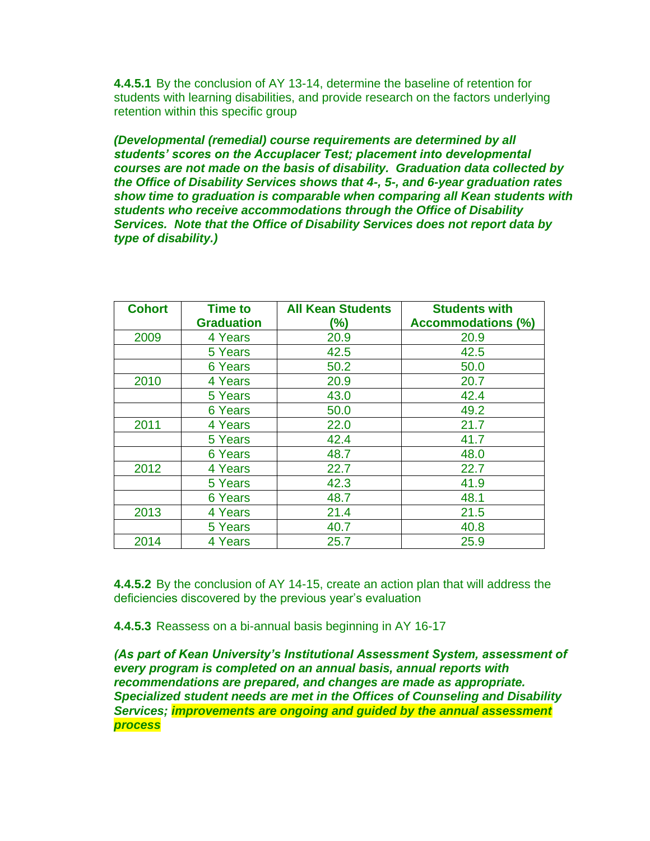**4.4.5.1** By the conclusion of AY 13-14, determine the baseline of retention for students with learning disabilities, and provide research on the factors underlying retention within this specific group

*(Developmental (remedial) course requirements are determined by all students' scores on the Accuplacer Test; placement into developmental courses are not made on the basis of disability. Graduation data collected by the Office of Disability Services shows that 4-, 5-, and 6-year graduation rates show time to graduation is comparable when comparing all Kean students with students who receive accommodations through the Office of Disability Services. Note that the Office of Disability Services does not report data by type of disability.)*

| <b>Cohort</b> | <b>Time to</b>    | <b>All Kean Students</b> | <b>Students with</b>      |
|---------------|-------------------|--------------------------|---------------------------|
|               | <b>Graduation</b> | (%)                      | <b>Accommodations (%)</b> |
| 2009          | 4 Years           | 20.9                     | 20.9                      |
|               | 5 Years           | 42.5                     | 42.5                      |
|               | 6 Years           | 50.2                     | 50.0                      |
| 2010          | 4 Years           | 20.9                     | 20.7                      |
|               | 5 Years           | 43.0                     | 42.4                      |
|               | 6 Years           | 50.0                     | 49.2                      |
| 2011          | 4 Years           | 22.0                     | 21.7                      |
|               | 5 Years           | 42.4                     | 41.7                      |
|               | 6 Years           | 48.7                     | 48.0                      |
| 2012          | 4 Years           | 22.7                     | 22.7                      |
|               | 5 Years           | 42.3                     | 41.9                      |
|               | 6 Years           | 48.7                     | 48.1                      |
| 2013          | 4 Years           | 21.4                     | 21.5                      |
|               | 5 Years           | 40.7                     | 40.8                      |
| 2014          | 4 Years           | 25.7                     | 25.9                      |

**4.4.5.2** By the conclusion of AY 14-15, create an action plan that will address the deficiencies discovered by the previous year's evaluation

**4.4.5.3** Reassess on a bi-annual basis beginning in AY 16-17

*(As part of Kean University's Institutional Assessment System, assessment of every program is completed on an annual basis, annual reports with recommendations are prepared, and changes are made as appropriate. Specialized student needs are met in the Offices of Counseling and Disability Services; improvements are ongoing and guided by the annual assessment process*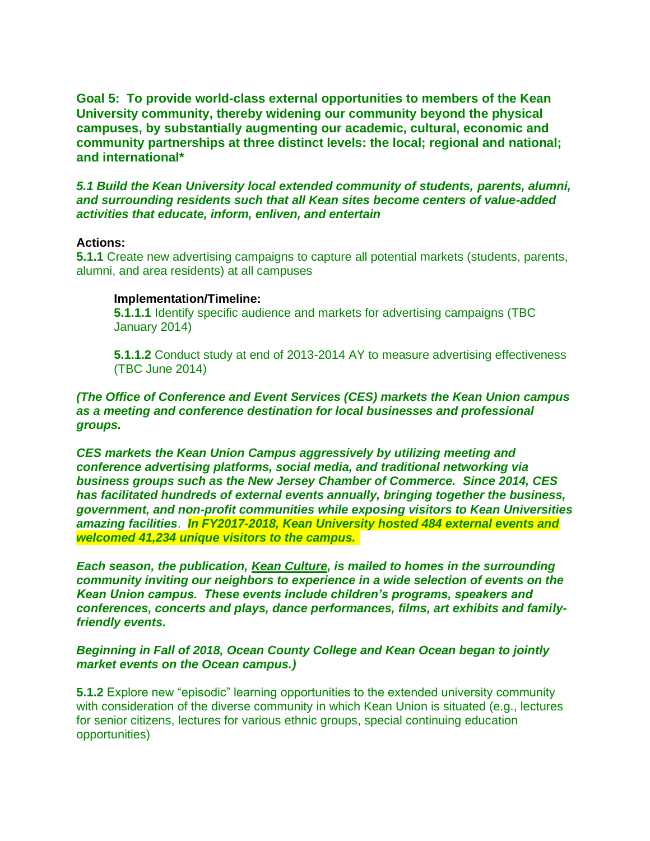**Goal 5: To provide world-class external opportunities to members of the Kean University community, thereby widening our community beyond the physical campuses, by substantially augmenting our academic, cultural, economic and community partnerships at three distinct levels: the local; regional and national; and international\***

*5.1 Build the Kean University local extended community of students, parents, alumni, and surrounding residents such that all Kean sites become centers of value-added activities that educate, inform, enliven, and entertain*

#### **Actions:**

**5.1.1** Create new advertising campaigns to capture all potential markets (students, parents, alumni, and area residents) at all campuses

#### **Implementation/Timeline:**

**5.1.1.1** Identify specific audience and markets for advertising campaigns (TBC January 2014)

**5.1.1.2** Conduct study at end of 2013-2014 AY to measure advertising effectiveness (TBC June 2014)

# *(The Office of Conference and Event Services (CES) markets the Kean Union campus as a meeting and conference destination for local businesses and professional groups.*

*CES markets the Kean Union Campus aggressively by utilizing meeting and conference advertising platforms, social media, and traditional networking via business groups such as the New Jersey Chamber of Commerce. Since 2014, CES has facilitated hundreds of external events annually, bringing together the business, government, and non-profit communities while exposing visitors to Kean Universities amazing facilities*. *In FY2017-2018, Kean University hosted 484 external events and welcomed 41,234 unique visitors to the campus.*

*Each season, the publication, Kean Culture, is mailed to homes in the surrounding community inviting our neighbors to experience in a wide selection of events on the Kean Union campus. These events include children's programs, speakers and conferences, concerts and plays, dance performances, films, art exhibits and familyfriendly events.*

### *Beginning in Fall of 2018, Ocean County College and Kean Ocean began to jointly market events on the Ocean campus.)*

**5.1.2** Explore new "episodic" learning opportunities to the extended university community with consideration of the diverse community in which Kean Union is situated (e.g., lectures for senior citizens, lectures for various ethnic groups, special continuing education opportunities)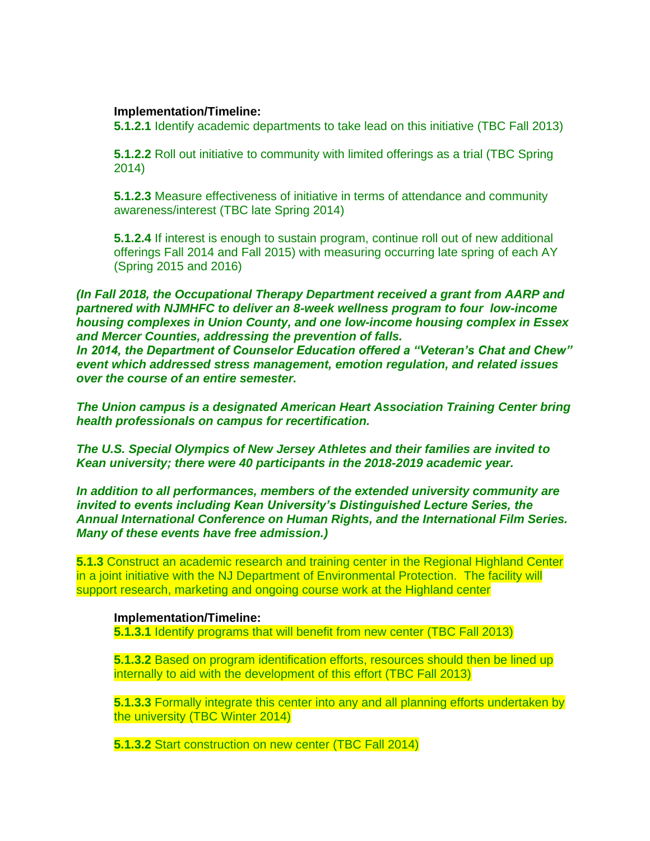### **Implementation/Timeline:**

**5.1.2.1** Identify academic departments to take lead on this initiative (TBC Fall 2013)

**5.1.2.2** Roll out initiative to community with limited offerings as a trial (TBC Spring 2014)

**5.1.2.3** Measure effectiveness of initiative in terms of attendance and community awareness/interest (TBC late Spring 2014)

**5.1.2.4** If interest is enough to sustain program, continue roll out of new additional offerings Fall 2014 and Fall 2015) with measuring occurring late spring of each AY (Spring 2015 and 2016)

*(In Fall 2018, the Occupational Therapy Department received a grant from AARP and partnered with NJMHFC to deliver an 8-week wellness program to four low-income housing complexes in Union County, and one low-income housing complex in Essex and Mercer Counties, addressing the prevention of falls.*

*In 2014, the Department of Counselor Education offered a "Veteran's Chat and Chew" event which addressed stress management, emotion regulation, and related issues over the course of an entire semester.*

*The Union campus is a designated American Heart Association Training Center bring health professionals on campus for recertification.*

*The U.S. Special Olympics of New Jersey Athletes and their families are invited to Kean university; there were 40 participants in the 2018-2019 academic year.*

*In addition to all performances, members of the extended university community are invited to events including Kean University's Distinguished Lecture Series, the Annual International Conference on Human Rights, and the International Film Series. Many of these events have free admission.)*

**5.1.3** Construct an academic research and training center in the Regional Highland Center in a joint initiative with the NJ Department of Environmental Protection. The facility will support research, marketing and ongoing course work at the Highland center

### **Implementation/Timeline:**

**5.1.3.1** Identify programs that will benefit from new center (TBC Fall 2013)

**5.1.3.2** Based on program identification efforts, resources should then be lined up internally to aid with the development of this effort (TBC Fall 2013)

**5.1.3.3** Formally integrate this center into any and all planning efforts undertaken by the university (TBC Winter 2014)

**5.1.3.2** Start construction on new center (TBC Fall 2014)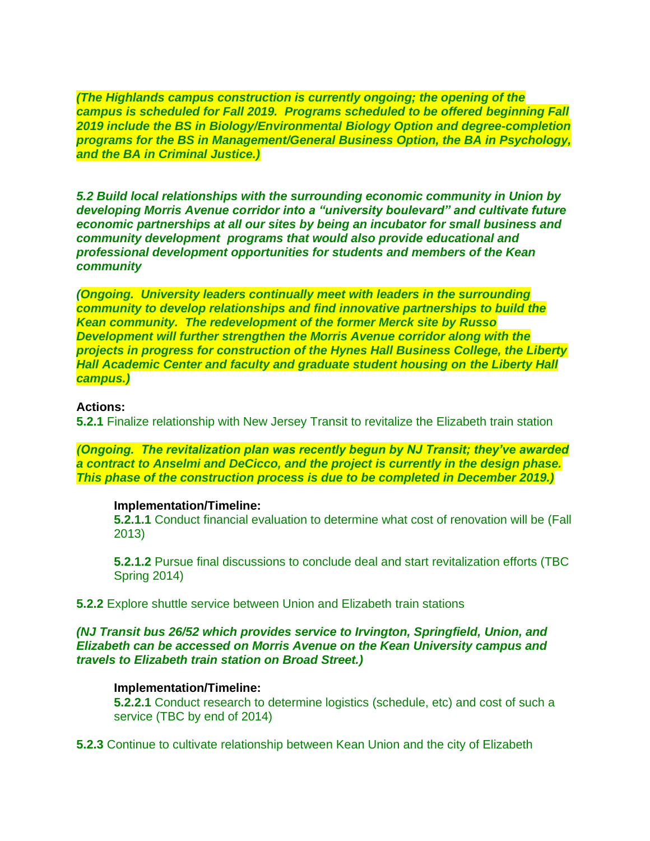*(The Highlands campus construction is currently ongoing; the opening of the campus is scheduled for Fall 2019. Programs scheduled to be offered beginning Fall 2019 include the BS in Biology/Environmental Biology Option and degree-completion programs for the BS in Management/General Business Option, the BA in Psychology, and the BA in Criminal Justice.)* 

*5.2 Build local relationships with the surrounding economic community in Union by developing Morris Avenue corridor into a "university boulevard" and cultivate future economic partnerships at all our sites by being an incubator for small business and community development programs that would also provide educational and professional development opportunities for students and members of the Kean community*

*(Ongoing. University leaders continually meet with leaders in the surrounding community to develop relationships and find innovative partnerships to build the Kean community. The redevelopment of the former Merck site by Russo Development will further strengthen the Morris Avenue corridor along with the projects in progress for construction of the Hynes Hall Business College, the Liberty Hall Academic Center and faculty and graduate student housing on the Liberty Hall campus.)*

### **Actions:**

**5.2.1** Finalize relationship with New Jersey Transit to revitalize the Elizabeth train station

*(Ongoing. The revitalization plan was recently begun by NJ Transit; they've awarded a contract to Anselmi and DeCicco, and the project is currently in the design phase. This phase of the construction process is due to be completed in December 2019.)*

#### **Implementation/Timeline:**

**5.2.1.1** Conduct financial evaluation to determine what cost of renovation will be (Fall 2013)

**5.2.1.2** Pursue final discussions to conclude deal and start revitalization efforts (TBC Spring 2014)

**5.2.2** Explore shuttle service between Union and Elizabeth train stations

### *(NJ Transit bus 26/52 which provides service to Irvington, Springfield, Union, and Elizabeth can be accessed on Morris Avenue on the Kean University campus and travels to Elizabeth train station on Broad Street.)*

### **Implementation/Timeline:**

**5.2.2.1** Conduct research to determine logistics (schedule, etc) and cost of such a service (TBC by end of 2014)

**5.2.3** Continue to cultivate relationship between Kean Union and the city of Elizabeth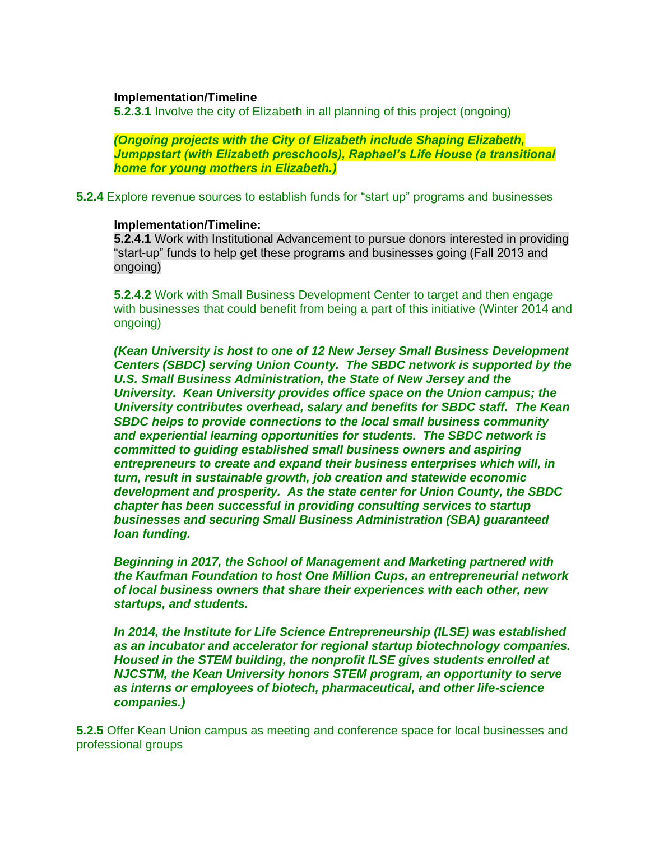### **Implementation/Timeline**

**5.2.3.1** Involve the city of Elizabeth in all planning of this project (ongoing)

*(Ongoing projects with the City of Elizabeth include Shaping Elizabeth, Jumppstart (with Elizabeth preschools), Raphael's Life House (a transitional home for young mothers in Elizabeth.)*

**5.2.4** Explore revenue sources to establish funds for "start up" programs and businesses

### **Implementation/Timeline:**

**5.2.4.1** Work with Institutional Advancement to pursue donors interested in providing "start-up" funds to help get these programs and businesses going (Fall 2013 and ongoing)

**5.2.4.2** Work with Small Business Development Center to target and then engage with businesses that could benefit from being a part of this initiative (Winter 2014 and ongoing)

*(Kean University is host to one of 12 New Jersey Small Business Development Centers (SBDC) serving Union County. The SBDC network is supported by the U.S. Small Business Administration, the State of New Jersey and the University. Kean University provides office space on the Union campus; the University contributes overhead, salary and benefits for SBDC staff. The Kean SBDC helps to provide connections to the local small business community and experiential learning opportunities for students. The SBDC network is committed to guiding established small business owners and aspiring entrepreneurs to create and expand their business enterprises which will, in turn, result in sustainable growth, job creation and statewide economic development and prosperity. As the state center for Union County, the SBDC chapter has been successful in providing consulting services to startup businesses and securing Small Business Administration (SBA) guaranteed loan funding.*

*Beginning in 2017, the School of Management and Marketing partnered with the Kaufman Foundation to host One Million Cups, an entrepreneurial network of local business owners that share their experiences with each other, new startups, and students.*

*In 2014, the Institute for Life Science Entrepreneurship (ILSE) was established as an incubator and accelerator for regional startup biotechnology companies. Housed in the STEM building, the nonprofit ILSE gives students enrolled at NJCSTM, the Kean University honors STEM program, an opportunity to serve as interns or employees of biotech, pharmaceutical, and other life-science companies.)*

**5.2.5** Offer Kean Union campus as meeting and conference space for local businesses and professional groups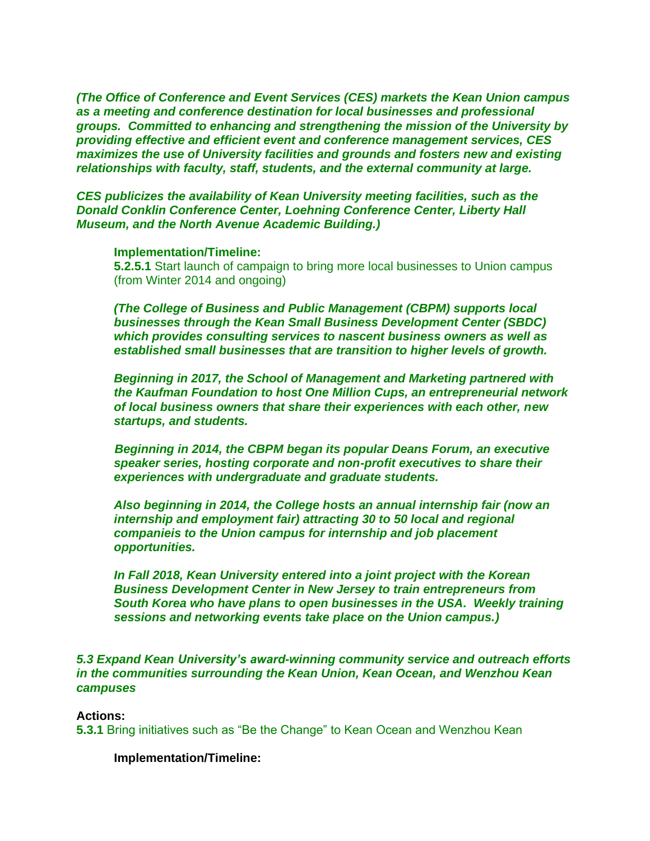*(The Office of Conference and Event Services (CES) markets the Kean Union campus as a meeting and conference destination for local businesses and professional groups. Committed to enhancing and strengthening the mission of the University by providing effective and efficient event and conference management services, CES maximizes the use of University facilities and grounds and fosters new and existing relationships with faculty, staff, students, and the external community at large.*

*CES publicizes the availability of Kean University meeting facilities, such as the Donald Conklin Conference Center, Loehning Conference Center, Liberty Hall Museum, and the North Avenue Academic Building.)*

#### **Implementation/Timeline:**

**5.2.5.1** Start launch of campaign to bring more local businesses to Union campus (from Winter 2014 and ongoing)

*(The College of Business and Public Management (CBPM) supports local businesses through the Kean Small Business Development Center (SBDC) which provides consulting services to nascent business owners as well as established small businesses that are transition to higher levels of growth.* 

*Beginning in 2017, the School of Management and Marketing partnered with the Kaufman Foundation to host One Million Cups, an entrepreneurial network of local business owners that share their experiences with each other, new startups, and students.*

*Beginning in 2014, the CBPM began its popular Deans Forum, an executive speaker series, hosting corporate and non-profit executives to share their experiences with undergraduate and graduate students.*

*Also beginning in 2014, the College hosts an annual internship fair (now an internship and employment fair) attracting 30 to 50 local and regional companieis to the Union campus for internship and job placement opportunities.*

*In Fall 2018, Kean University entered into a joint project with the Korean Business Development Center in New Jersey to train entrepreneurs from South Korea who have plans to open businesses in the USA. Weekly training sessions and networking events take place on the Union campus.)*

*5.3 Expand Kean University's award-winning community service and outreach efforts in the communities surrounding the Kean Union, Kean Ocean, and Wenzhou Kean campuses*

#### **Actions:**

**5.3.1** Bring initiatives such as "Be the Change" to Kean Ocean and Wenzhou Kean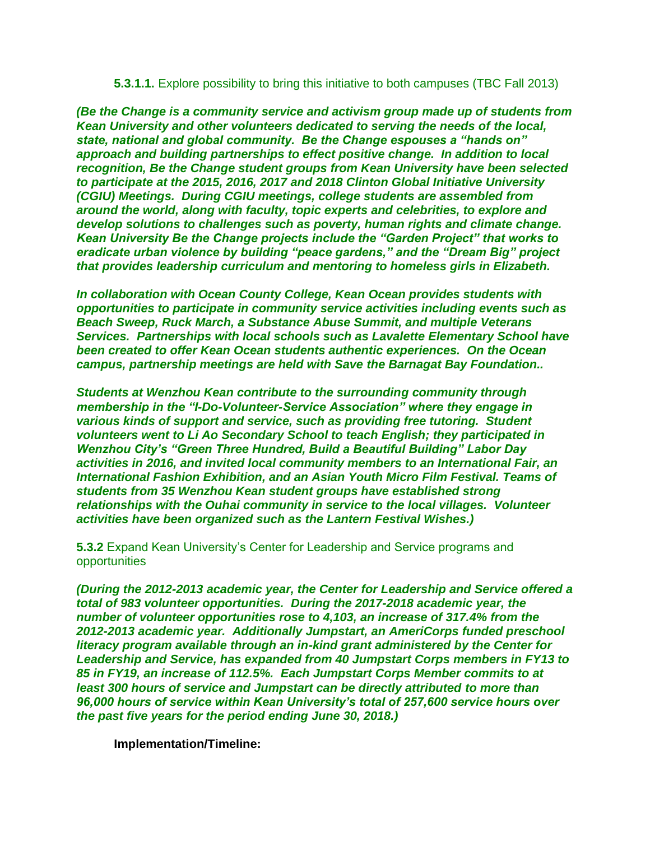### **5.3.1.1.** Explore possibility to bring this initiative to both campuses (TBC Fall 2013)

*(Be the Change is a community service and activism group made up of students from Kean University and other volunteers dedicated to serving the needs of the local, state, national and global community. Be the Change espouses a "hands on" approach and building partnerships to effect positive change. In addition to local recognition, Be the Change student groups from Kean University have been selected to participate at the 2015, 2016, 2017 and 2018 Clinton Global Initiative University (CGIU) Meetings. During CGIU meetings, college students are assembled from around the world, along with faculty, topic experts and celebrities, to explore and develop solutions to challenges such as poverty, human rights and climate change. Kean University Be the Change projects include the "Garden Project" that works to eradicate urban violence by building "peace gardens," and the "Dream Big" project that provides leadership curriculum and mentoring to homeless girls in Elizabeth.*

*In collaboration with Ocean County College, Kean Ocean provides students with opportunities to participate in community service activities including events such as Beach Sweep, Ruck March, a Substance Abuse Summit, and multiple Veterans Services. Partnerships with local schools such as Lavalette Elementary School have been created to offer Kean Ocean students authentic experiences. On the Ocean campus, partnership meetings are held with Save the Barnagat Bay Foundation..*

*Students at Wenzhou Kean contribute to the surrounding community through membership in the "I-Do-Volunteer-Service Association" where they engage in various kinds of support and service, such as providing free tutoring. Student volunteers went to Li Ao Secondary School to teach English; they participated in Wenzhou City's "Green Three Hundred, Build a Beautiful Building" Labor Day activities in 2016, and invited local community members to an International Fair, an International Fashion Exhibition, and an Asian Youth Micro Film Festival. Teams of students from 35 Wenzhou Kean student groups have established strong relationships with the Ouhai community in service to the local villages. Volunteer activities have been organized such as the Lantern Festival Wishes.)*

**5.3.2** Expand Kean University's Center for Leadership and Service programs and opportunities

*(During the 2012-2013 academic year, the Center for Leadership and Service offered a total of 983 volunteer opportunities. During the 2017-2018 academic year, the number of volunteer opportunities rose to 4,103, an increase of 317.4% from the 2012-2013 academic year. Additionally Jumpstart, an AmeriCorps funded preschool literacy program available through an in-kind grant administered by the Center for Leadership and Service, has expanded from 40 Jumpstart Corps members in FY13 to 85 in FY19, an increase of 112.5%. Each Jumpstart Corps Member commits to at least 300 hours of service and Jumpstart can be directly attributed to more than 96,000 hours of service within Kean University's total of 257,600 service hours over the past five years for the period ending June 30, 2018.)*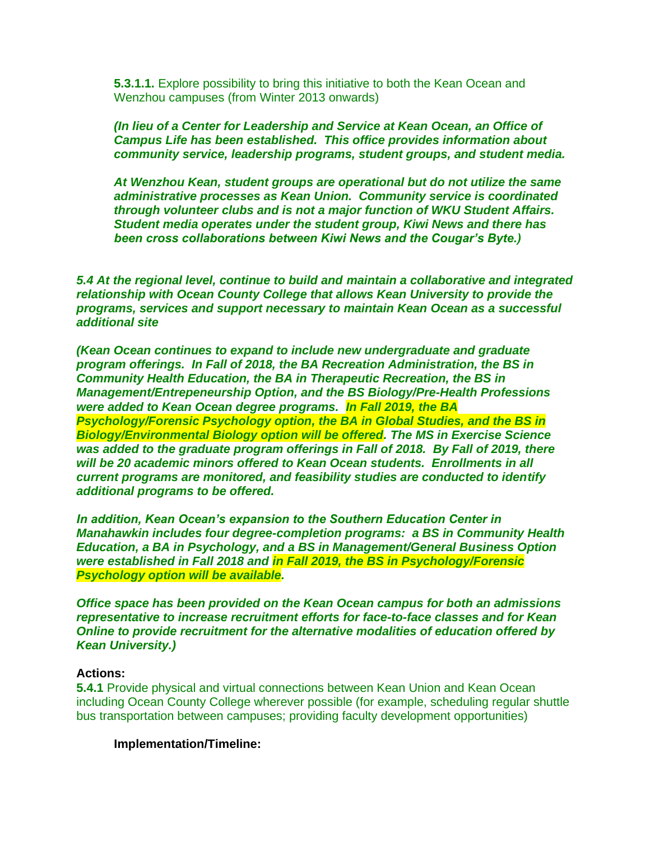**5.3.1.1.** Explore possibility to bring this initiative to both the Kean Ocean and Wenzhou campuses (from Winter 2013 onwards)

*(In lieu of a Center for Leadership and Service at Kean Ocean, an Office of Campus Life has been established. This office provides information about community service, leadership programs, student groups, and student media.*

*At Wenzhou Kean, student groups are operational but do not utilize the same administrative processes as Kean Union. Community service is coordinated through volunteer clubs and is not a major function of WKU Student Affairs. Student media operates under the student group, Kiwi News and there has been cross collaborations between Kiwi News and the Cougar's Byte.)*

*5.4 At the regional level, continue to build and maintain a collaborative and integrated relationship with Ocean County College that allows Kean University to provide the programs, services and support necessary to maintain Kean Ocean as a successful additional site*

*(Kean Ocean continues to expand to include new undergraduate and graduate program offerings. In Fall of 2018, the BA Recreation Administration, the BS in Community Health Education, the BA in Therapeutic Recreation, the BS in Management/Entrepeneurship Option, and the BS Biology/Pre-Health Professions were added to Kean Ocean degree programs. In Fall 2019, the BA Psychology/Forensic Psychology option, the BA in Global Studies, and the BS in Biology/Environmental Biology option will be offered. The MS in Exercise Science was added to the graduate program offerings in Fall of 2018. By Fall of 2019, there will be 20 academic minors offered to Kean Ocean students. Enrollments in all current programs are monitored, and feasibility studies are conducted to identify additional programs to be offered.*

*In addition, Kean Ocean's expansion to the Southern Education Center in Manahawkin includes four degree-completion programs: a BS in Community Health Education, a BA in Psychology, and a BS in Management/General Business Option were established in Fall 2018 and in Fall 2019, the BS in Psychology/Forensic Psychology option will be available.*

*Office space has been provided on the Kean Ocean campus for both an admissions representative to increase recruitment efforts for face-to-face classes and for Kean Online to provide recruitment for the alternative modalities of education offered by Kean University.)*

### **Actions:**

**5.4.1** Provide physical and virtual connections between Kean Union and Kean Ocean including Ocean County College wherever possible (for example, scheduling regular shuttle bus transportation between campuses; providing faculty development opportunities)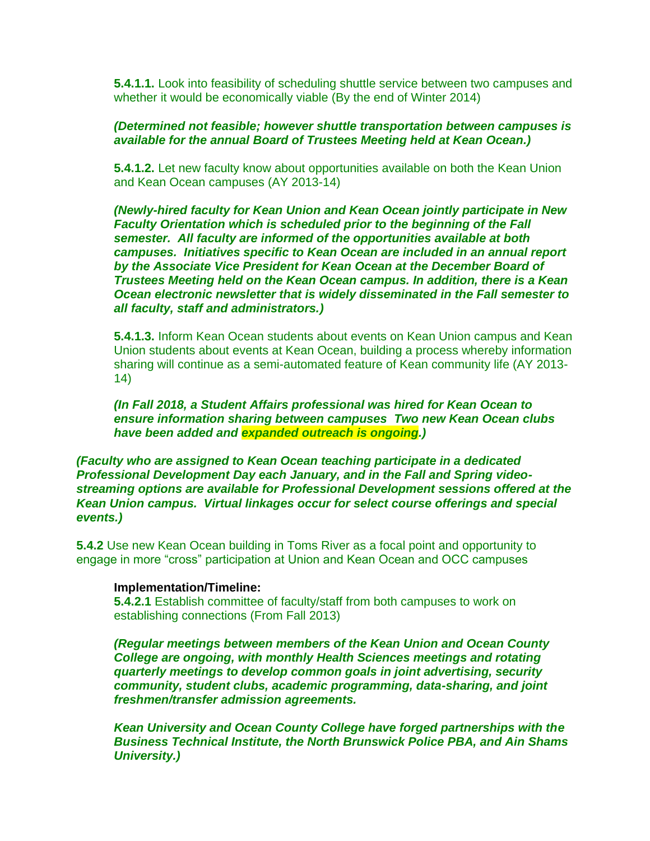**5.4.1.1.** Look into feasibility of scheduling shuttle service between two campuses and whether it would be economically viable (By the end of Winter 2014)

## *(Determined not feasible; however shuttle transportation between campuses is available for the annual Board of Trustees Meeting held at Kean Ocean.)*

**5.4.1.2.** Let new faculty know about opportunities available on both the Kean Union and Kean Ocean campuses (AY 2013-14)

*(Newly-hired faculty for Kean Union and Kean Ocean jointly participate in New Faculty Orientation which is scheduled prior to the beginning of the Fall semester. All faculty are informed of the opportunities available at both campuses. Initiatives specific to Kean Ocean are included in an annual report by the Associate Vice President for Kean Ocean at the December Board of Trustees Meeting held on the Kean Ocean campus. In addition, there is a Kean Ocean electronic newsletter that is widely disseminated in the Fall semester to all faculty, staff and administrators.)*

**5.4.1.3.** Inform Kean Ocean students about events on Kean Union campus and Kean Union students about events at Kean Ocean, building a process whereby information sharing will continue as a semi-automated feature of Kean community life (AY 2013- 14)

*(In Fall 2018, a Student Affairs professional was hired for Kean Ocean to ensure information sharing between campuses Two new Kean Ocean clubs have been added and expanded outreach is ongoing.)*

*(Faculty who are assigned to Kean Ocean teaching participate in a dedicated Professional Development Day each January, and in the Fall and Spring videostreaming options are available for Professional Development sessions offered at the Kean Union campus. Virtual linkages occur for select course offerings and special events.)*

**5.4.2** Use new Kean Ocean building in Toms River as a focal point and opportunity to engage in more "cross" participation at Union and Kean Ocean and OCC campuses

## **Implementation/Timeline:**

**5.4.2.1** Establish committee of faculty/staff from both campuses to work on establishing connections (From Fall 2013)

*(Regular meetings between members of the Kean Union and Ocean County College are ongoing, with monthly Health Sciences meetings and rotating quarterly meetings to develop common goals in joint advertising, security community, student clubs, academic programming, data-sharing, and joint freshmen/transfer admission agreements.*

*Kean University and Ocean County College have forged partnerships with the Business Technical Institute, the North Brunswick Police PBA, and Ain Shams University.)*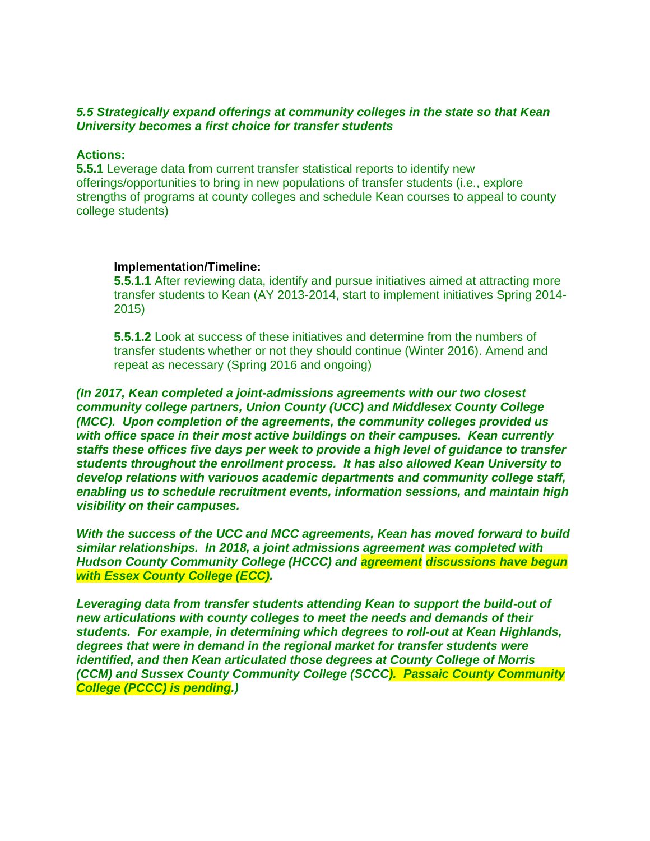## *5.5 Strategically expand offerings at community colleges in the state so that Kean University becomes a first choice for transfer students*

### **Actions:**

**5.5.1** Leverage data from current transfer statistical reports to identify new offerings/opportunities to bring in new populations of transfer students (i.e., explore strengths of programs at county colleges and schedule Kean courses to appeal to county college students)

### **Implementation/Timeline:**

**5.5.1.1** After reviewing data, identify and pursue initiatives aimed at attracting more transfer students to Kean (AY 2013-2014, start to implement initiatives Spring 2014- 2015)

**5.5.1.2** Look at success of these initiatives and determine from the numbers of transfer students whether or not they should continue (Winter 2016). Amend and repeat as necessary (Spring 2016 and ongoing)

*(In 2017, Kean completed a joint-admissions agreements with our two closest community college partners, Union County (UCC) and Middlesex County College (MCC). Upon completion of the agreements, the community colleges provided us with office space in their most active buildings on their campuses. Kean currently staffs these offices five days per week to provide a high level of guidance to transfer students throughout the enrollment process. It has also allowed Kean University to develop relations with variouos academic departments and community college staff, enabling us to schedule recruitment events, information sessions, and maintain high visibility on their campuses.*

*With the success of the UCC and MCC agreements, Kean has moved forward to build similar relationships. In 2018, a joint admissions agreement was completed with Hudson County Community College (HCCC) and agreement discussions have begun with Essex County College (ECC).* 

*Leveraging data from transfer students attending Kean to support the build-out of new articulations with county colleges to meet the needs and demands of their students. For example, in determining which degrees to roll-out at Kean Highlands, degrees that were in demand in the regional market for transfer students were identified, and then Kean articulated those degrees at County College of Morris (CCM) and Sussex County Community College (SCCC). Passaic County Community College (PCCC) is pending.)*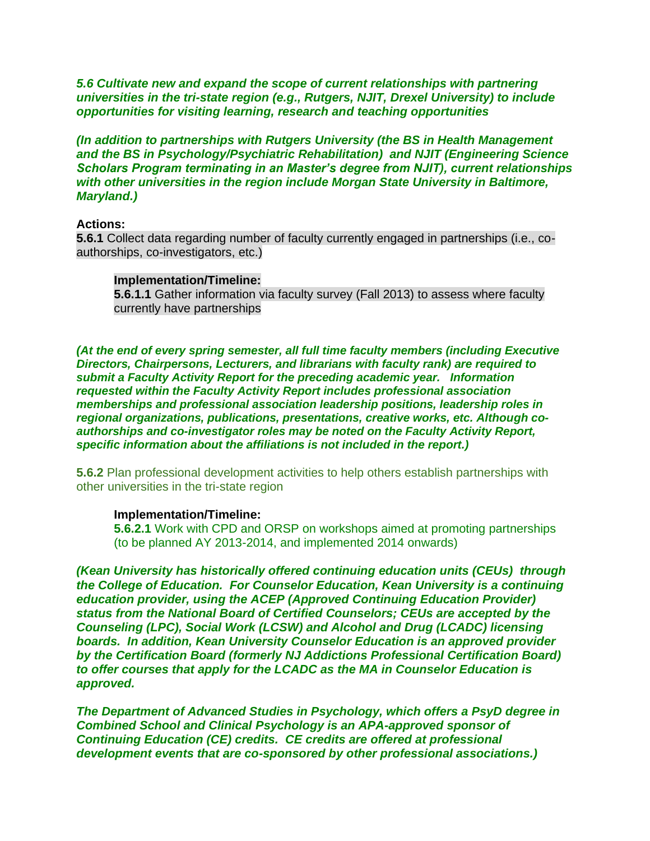*5.6 Cultivate new and expand the scope of current relationships with partnering universities in the tri-state region (e.g., Rutgers, NJIT, Drexel University) to include opportunities for visiting learning, research and teaching opportunities*

*(In addition to partnerships with Rutgers University (the BS in Health Management and the BS in Psychology/Psychiatric Rehabilitation) and NJIT (Engineering Science Scholars Program terminating in an Master's degree from NJIT), current relationships with other universities in the region include Morgan State University in Baltimore, Maryland.)*

#### **Actions:**

**5.6.1** Collect data regarding number of faculty currently engaged in partnerships (i.e., coauthorships, co-investigators, etc.)

#### **Implementation/Timeline:**

**5.6.1.1** Gather information via faculty survey (Fall 2013) to assess where faculty currently have partnerships

*(At the end of every spring semester, all full time faculty members (including Executive Directors, Chairpersons, Lecturers, and librarians with faculty rank) are required to submit a Faculty Activity Report for the preceding academic year. Information requested within the Faculty Activity Report includes professional association memberships and professional association leadership positions, leadership roles in regional organizations, publications, presentations, creative works, etc. Although coauthorships and co-investigator roles may be noted on the Faculty Activity Report, specific information about the affiliations is not included in the report.)*

**5.6.2** Plan professional development activities to help others establish partnerships with other universities in the tri-state region

#### **Implementation/Timeline:**

**5.6.2.1** Work with CPD and ORSP on workshops aimed at promoting partnerships (to be planned AY 2013-2014, and implemented 2014 onwards)

*(Kean University has historically offered continuing education units (CEUs) through the College of Education. For Counselor Education, Kean University is a continuing education provider, using the ACEP (Approved Continuing Education Provider) status from the National Board of Certified Counselors; CEUs are accepted by the Counseling (LPC), Social Work (LCSW) and Alcohol and Drug (LCADC) licensing boards. In addition, Kean University Counselor Education is an approved provider by the Certification Board (formerly NJ Addictions Professional Certification Board) to offer courses that apply for the LCADC as the MA in Counselor Education is approved.* 

*The Department of Advanced Studies in Psychology, which offers a PsyD degree in Combined School and Clinical Psychology is an APA-approved sponsor of Continuing Education (CE) credits. CE credits are offered at professional development events that are co-sponsored by other professional associations.)*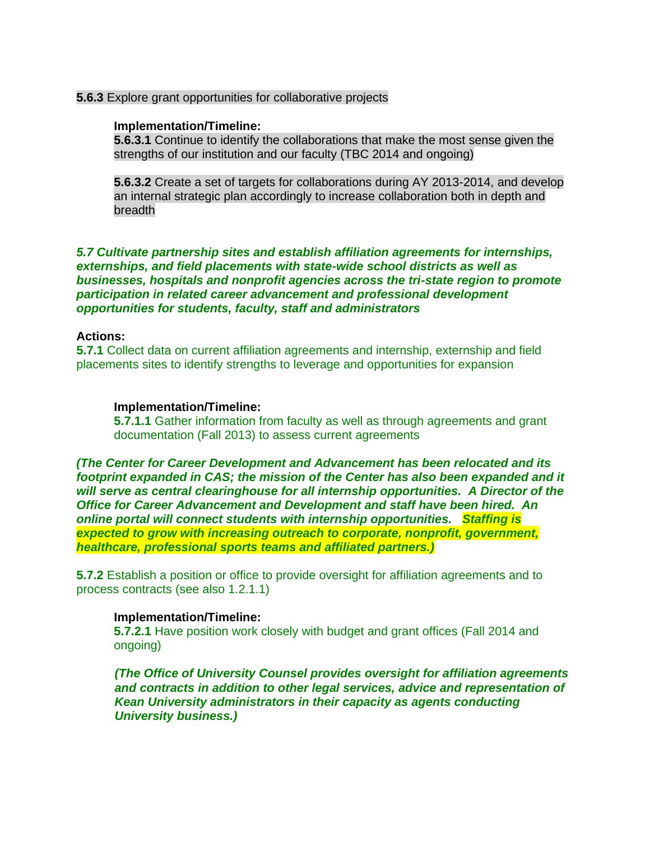### **5.6.3** Explore grant opportunities for collaborative projects

#### **Implementation/Timeline:**

**5.6.3.1** Continue to identify the collaborations that make the most sense given the strengths of our institution and our faculty (TBC 2014 and ongoing)

**5.6.3.2** Create a set of targets for collaborations during AY 2013-2014, and develop an internal strategic plan accordingly to increase collaboration both in depth and breadth

## *5.7 Cultivate partnership sites and establish affiliation agreements for internships, externships, and field placements with state-wide school districts as well as businesses, hospitals and nonprofit agencies across the tri-state region to promote participation in related career advancement and professional development opportunities for students, faculty, staff and administrators*

### **Actions:**

**5.7.1** Collect data on current affiliation agreements and internship, externship and field placements sites to identify strengths to leverage and opportunities for expansion

#### **Implementation/Timeline:**

**5.7.1.1** Gather information from faculty as well as through agreements and grant documentation (Fall 2013) to assess current agreements

*(The Center for Career Development and Advancement has been relocated and its footprint expanded in CAS; the mission of the Center has also been expanded and it will serve as central clearinghouse for all internship opportunities. A Director of the Office for Career Advancement and Development and staff have been hired. An online portal will connect students with internship opportunities. Staffing is expected to grow with increasing outreach to corporate, nonprofit, government, healthcare, professional sports teams and affiliated partners.)*

**5.7.2** Establish a position or office to provide oversight for affiliation agreements and to process contracts (see also 1.2.1.1)

### **Implementation/Timeline:**

**5.7.2.1** Have position work closely with budget and grant offices (Fall 2014 and ongoing)

*(The Office of University Counsel provides oversight for affiliation agreements and contracts in addition to other legal services, advice and representation of Kean University administrators in their capacity as agents conducting University business.)*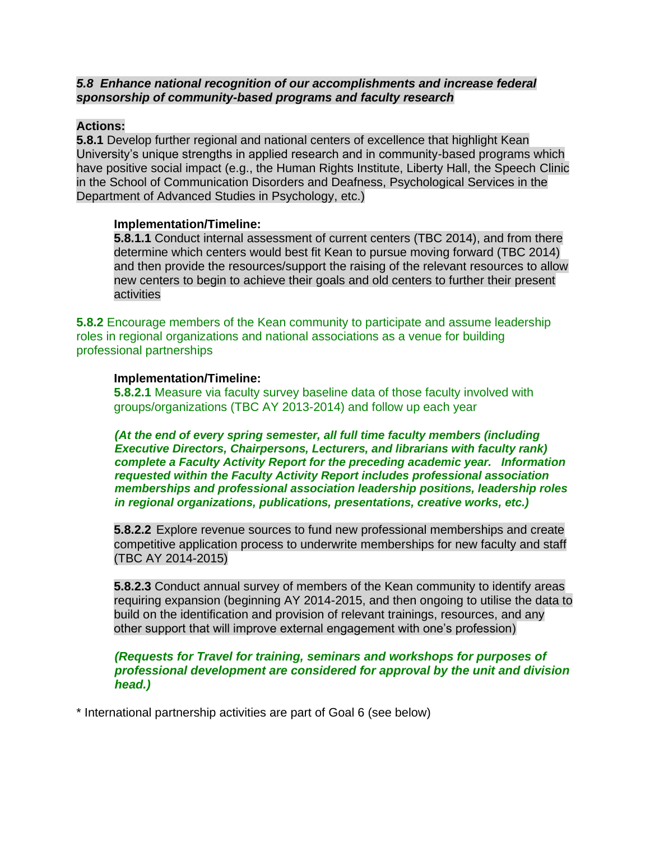## *5.8 Enhance national recognition of our accomplishments and increase federal sponsorship of community-based programs and faculty research*

## **Actions:**

**5.8.1** Develop further regional and national centers of excellence that highlight Kean University's unique strengths in applied research and in community-based programs which have positive social impact (e.g., the Human Rights Institute, Liberty Hall, the Speech Clinic in the School of Communication Disorders and Deafness, Psychological Services in the Department of Advanced Studies in Psychology, etc.)

### **Implementation/Timeline:**

**5.8.1.1** Conduct internal assessment of current centers (TBC 2014), and from there determine which centers would best fit Kean to pursue moving forward (TBC 2014) and then provide the resources/support the raising of the relevant resources to allow new centers to begin to achieve their goals and old centers to further their present activities

**5.8.2** Encourage members of the Kean community to participate and assume leadership roles in regional organizations and national associations as a venue for building professional partnerships

### **Implementation/Timeline:**

**5.8.2.1** Measure via faculty survey baseline data of those faculty involved with groups/organizations (TBC AY 2013-2014) and follow up each year

*(At the end of every spring semester, all full time faculty members (including Executive Directors, Chairpersons, Lecturers, and librarians with faculty rank) complete a Faculty Activity Report for the preceding academic year. Information requested within the Faculty Activity Report includes professional association memberships and professional association leadership positions, leadership roles in regional organizations, publications, presentations, creative works, etc.)*

**5.8.2.2** Explore revenue sources to fund new professional memberships and create competitive application process to underwrite memberships for new faculty and staff (TBC AY 2014-2015)

**5.8.2.3** Conduct annual survey of members of the Kean community to identify areas requiring expansion (beginning AY 2014-2015, and then ongoing to utilise the data to build on the identification and provision of relevant trainings, resources, and any other support that will improve external engagement with one's profession)

### *(Requests for Travel for training, seminars and workshops for purposes of professional development are considered for approval by the unit and division head.)*

\* International partnership activities are part of Goal 6 (see below)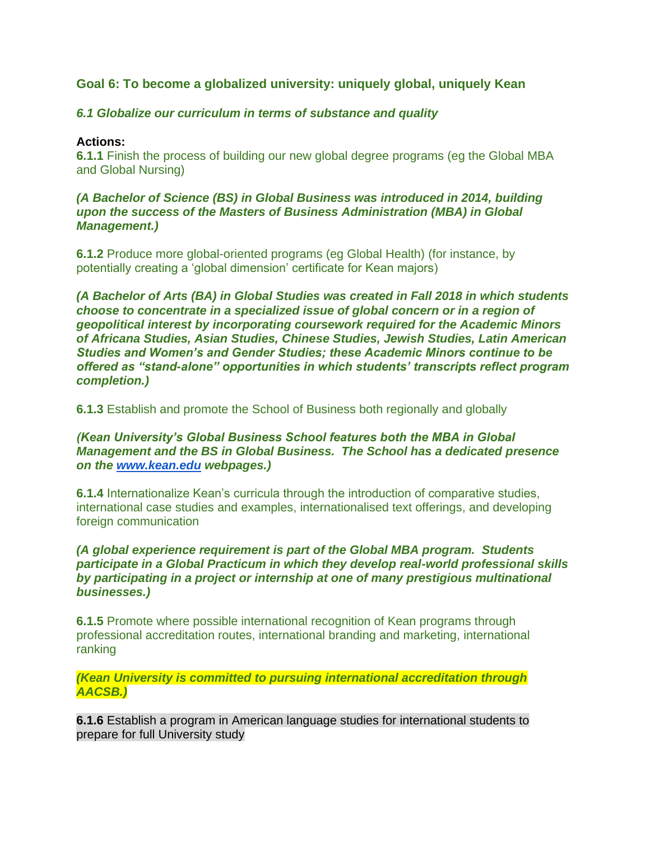# **Goal 6: To become a globalized university: uniquely global, uniquely Kean**

# *6.1 Globalize our curriculum in terms of substance and quality*

## **Actions:**

**6.1.1** Finish the process of building our new global degree programs (eg the Global MBA and Global Nursing)

## *(A Bachelor of Science (BS) in Global Business was introduced in 2014, building upon the success of the Masters of Business Administration (MBA) in Global Management.)*

**6.1.2** Produce more global-oriented programs (eg Global Health) (for instance, by potentially creating a 'global dimension' certificate for Kean majors)

*(A Bachelor of Arts (BA) in Global Studies was created in Fall 2018 in which students choose to concentrate in a specialized issue of global concern or in a region of geopolitical interest by incorporating coursework required for the Academic Minors of Africana Studies, Asian Studies, Chinese Studies, Jewish Studies, Latin American Studies and Women's and Gender Studies; these Academic Minors continue to be offered as "stand-alone" opportunities in which students' transcripts reflect program completion.)*

**6.1.3** Establish and promote the School of Business both regionally and globally

# *(Kean University's Global Business School features both the MBA in Global Management and the BS in Global Business. The School has a dedicated presence on the [www.kean.edu](http://www.kean.edu/) webpages.)*

**6.1.4** Internationalize Kean's curricula through the introduction of comparative studies, international case studies and examples, internationalised text offerings, and developing foreign communication

# *(A global experience requirement is part of the Global MBA program. Students participate in a Global Practicum in which they develop real-world professional skills by participating in a project or internship at one of many prestigious multinational businesses.)*

**6.1.5** Promote where possible international recognition of Kean programs through professional accreditation routes, international branding and marketing, international ranking

# *(Kean University is committed to pursuing international accreditation through AACSB.)*

**6.1.6** Establish a program in American language studies for international students to prepare for full University study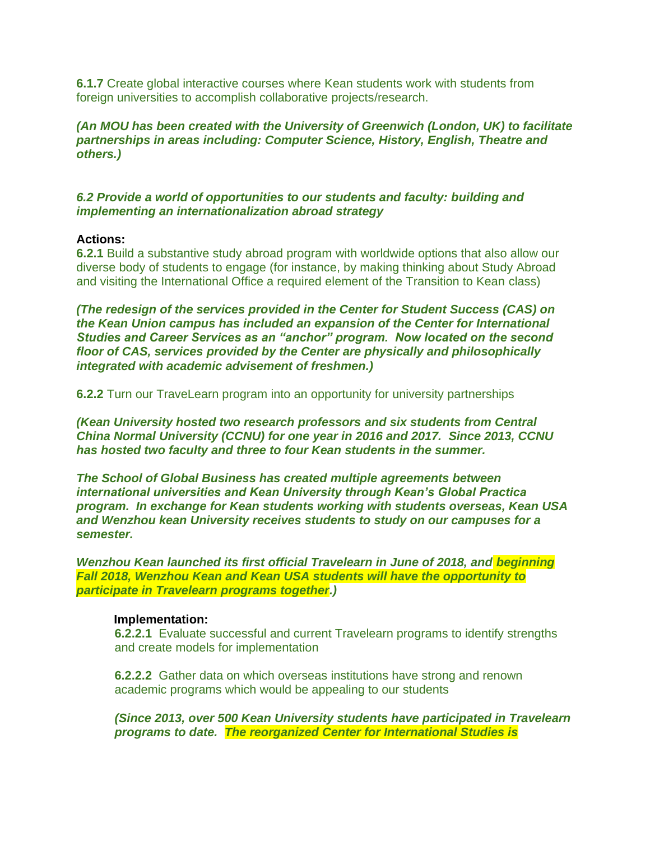**6.1.7** Create global interactive courses where Kean students work with students from foreign universities to accomplish collaborative projects/research.

*(An MOU has been created with the University of Greenwich (London, UK) to facilitate partnerships in areas including: Computer Science, History, English, Theatre and others.)*

## *6.2 Provide a world of opportunities to our students and faculty: building and implementing an internationalization abroad strategy*

### **Actions:**

**6.2.1** Build a substantive study abroad program with worldwide options that also allow our diverse body of students to engage (for instance, by making thinking about Study Abroad and visiting the International Office a required element of the Transition to Kean class)

*(The redesign of the services provided in the Center for Student Success (CAS) on the Kean Union campus has included an expansion of the Center for International Studies and Career Services as an "anchor" program. Now located on the second floor of CAS, services provided by the Center are physically and philosophically integrated with academic advisement of freshmen.)*

**6.2.2** Turn our TraveLearn program into an opportunity for university partnerships

*(Kean University hosted two research professors and six students from Central China Normal University (CCNU) for one year in 2016 and 2017. Since 2013, CCNU has hosted two faculty and three to four Kean students in the summer.*

*The School of Global Business has created multiple agreements between international universities and Kean University through Kean's Global Practica program. In exchange for Kean students working with students overseas, Kean USA and Wenzhou kean University receives students to study on our campuses for a semester.* 

*Wenzhou Kean launched its first official Travelearn in June of 2018, and beginning Fall 2018, Wenzhou Kean and Kean USA students will have the opportunity to participate in Travelearn programs together.)*

### **Implementation:**

**6.2.2.1** Evaluate successful and current Travelearn programs to identify strengths and create models for implementation

**6.2.2.2** Gather data on which overseas institutions have strong and renown academic programs which would be appealing to our students

*(Since 2013, over 500 Kean University students have participated in Travelearn programs to date. The reorganized Center for International Studies is*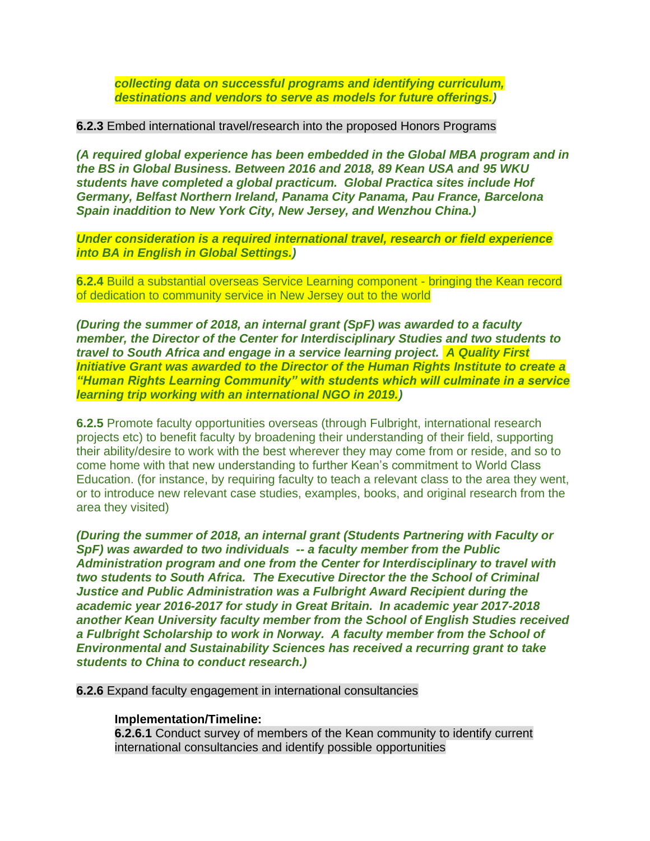*collecting data on successful programs and identifying curriculum, destinations and vendors to serve as models for future offerings.)*

### **6.2.3** Embed international travel/research into the proposed Honors Programs

*(A required global experience has been embedded in the Global MBA program and in the BS in Global Business. Between 2016 and 2018, 89 Kean USA and 95 WKU students have completed a global practicum. Global Practica sites include Hof Germany, Belfast Northern Ireland, Panama City Panama, Pau France, Barcelona Spain inaddition to New York City, New Jersey, and Wenzhou China.)*

*Under consideration is a required international travel, research or field experience into BA in English in Global Settings.)*

**6.2.4** Build a substantial overseas Service Learning component - bringing the Kean record of dedication to community service in New Jersey out to the world

*(During the summer of 2018, an internal grant (SpF) was awarded to a faculty member, the Director of the Center for Interdisciplinary Studies and two students to travel to South Africa and engage in a service learning project. A Quality First Initiative Grant was awarded to the Director of the Human Rights Institute to create a "Human Rights Learning Community" with students which will culminate in a service learning trip working with an international NGO in 2019.)*

**6.2.5** Promote faculty opportunities overseas (through Fulbright, international research projects etc) to benefit faculty by broadening their understanding of their field, supporting their ability/desire to work with the best wherever they may come from or reside, and so to come home with that new understanding to further Kean's commitment to World Class Education. (for instance, by requiring faculty to teach a relevant class to the area they went, or to introduce new relevant case studies, examples, books, and original research from the area they visited)

*(During the summer of 2018, an internal grant (Students Partnering with Faculty or SpF) was awarded to two individuals -- a faculty member from the Public Administration program and one from the Center for Interdisciplinary to travel with two students to South Africa. The Executive Director the the School of Criminal Justice and Public Administration was a Fulbright Award Recipient during the academic year 2016-2017 for study in Great Britain. In academic year 2017-2018 another Kean University faculty member from the School of English Studies received a Fulbright Scholarship to work in Norway. A faculty member from the School of Environmental and Sustainability Sciences has received a recurring grant to take students to China to conduct research.)*

### **6.2.6** Expand faculty engagement in international consultancies

## **Implementation/Timeline:**

**6.2.6.1** Conduct survey of members of the Kean community to identify current international consultancies and identify possible opportunities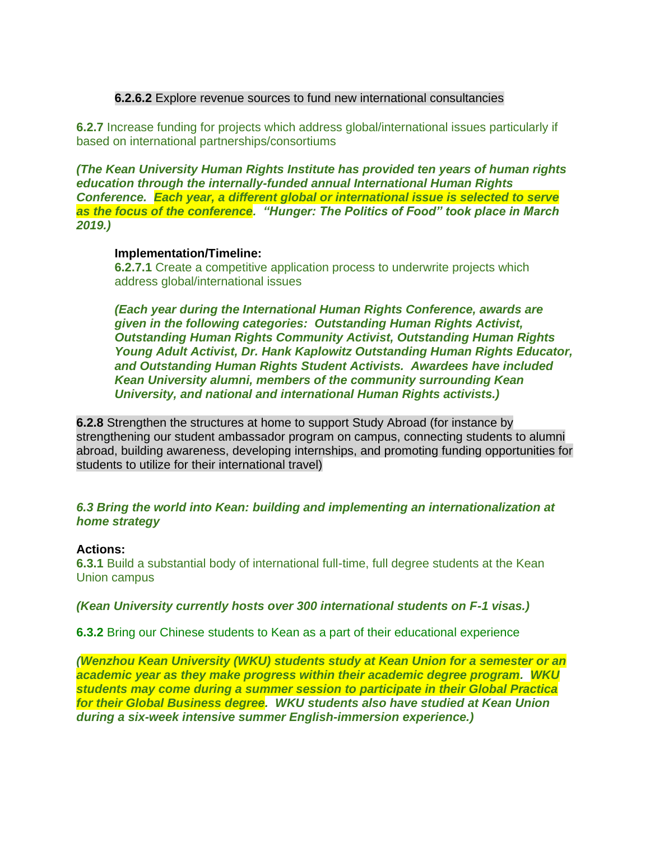## **6.2.6.2** Explore revenue sources to fund new international consultancies

**6.2.7** Increase funding for projects which address global/international issues particularly if based on international partnerships/consortiums

*(The Kean University Human Rights Institute has provided ten years of human rights education through the internally-funded annual International Human Rights Conference. Each year, a different global or international issue is selected to serve as the focus of the conference. "Hunger: The Politics of Food" took place in March 2019.)*

### **Implementation/Timeline:**

**6.2.7.1** Create a competitive application process to underwrite projects which address global/international issues

*(Each year during the International Human Rights Conference, awards are given in the following categories: Outstanding Human Rights Activist, Outstanding Human Rights Community Activist, Outstanding Human Rights Young Adult Activist, Dr. Hank Kaplowitz Outstanding Human Rights Educator, and Outstanding Human Rights Student Activists. Awardees have included Kean University alumni, members of the community surrounding Kean University, and national and international Human Rights activists.)*

**6.2.8** Strengthen the structures at home to support Study Abroad (for instance by strengthening our student ambassador program on campus, connecting students to alumni abroad, building awareness, developing internships, and promoting funding opportunities for students to utilize for their international travel)

## *6.3 Bring the world into Kean: building and implementing an internationalization at home strategy*

## **Actions:**

**6.3.1** Build a substantial body of international full-time, full degree students at the Kean Union campus

*(Kean University currently hosts over 300 international students on F-1 visas.)*

**6.3.2** Bring our Chinese students to Kean as a part of their educational experience

*(Wenzhou Kean University (WKU) students study at Kean Union for a semester or an academic year as they make progress within their academic degree program. WKU students may come during a summer session to participate in their Global Practica for their Global Business degree. WKU students also have studied at Kean Union during a six-week intensive summer English-immersion experience.)*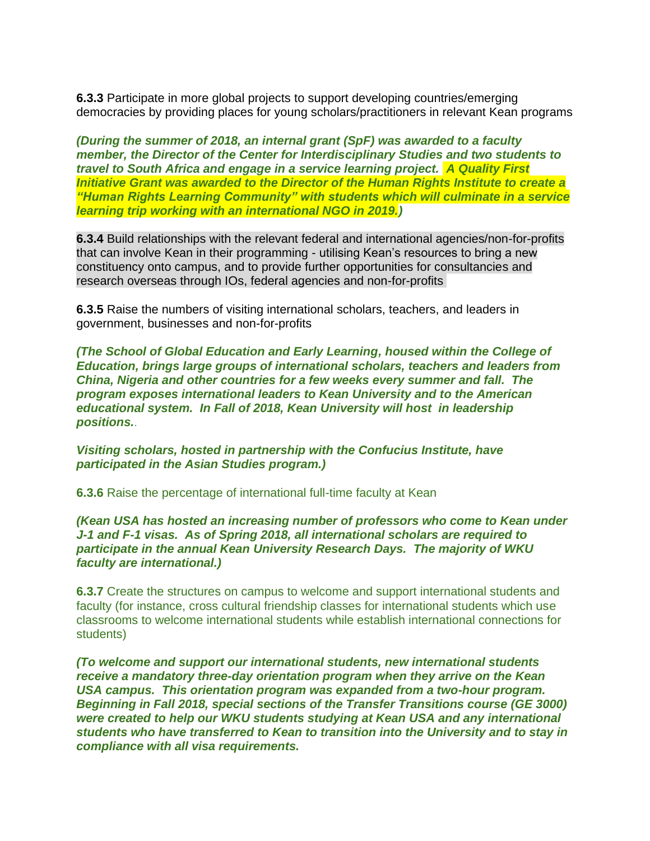**6.3.3** Participate in more global projects to support developing countries/emerging democracies by providing places for young scholars/practitioners in relevant Kean programs

*(During the summer of 2018, an internal grant (SpF) was awarded to a faculty member, the Director of the Center for Interdisciplinary Studies and two students to travel to South Africa and engage in a service learning project. A Quality First Initiative Grant was awarded to the Director of the Human Rights Institute to create a "Human Rights Learning Community" with students which will culminate in a service learning trip working with an international NGO in 2019.)*

**6.3.4** Build relationships with the relevant federal and international agencies/non-for-profits that can involve Kean in their programming - utilising Kean's resources to bring a new constituency onto campus, and to provide further opportunities for consultancies and research overseas through IOs, federal agencies and non-for-profits

**6.3.5** Raise the numbers of visiting international scholars, teachers, and leaders in government, businesses and non-for-profits

*(The School of Global Education and Early Learning, housed within the College of Education, brings large groups of international scholars, teachers and leaders from China, Nigeria and other countries for a few weeks every summer and fall. The program exposes international leaders to Kean University and to the American educational system. In Fall of 2018, Kean University will host in leadership positions.*.

*Visiting scholars, hosted in partnership with the Confucius Institute, have participated in the Asian Studies program.)*

**6.3.6** Raise the percentage of international full-time faculty at Kean

*(Kean USA has hosted an increasing number of professors who come to Kean under J-1 and F-1 visas. As of Spring 2018, all international scholars are required to participate in the annual Kean University Research Days. The majority of WKU faculty are international.)*

**6.3.7** Create the structures on campus to welcome and support international students and faculty (for instance, cross cultural friendship classes for international students which use classrooms to welcome international students while establish international connections for students)

*(To welcome and support our international students, new international students receive a mandatory three-day orientation program when they arrive on the Kean USA campus. This orientation program was expanded from a two-hour program. Beginning in Fall 2018, special sections of the Transfer Transitions course (GE 3000) were created to help our WKU students studying at Kean USA and any international students who have transferred to Kean to transition into the University and to stay in compliance with all visa requirements.*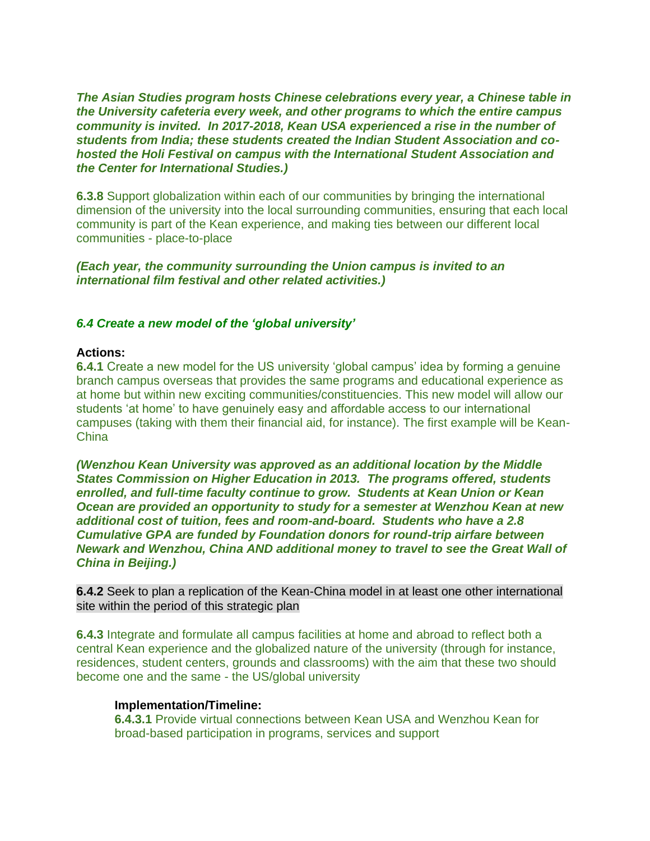*The Asian Studies program hosts Chinese celebrations every year, a Chinese table in the University cafeteria every week, and other programs to which the entire campus community is invited. In 2017-2018, Kean USA experienced a rise in the number of students from India; these students created the Indian Student Association and cohosted the Holi Festival on campus with the International Student Association and the Center for International Studies.)*

**6.3.8** Support globalization within each of our communities by bringing the international dimension of the university into the local surrounding communities, ensuring that each local community is part of the Kean experience, and making ties between our different local communities - place-to-place

*(Each year, the community surrounding the Union campus is invited to an international film festival and other related activities.)*

## *6.4 Create a new model of the 'global university'*

#### **Actions:**

**6.4.1** Create a new model for the US university 'global campus' idea by forming a genuine branch campus overseas that provides the same programs and educational experience as at home but within new exciting communities/constituencies. This new model will allow our students 'at home' to have genuinely easy and affordable access to our international campuses (taking with them their financial aid, for instance). The first example will be Kean-**China** 

*(Wenzhou Kean University was approved as an additional location by the Middle States Commission on Higher Education in 2013. The programs offered, students enrolled, and full-time faculty continue to grow. Students at Kean Union or Kean Ocean are provided an opportunity to study for a semester at Wenzhou Kean at new additional cost of tuition, fees and room-and-board. Students who have a 2.8 Cumulative GPA are funded by Foundation donors for round-trip airfare between Newark and Wenzhou, China AND additional money to travel to see the Great Wall of China in Beijing.)*

**6.4.2** Seek to plan a replication of the Kean-China model in at least one other international site within the period of this strategic plan

**6.4.3** Integrate and formulate all campus facilities at home and abroad to reflect both a central Kean experience and the globalized nature of the university (through for instance, residences, student centers, grounds and classrooms) with the aim that these two should become one and the same - the US/global university

# **Implementation/Timeline:**

**6.4.3.1** Provide virtual connections between Kean USA and Wenzhou Kean for broad-based participation in programs, services and support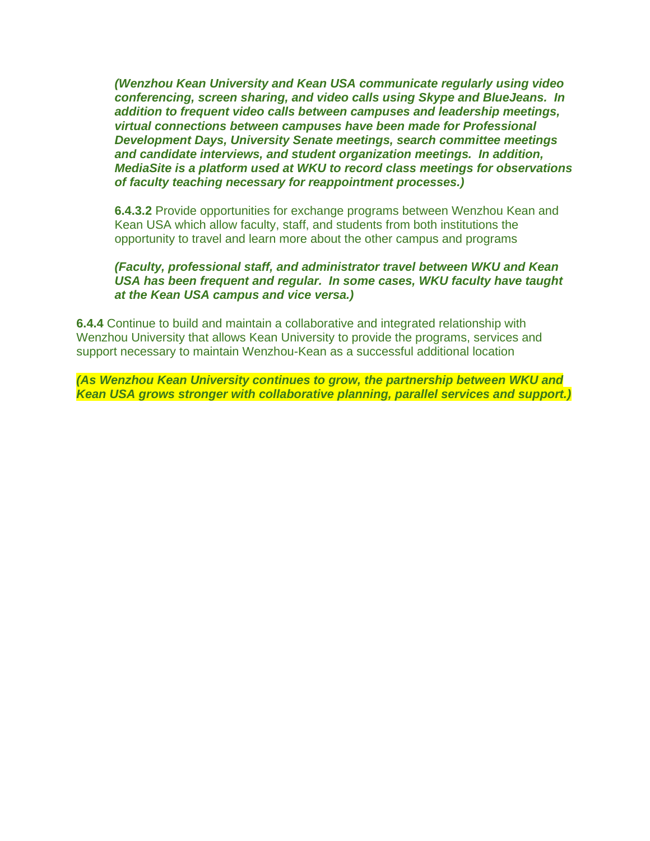*(Wenzhou Kean University and Kean USA communicate regularly using video conferencing, screen sharing, and video calls using Skype and BlueJeans. In addition to frequent video calls between campuses and leadership meetings, virtual connections between campuses have been made for Professional Development Days, University Senate meetings, search committee meetings and candidate interviews, and student organization meetings. In addition, MediaSite is a platform used at WKU to record class meetings for observations of faculty teaching necessary for reappointment processes.)*

**6.4.3.2** Provide opportunities for exchange programs between Wenzhou Kean and Kean USA which allow faculty, staff, and students from both institutions the opportunity to travel and learn more about the other campus and programs

# *(Faculty, professional staff, and administrator travel between WKU and Kean USA has been frequent and regular. In some cases, WKU faculty have taught at the Kean USA campus and vice versa.)*

**6.4.4** Continue to build and maintain a collaborative and integrated relationship with Wenzhou University that allows Kean University to provide the programs, services and support necessary to maintain Wenzhou-Kean as a successful additional location

*(As Wenzhou Kean University continues to grow, the partnership between WKU and Kean USA grows stronger with collaborative planning, parallel services and support.)*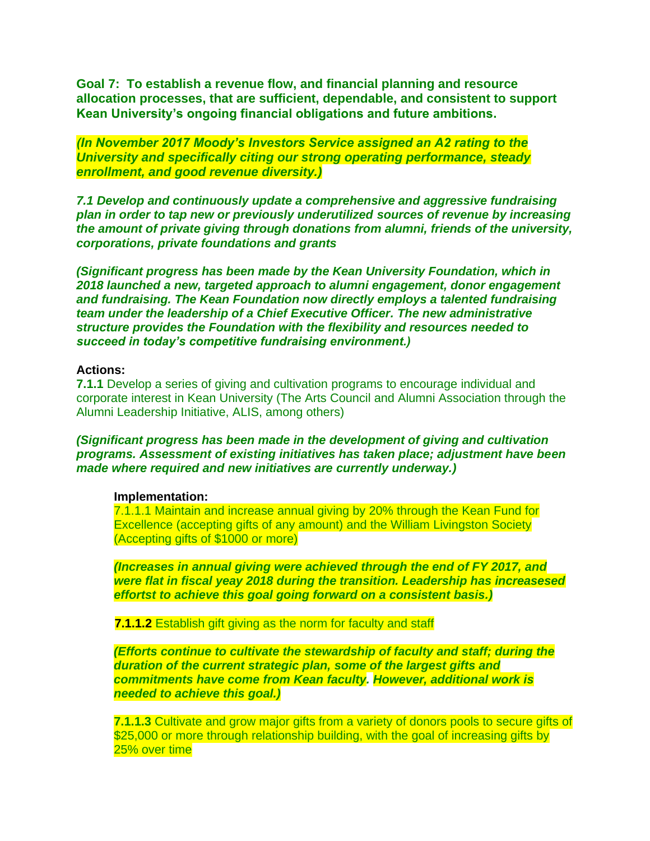**Goal 7: To establish a revenue flow, and financial planning and resource allocation processes, that are sufficient, dependable, and consistent to support Kean University's ongoing financial obligations and future ambitions.**

*(In November 2017 Moody's Investors Service assigned an A2 rating to the University and specifically citing our strong operating performance, steady enrollment, and good revenue diversity.)*

*7.1 Develop and continuously update a comprehensive and aggressive fundraising plan in order to tap new or previously underutilized sources of revenue by increasing the amount of private giving through donations from alumni, friends of the university, corporations, private foundations and grants*

*(Significant progress has been made by the Kean University Foundation, which in 2018 launched a new, targeted approach to alumni engagement, donor engagement and fundraising. The Kean Foundation now directly employs a talented fundraising team under the leadership of a Chief Executive Officer. The new administrative structure provides the Foundation with the flexibility and resources needed to succeed in today's competitive fundraising environment.)*

### **Actions:**

**7.1.1** Develop a series of giving and cultivation programs to encourage individual and corporate interest in Kean University (The Arts Council and Alumni Association through the Alumni Leadership Initiative, ALIS, among others)

*(Significant progress has been made in the development of giving and cultivation programs. Assessment of existing initiatives has taken place; adjustment have been made where required and new initiatives are currently underway.)*

#### **Implementation:**

7.1.1.1 Maintain and increase annual giving by 20% through the Kean Fund for Excellence (accepting gifts of any amount) and the William Livingston Society (Accepting gifts of \$1000 or more)

*(Increases in annual giving were achieved through the end of FY 2017, and were flat in fiscal yeay 2018 during the transition. Leadership has increasesed effortst to achieve this goal going forward on a consistent basis.)*

**7.1.1.2** Establish gift giving as the norm for faculty and staff

*(Efforts continue to cultivate the stewardship of faculty and staff; during the duration of the current strategic plan, some of the largest gifts and commitments have come from Kean faculty. However, additional work is needed to achieve this goal.)*

**7.1.1.3** Cultivate and grow major gifts from a variety of donors pools to secure gifts of \$25,000 or more through relationship building, with the goal of increasing gifts by 25% over time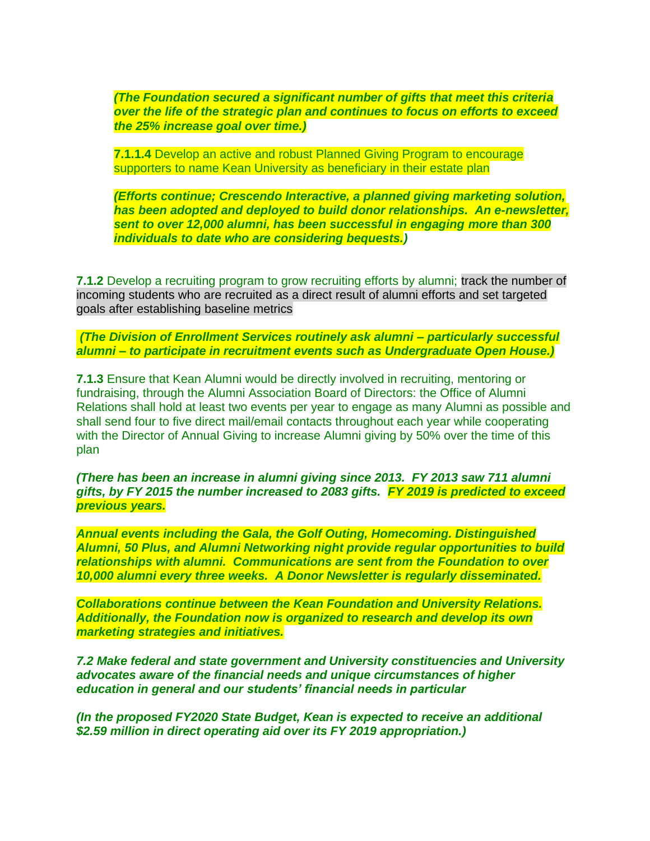*(The Foundation secured a significant number of gifts that meet this criteria over the life of the strategic plan and continues to focus on efforts to exceed the 25% increase goal over time.)*

**7.1.1.4** Develop an active and robust Planned Giving Program to encourage supporters to name Kean University as beneficiary in their estate plan

*(Efforts continue; Crescendo Interactive, a planned giving marketing solution, has been adopted and deployed to build donor relationships. An e-newsletter, sent to over 12,000 alumni, has been successful in engaging more than 300 individuals to date who are considering bequests.)*

**7.1.2** Develop a recruiting program to grow recruiting efforts by alumni; track the number of incoming students who are recruited as a direct result of alumni efforts and set targeted goals after establishing baseline metrics

*(The Division of Enrollment Services routinely ask alumni – particularly successful alumni – to participate in recruitment events such as Undergraduate Open House.)*

**7.1.3** Ensure that Kean Alumni would be directly involved in recruiting, mentoring or fundraising, through the Alumni Association Board of Directors: the Office of Alumni Relations shall hold at least two events per year to engage as many Alumni as possible and shall send four to five direct mail/email contacts throughout each year while cooperating with the Director of Annual Giving to increase Alumni giving by 50% over the time of this plan

*(There has been an increase in alumni giving since 2013. FY 2013 saw 711 alumni gifts, by FY 2015 the number increased to 2083 gifts. FY 2019 is predicted to exceed previous years.* 

*Annual events including the Gala, the Golf Outing, Homecoming. Distinguished Alumni, 50 Plus, and Alumni Networking night provide regular opportunities to build relationships with alumni. Communications are sent from the Foundation to over 10,000 alumni every three weeks. A Donor Newsletter is regularly disseminated.*

*Collaborations continue between the Kean Foundation and University Relations. Additionally, the Foundation now is organized to research and develop its own marketing strategies and initiatives.* 

*7.2 Make federal and state government and University constituencies and University advocates aware of the financial needs and unique circumstances of higher education in general and our students' financial needs in particular*

*(In the proposed FY2020 State Budget, Kean is expected to receive an additional \$2.59 million in direct operating aid over its FY 2019 appropriation.)*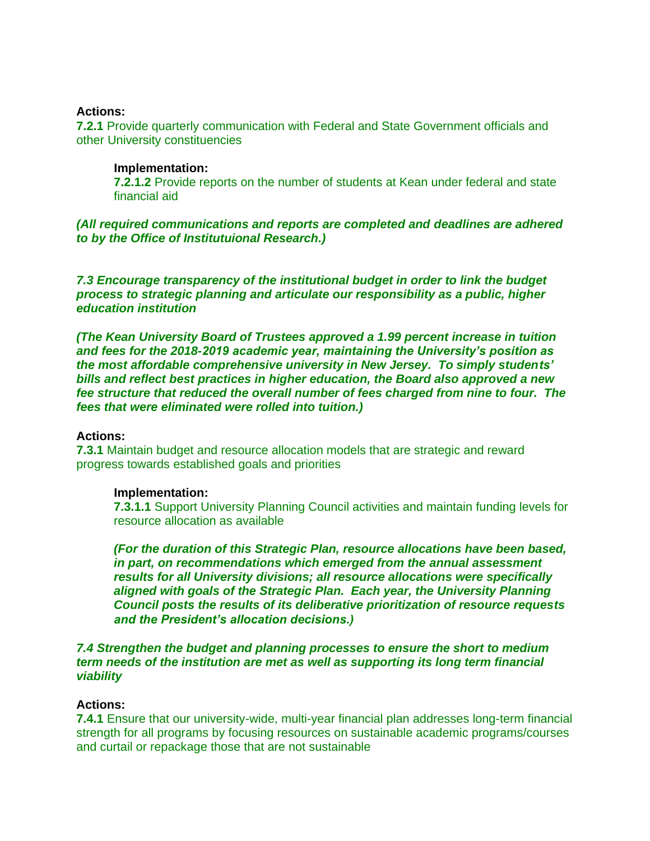### **Actions:**

**7.2.1** Provide quarterly communication with Federal and State Government officials and other University constituencies

### **Implementation:**

**7.2.1.2** Provide reports on the number of students at Kean under federal and state financial aid

*(All required communications and reports are completed and deadlines are adhered to by the Office of Institutuional Research.)*

*7.3 Encourage transparency of the institutional budget in order to link the budget process to strategic planning and articulate our responsibility as a public, higher education institution*

*(The Kean University Board of Trustees approved a 1.99 percent increase in tuition and fees for the 2018-2019 academic year, maintaining the University's position as the most affordable comprehensive university in New Jersey. To simply students' bills and reflect best practices in higher education, the Board also approved a new fee structure that reduced the overall number of fees charged from nine to four. The fees that were eliminated were rolled into tuition.)*

### **Actions:**

**7.3.1** Maintain budget and resource allocation models that are strategic and reward progress towards established goals and priorities

## **Implementation:**

**7.3.1.1** Support University Planning Council activities and maintain funding levels for resource allocation as available

*(For the duration of this Strategic Plan, resource allocations have been based, in part, on recommendations which emerged from the annual assessment results for all University divisions; all resource allocations were specifically aligned with goals of the Strategic Plan. Each year, the University Planning Council posts the results of its deliberative prioritization of resource requests and the President's allocation decisions.)*

### *7.4 Strengthen the budget and planning processes to ensure the short to medium term needs of the institution are met as well as supporting its long term financial viability*

## **Actions:**

**7.4.1** Ensure that our university-wide, multi-year financial plan addresses long-term financial strength for all programs by focusing resources on sustainable academic programs/courses and curtail or repackage those that are not sustainable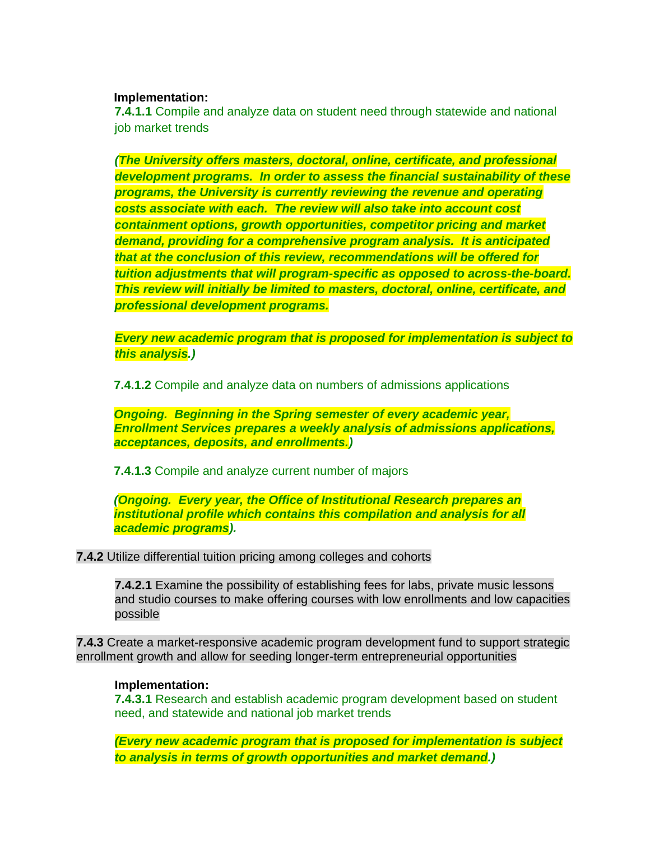### **Implementation:**

**7.4.1.1** Compile and analyze data on student need through statewide and national job market trends

*(The University offers masters, doctoral, online, certificate, and professional development programs. In order to assess the financial sustainability of these programs, the University is currently reviewing the revenue and operating costs associate with each. The review will also take into account cost containment options, growth opportunities, competitor pricing and market demand, providing for a comprehensive program analysis. It is anticipated that at the conclusion of this review, recommendations will be offered for tuition adjustments that will program-specific as opposed to across-the-board. This review will initially be limited to masters, doctoral, online, certificate, and professional development programs.*

*Every new academic program that is proposed for implementation is subject to this analysis.)*

**7.4.1.2** Compile and analyze data on numbers of admissions applications

*Ongoing. Beginning in the Spring semester of every academic year, Enrollment Services prepares a weekly analysis of admissions applications, acceptances, deposits, and enrollments.)*

**7.4.1.3** Compile and analyze current number of majors

*(Ongoing. Every year, the Office of Institutional Research prepares an institutional profile which contains this compilation and analysis for all academic programs).*

## **7.4.2** Utilize differential tuition pricing among colleges and cohorts

**7.4.2.1** Examine the possibility of establishing fees for labs, private music lessons and studio courses to make offering courses with low enrollments and low capacities possible

**7.4.3** Create a market-responsive academic program development fund to support strategic enrollment growth and allow for seeding longer-term entrepreneurial opportunities

## **Implementation:**

**7.4.3.1** Research and establish academic program development based on student need, and statewide and national job market trends

*(Every new academic program that is proposed for implementation is subject to analysis in terms of growth opportunities and market demand.)*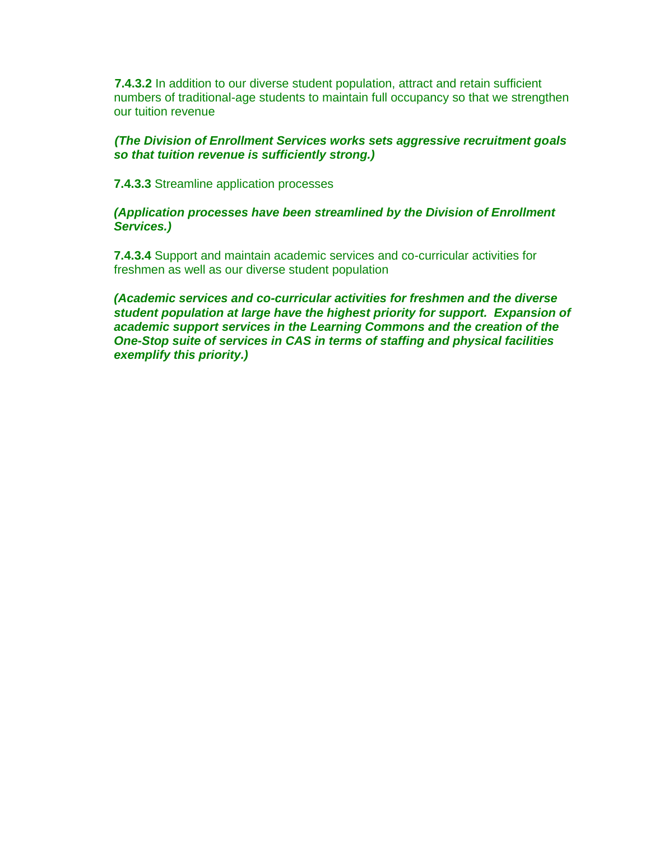**7.4.3.2** In addition to our diverse student population, attract and retain sufficient numbers of traditional-age students to maintain full occupancy so that we strengthen our tuition revenue

# *(The Division of Enrollment Services works sets aggressive recruitment goals so that tuition revenue is sufficiently strong.)*

**7.4.3.3** Streamline application processes

# *(Application processes have been streamlined by the Division of Enrollment Services.)*

**7.4.3.4** Support and maintain academic services and co-curricular activities for freshmen as well as our diverse student population

*(Academic services and co-curricular activities for freshmen and the diverse student population at large have the highest priority for support. Expansion of academic support services in the Learning Commons and the creation of the One-Stop suite of services in CAS in terms of staffing and physical facilities exemplify this priority.)*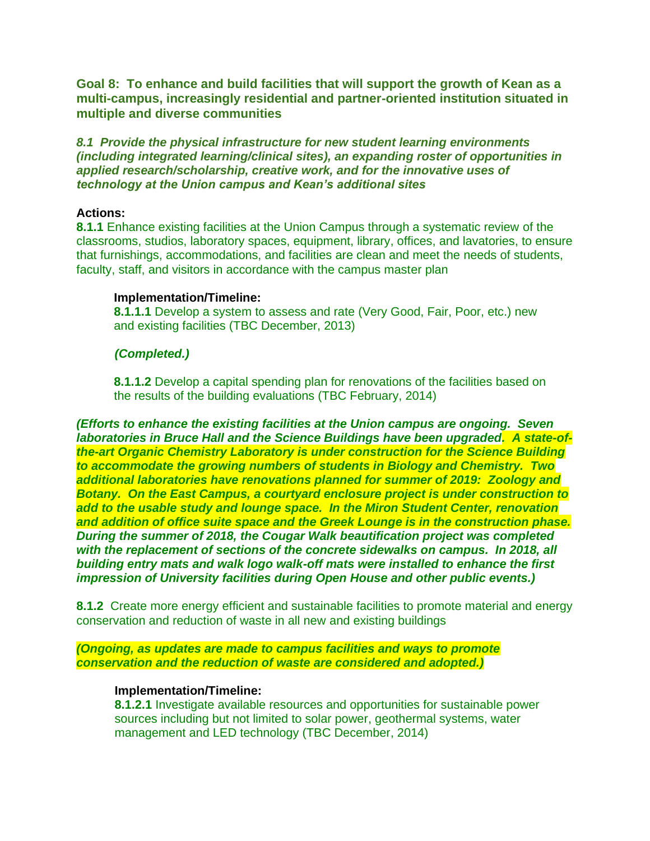**Goal 8: To enhance and build facilities that will support the growth of Kean as a multi-campus, increasingly residential and partner-oriented institution situated in multiple and diverse communities**

*8.1 Provide the physical infrastructure for new student learning environments (including integrated learning/clinical sites), an expanding roster of opportunities in applied research/scholarship, creative work, and for the innovative uses of technology at the Union campus and Kean's additional sites*

### **Actions:**

**8.1.1** Enhance existing facilities at the Union Campus through a systematic review of the classrooms, studios, laboratory spaces, equipment, library, offices, and lavatories, to ensure that furnishings, accommodations, and facilities are clean and meet the needs of students, faculty, staff, and visitors in accordance with the campus master plan

### **Implementation/Timeline:**

**8.1.1.1** Develop a system to assess and rate (Very Good, Fair, Poor, etc.) new and existing facilities (TBC December, 2013)

## *(Completed.)*

**8.1.1.2** Develop a capital spending plan for renovations of the facilities based on the results of the building evaluations (TBC February, 2014)

*(Efforts to enhance the existing facilities at the Union campus are ongoing. Seven laboratories in Bruce Hall and the Science Buildings have been upgraded. A state-ofthe-art Organic Chemistry Laboratory is under construction for the Science Building to accommodate the growing numbers of students in Biology and Chemistry. Two additional laboratories have renovations planned for summer of 2019: Zoology and Botany. On the East Campus, a courtyard enclosure project is under construction to add to the usable study and lounge space. In the Miron Student Center, renovation and addition of office suite space and the Greek Lounge is in the construction phase. During the summer of 2018, the Cougar Walk beautification project was completed with the replacement of sections of the concrete sidewalks on campus. In 2018, all building entry mats and walk logo walk-off mats were installed to enhance the first impression of University facilities during Open House and other public events.)*

**8.1.2** Create more energy efficient and sustainable facilities to promote material and energy conservation and reduction of waste in all new and existing buildings

*(Ongoing, as updates are made to campus facilities and ways to promote conservation and the reduction of waste are considered and adopted.)*

## **Implementation/Timeline:**

**8.1.2.1** Investigate available resources and opportunities for sustainable power sources including but not limited to solar power, geothermal systems, water management and LED technology (TBC December, 2014)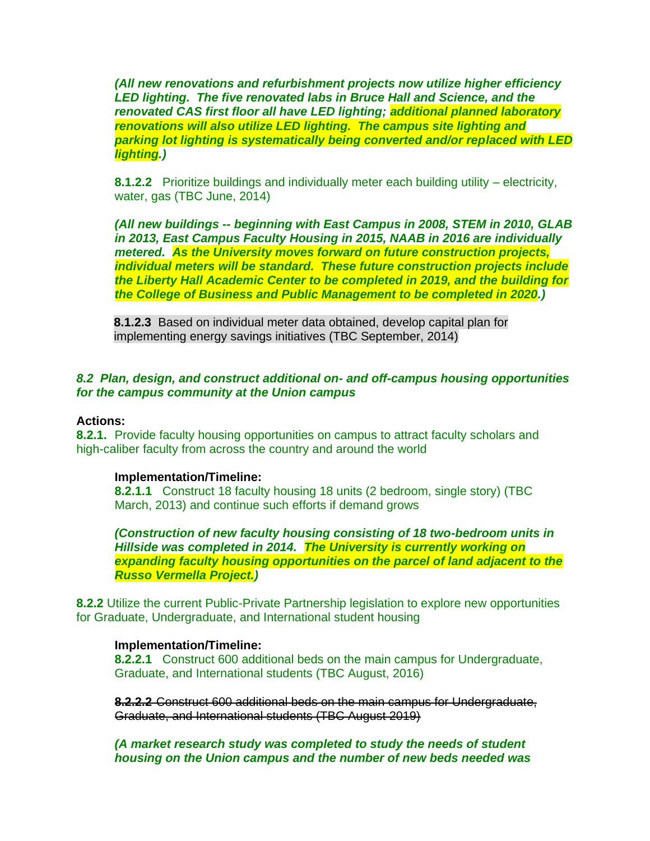*(All new renovations and refurbishment projects now utilize higher efficiency LED lighting. The five renovated labs in Bruce Hall and Science, and the renovated CAS first floor all have LED lighting; additional planned laboratory renovations will also utilize LED lighting. The campus site lighting and parking lot lighting is systematically being converted and/or replaced with LED lighting.)* 

**8.1.2.2** Prioritize buildings and individually meter each building utility – electricity, water, gas (TBC June, 2014)

*(All new buildings -- beginning with East Campus in 2008, STEM in 2010, GLAB in 2013, East Campus Faculty Housing in 2015, NAAB in 2016 are individually metered. As the University moves forward on future construction projects, individual meters will be standard. These future construction projects include the Liberty Hall Academic Center to be completed in 2019, and the building for the College of Business and Public Management to be completed in 2020.)*

**8.1.2.3** Based on individual meter data obtained, develop capital plan for implementing energy savings initiatives (TBC September, 2014)

## *8.2 Plan, design, and construct additional on- and off-campus housing opportunities for the campus community at the Union campus*

### **Actions:**

**8.2.1.** Provide faculty housing opportunities on campus to attract faculty scholars and high-caliber faculty from across the country and around the world

### **Implementation/Timeline:**

**8.2.1.1** Construct 18 faculty housing 18 units (2 bedroom, single story) (TBC March, 2013) and continue such efforts if demand grows

*(Construction of new faculty housing consisting of 18 two-bedroom units in Hillside was completed in 2014. The University is currently working on expanding faculty housing opportunities on the parcel of land adjacent to the Russo Vermella Project.)*

**8.2.2** Utilize the current Public-Private Partnership legislation to explore new opportunities for Graduate, Undergraduate, and International student housing

## **Implementation/Timeline:**

**8.2.2.1** Construct 600 additional beds on the main campus for Undergraduate, Graduate, and International students (TBC August, 2016)

**8.2.2.2** Construct 600 additional beds on the main campus for Undergraduate, Graduate, and International students (TBC August 2019)

*(A market research study was completed to study the needs of student housing on the Union campus and the number of new beds needed was*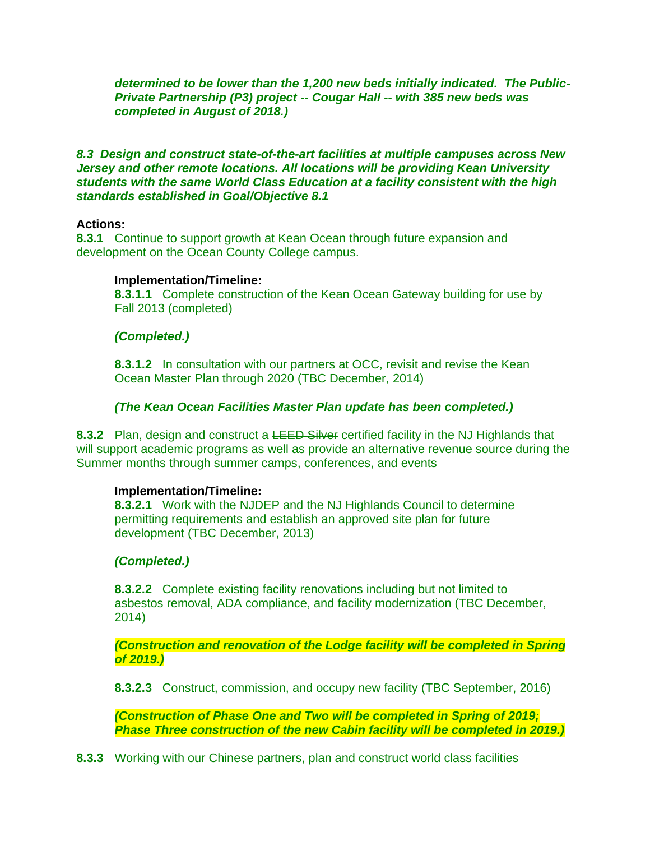*determined to be lower than the 1,200 new beds initially indicated. The Public-Private Partnership (P3) project -- Cougar Hall -- with 385 new beds was completed in August of 2018.)*

# *8.3 Design and construct state-of-the-art facilities at multiple campuses across New Jersey and other remote locations. All locations will be providing Kean University students with the same World Class Education at a facility consistent with the high standards established in Goal/Objective 8.1*

## **Actions:**

**8.3.1** Continue to support growth at Kean Ocean through future expansion and development on the Ocean County College campus.

## **Implementation/Timeline:**

**8.3.1.1** Complete construction of the Kean Ocean Gateway building for use by Fall 2013 (completed)

# *(Completed.)*

**8.3.1.2** In consultation with our partners at OCC, revisit and revise the Kean Ocean Master Plan through 2020 (TBC December, 2014)

# *(The Kean Ocean Facilities Master Plan update has been completed.)*

**8.3.2** Plan, design and construct a LEED Silver certified facility in the NJ Highlands that will support academic programs as well as provide an alternative revenue source during the Summer months through summer camps, conferences, and events

## **Implementation/Timeline:**

**8.3.2.1** Work with the NJDEP and the NJ Highlands Council to determine permitting requirements and establish an approved site plan for future development (TBC December, 2013)

# *(Completed.)*

**8.3.2.2** Complete existing facility renovations including but not limited to asbestos removal, ADA compliance, and facility modernization (TBC December, 2014)

*(Construction and renovation of the Lodge facility will be completed in Spring of 2019.)*

**8.3.2.3** Construct, commission, and occupy new facility (TBC September, 2016)

*(Construction of Phase One and Two will be completed in Spring of 2019; Phase Three construction of the new Cabin facility will be completed in 2019.)*

**8.3.3** Working with our Chinese partners, plan and construct world class facilities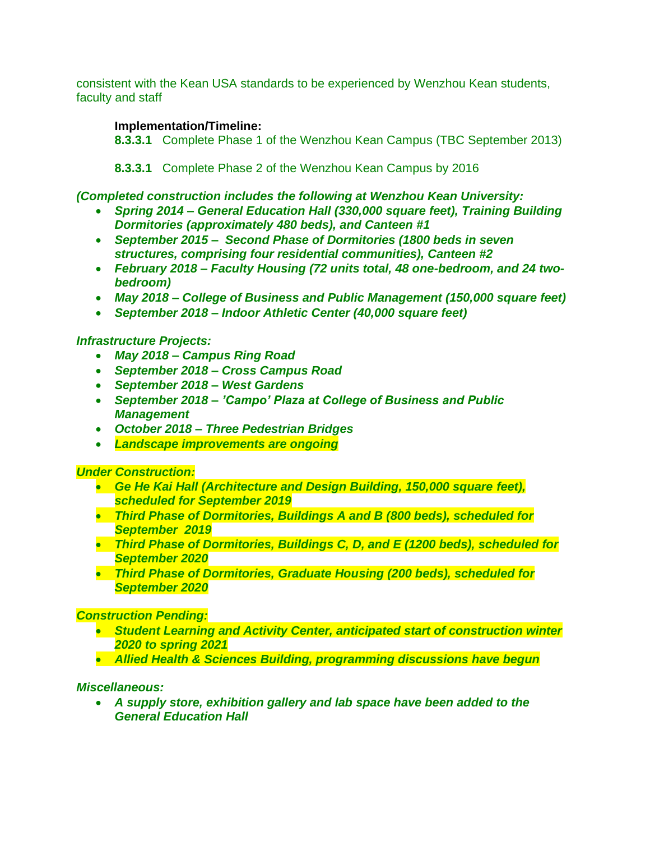consistent with the Kean USA standards to be experienced by Wenzhou Kean students, faculty and staff

# **Implementation/Timeline:**

**8.3.3.1** Complete Phase 1 of the Wenzhou Kean Campus (TBC September 2013)

**8.3.3.1** Complete Phase 2 of the Wenzhou Kean Campus by 2016

# *(Completed construction includes the following at Wenzhou Kean University:*

- *Spring 2014 – General Education Hall (330,000 square feet), Training Building Dormitories (approximately 480 beds), and Canteen #1*
- *September 2015 Second Phase of Dormitories (1800 beds in seven structures, comprising four residential communities), Canteen #2*
- *February 2018 – Faculty Housing (72 units total, 48 one-bedroom, and 24 twobedroom)*
- *May 2018 – College of Business and Public Management (150,000 square feet)*
- *September 2018 – Indoor Athletic Center (40,000 square feet)*

# *Infrastructure Projects:*

- *May 2018 – Campus Ring Road*
- *September 2018 – Cross Campus Road*
- *September 2018 – West Gardens*
- *September 2018 – 'Campo' Plaza at College of Business and Public Management*
- *October 2018 – Three Pedestrian Bridges*
- *Landscape improvements are ongoing*

## *Under Construction:*

- *Ge He Kai Hall (Architecture and Design Building, 150,000 square feet), scheduled for September 2019*
- *Third Phase of Dormitories, Buildings A and B (800 beds), scheduled for September 2019*
- *Third Phase of Dormitories, Buildings C, D, and E (1200 beds), scheduled for September 2020*
- *Third Phase of Dormitories, Graduate Housing (200 beds), scheduled for September 2020*

## *Construction Pending:*

- *Student Learning and Activity Center, anticipated start of construction winter 2020 to spring 2021*
- *Allied Health & Sciences Building, programming discussions have begun*

## *Miscellaneous:*

• *A supply store, exhibition gallery and lab space have been added to the General Education Hall*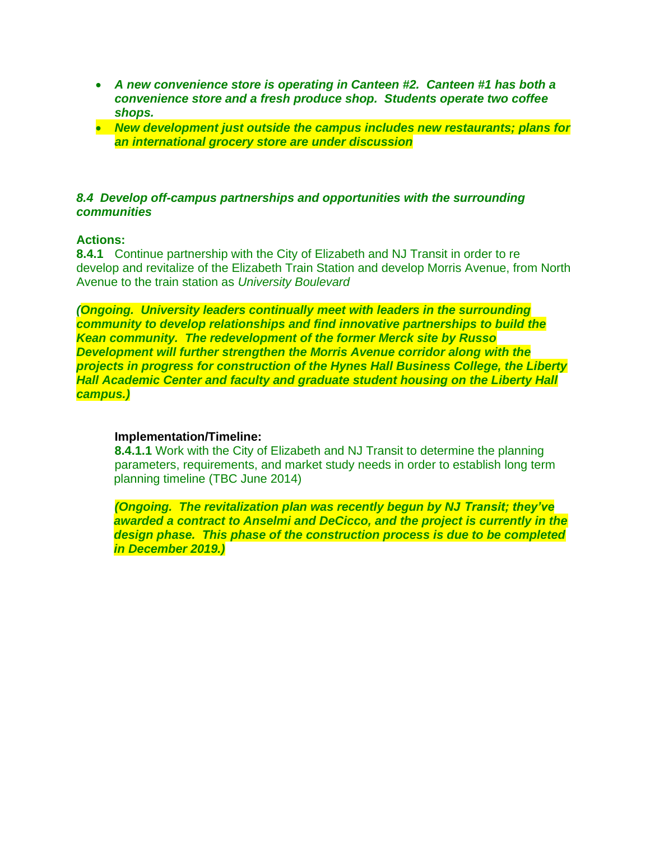- *A new convenience store is operating in Canteen #2. Canteen #1 has both a convenience store and a fresh produce shop. Students operate two coffee shops.*
- *New development just outside the campus includes new restaurants; plans for an international grocery store are under discussion*

### *8.4 Develop off-campus partnerships and opportunities with the surrounding communities*

## **Actions:**

**8.4.1** Continue partnership with the City of Elizabeth and NJ Transit in order to re develop and revitalize of the Elizabeth Train Station and develop Morris Avenue, from North Avenue to the train station as *University Boulevard*

*(Ongoing. University leaders continually meet with leaders in the surrounding community to develop relationships and find innovative partnerships to build the Kean community. The redevelopment of the former Merck site by Russo Development will further strengthen the Morris Avenue corridor along with the projects in progress for construction of the Hynes Hall Business College, the Liberty Hall Academic Center and faculty and graduate student housing on the Liberty Hall campus.)*

## **Implementation/Timeline:**

**8.4.1.1** Work with the City of Elizabeth and NJ Transit to determine the planning parameters, requirements, and market study needs in order to establish long term planning timeline (TBC June 2014)

*(Ongoing. The revitalization plan was recently begun by NJ Transit; they've awarded a contract to Anselmi and DeCicco, and the project is currently in the design phase. This phase of the construction process is due to be completed in December 2019.)*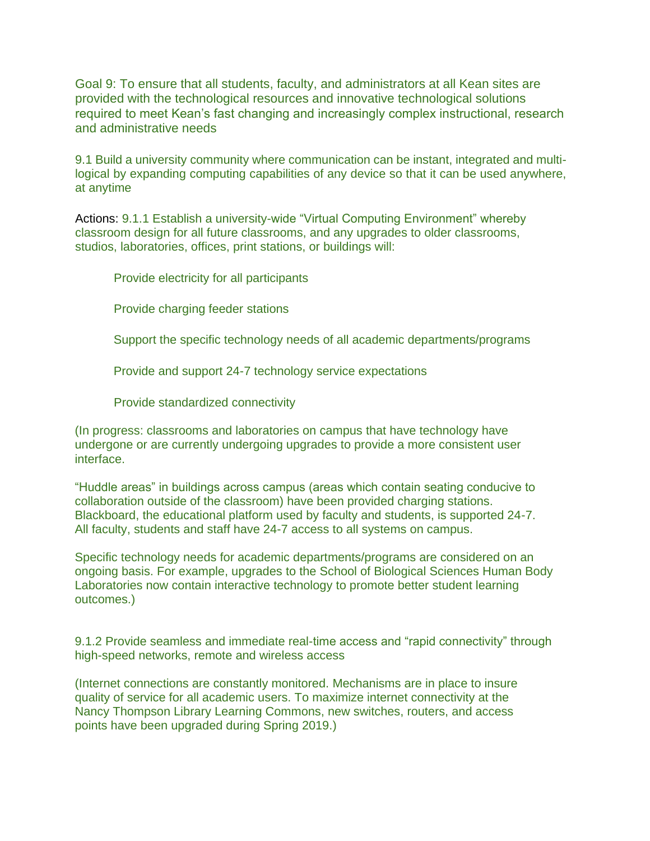Goal 9: To ensure that all students, faculty, and administrators at all Kean sites are provided with the technological resources and innovative technological solutions required to meet Kean's fast changing and increasingly complex instructional, research and administrative needs

9.1 Build a university community where communication can be instant, integrated and multilogical by expanding computing capabilities of any device so that it can be used anywhere, at anytime

Actions: 9.1.1 Establish a university-wide "Virtual Computing Environment" whereby classroom design for all future classrooms, and any upgrades to older classrooms, studios, laboratories, offices, print stations, or buildings will:

Provide electricity for all participants

Provide charging feeder stations

Support the specific technology needs of all academic departments/programs

Provide and support 24-7 technology service expectations

Provide standardized connectivity

(In progress: classrooms and laboratories on campus that have technology have undergone or are currently undergoing upgrades to provide a more consistent user interface.

"Huddle areas" in buildings across campus (areas which contain seating conducive to collaboration outside of the classroom) have been provided charging stations. Blackboard, the educational platform used by faculty and students, is supported 24-7. All faculty, students and staff have 24-7 access to all systems on campus.

Specific technology needs for academic departments/programs are considered on an ongoing basis. For example, upgrades to the School of Biological Sciences Human Body Laboratories now contain interactive technology to promote better student learning outcomes.)

9.1.2 Provide seamless and immediate real-time access and "rapid connectivity" through high-speed networks, remote and wireless access

(Internet connections are constantly monitored. Mechanisms are in place to insure quality of service for all academic users. To maximize internet connectivity at the Nancy Thompson Library Learning Commons, new switches, routers, and access points have been upgraded during Spring 2019.)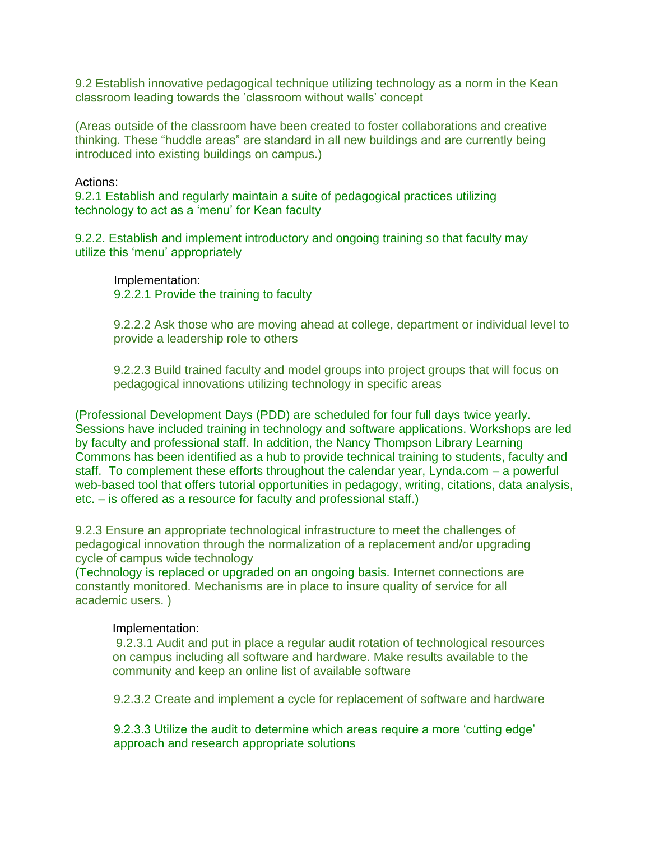9.2 Establish innovative pedagogical technique utilizing technology as a norm in the Kean classroom leading towards the 'classroom without walls' concept

(Areas outside of the classroom have been created to foster collaborations and creative thinking. These "huddle areas" are standard in all new buildings and are currently being introduced into existing buildings on campus.)

### Actions:

9.2.1 Establish and regularly maintain a suite of pedagogical practices utilizing technology to act as a 'menu' for Kean faculty

9.2.2. Establish and implement introductory and ongoing training so that faculty may utilize this 'menu' appropriately

Implementation: 9.2.2.1 Provide the training to faculty

9.2.2.2 Ask those who are moving ahead at college, department or individual level to provide a leadership role to others

9.2.2.3 Build trained faculty and model groups into project groups that will focus on pedagogical innovations utilizing technology in specific areas

(Professional Development Days (PDD) are scheduled for four full days twice yearly. Sessions have included training in technology and software applications. Workshops are led by faculty and professional staff. In addition, the Nancy Thompson Library Learning Commons has been identified as a hub to provide technical training to students, faculty and staff. To complement these efforts throughout the calendar year, Lynda.com – a powerful web-based tool that offers tutorial opportunities in pedagogy, writing, citations, data analysis, etc. – is offered as a resource for faculty and professional staff.)

9.2.3 Ensure an appropriate technological infrastructure to meet the challenges of pedagogical innovation through the normalization of a replacement and/or upgrading cycle of campus wide technology

(Technology is replaced or upgraded on an ongoing basis. Internet connections are constantly monitored. Mechanisms are in place to insure quality of service for all academic users. )

### Implementation:

9.2.3.1 Audit and put in place a regular audit rotation of technological resources on campus including all software and hardware. Make results available to the community and keep an online list of available software

9.2.3.2 Create and implement a cycle for replacement of software and hardware

9.2.3.3 Utilize the audit to determine which areas require a more 'cutting edge' approach and research appropriate solutions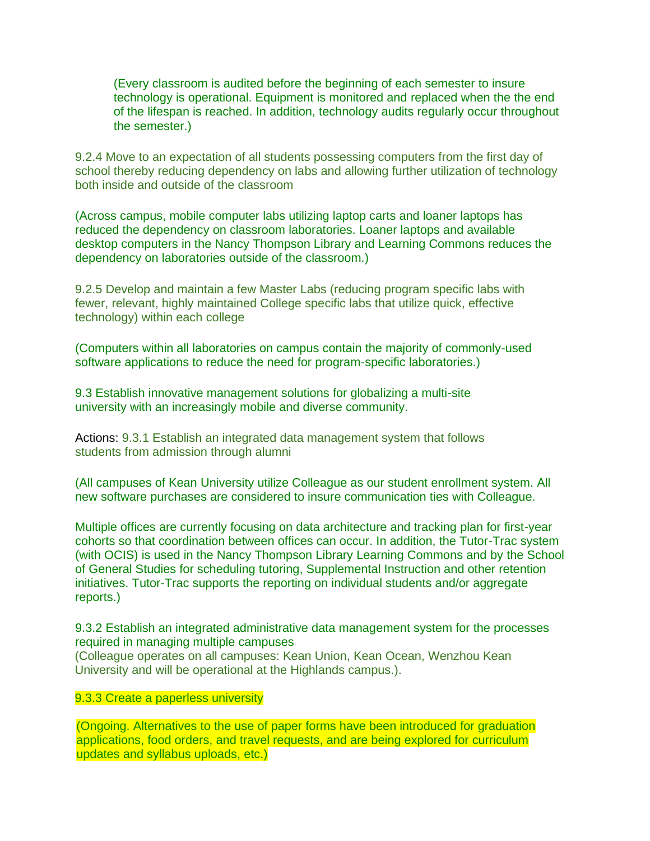(Every classroom is audited before the beginning of each semester to insure technology is operational. Equipment is monitored and replaced when the the end of the lifespan is reached. In addition, technology audits regularly occur throughout the semester.)

9.2.4 Move to an expectation of all students possessing computers from the first day of school thereby reducing dependency on labs and allowing further utilization of technology both inside and outside of the classroom

(Across campus, mobile computer labs utilizing laptop carts and loaner laptops has reduced the dependency on classroom laboratories. Loaner laptops and available desktop computers in the Nancy Thompson Library and Learning Commons reduces the dependency on laboratories outside of the classroom.)

9.2.5 Develop and maintain a few Master Labs (reducing program specific labs with fewer, relevant, highly maintained College specific labs that utilize quick, effective technology) within each college

(Computers within all laboratories on campus contain the majority of commonly-used software applications to reduce the need for program-specific laboratories.)

9.3 Establish innovative management solutions for globalizing a multi-site university with an increasingly mobile and diverse community.

Actions: 9.3.1 Establish an integrated data management system that follows students from admission through alumni

(All campuses of Kean University utilize Colleague as our student enrollment system. All new software purchases are considered to insure communication ties with Colleague.

Multiple offices are currently focusing on data architecture and tracking plan for first-year cohorts so that coordination between offices can occur. In addition, the Tutor-Trac system (with OCIS) is used in the Nancy Thompson Library Learning Commons and by the School of General Studies for scheduling tutoring, Supplemental Instruction and other retention initiatives. Tutor-Trac supports the reporting on individual students and/or aggregate reports.)

9.3.2 Establish an integrated administrative data management system for the processes required in managing multiple campuses (Colleague operates on all campuses: Kean Union, Kean Ocean, Wenzhou Kean University and will be operational at the Highlands campus.).

## 9.3.3 Create a paperless university

(Ongoing. Alternatives to the use of paper forms have been introduced for graduation applications, food orders, and travel requests, and are being explored for curriculum updates and syllabus uploads, etc.)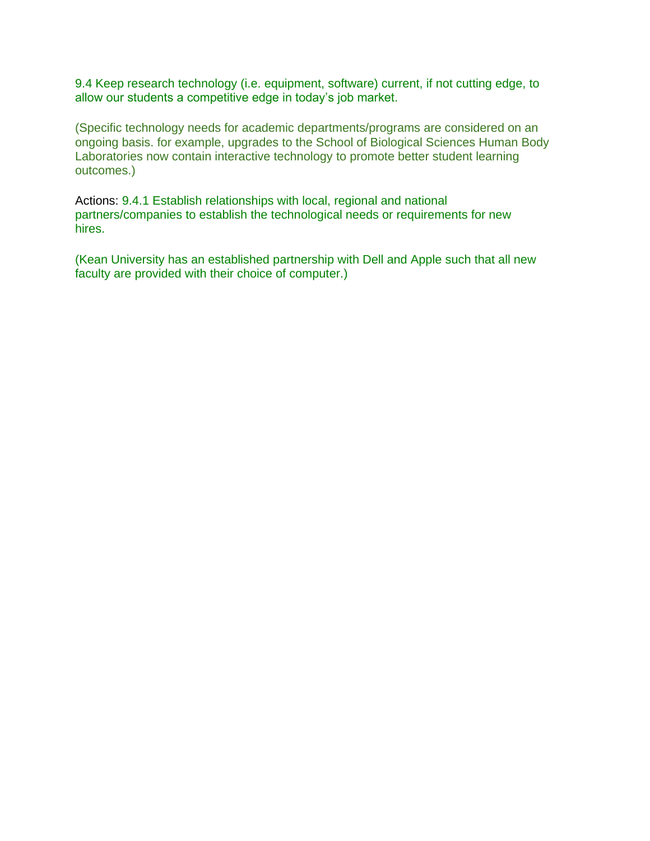9.4 Keep research technology (i.e. equipment, software) current, if not cutting edge, to allow our students a competitive edge in today's job market.

(Specific technology needs for academic departments/programs are considered on an ongoing basis. for example, upgrades to the School of Biological Sciences Human Body Laboratories now contain interactive technology to promote better student learning outcomes.)

Actions: 9.4.1 Establish relationships with local, regional and national partners/companies to establish the technological needs or requirements for new hires.

(Kean University has an established partnership with Dell and Apple such that all new faculty are provided with their choice of computer.)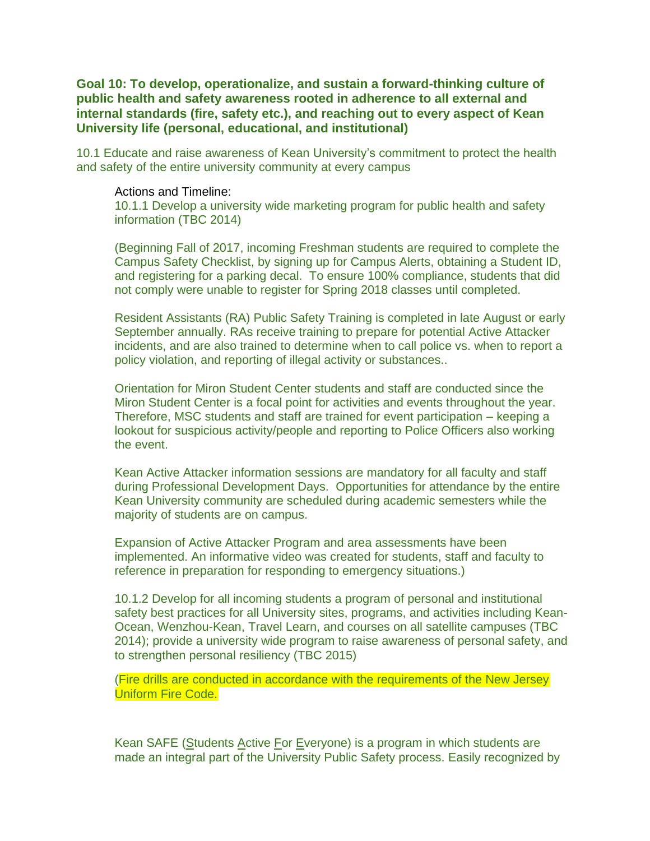# **Goal 10: To develop, operationalize, and sustain a forward-thinking culture of public health and safety awareness rooted in adherence to all external and internal standards (fire, safety etc.), and reaching out to every aspect of Kean University life (personal, educational, and institutional)**

10.1 Educate and raise awareness of Kean University's commitment to protect the health and safety of the entire university community at every campus

## Actions and Timeline:

10.1.1 Develop a university wide marketing program for public health and safety information (TBC 2014)

(Beginning Fall of 2017, incoming Freshman students are required to complete the Campus Safety Checklist, by signing up for Campus Alerts, obtaining a Student ID, and registering for a parking decal. To ensure 100% compliance, students that did not comply were unable to register for Spring 2018 classes until completed.

Resident Assistants (RA) Public Safety Training is completed in late August or early September annually. RAs receive training to prepare for potential Active Attacker incidents, and are also trained to determine when to call police vs. when to report a policy violation, and reporting of illegal activity or substances..

Orientation for Miron Student Center students and staff are conducted since the Miron Student Center is a focal point for activities and events throughout the year. Therefore, MSC students and staff are trained for event participation – keeping a lookout for suspicious activity/people and reporting to Police Officers also working the event.

Kean Active Attacker information sessions are mandatory for all faculty and staff during Professional Development Days. Opportunities for attendance by the entire Kean University community are scheduled during academic semesters while the majority of students are on campus.

Expansion of Active Attacker Program and area assessments have been implemented. An informative video was created for students, staff and faculty to reference in preparation for responding to emergency situations.)

10.1.2 Develop for all incoming students a program of personal and institutional safety best practices for all University sites, programs, and activities including Kean-Ocean, Wenzhou-Kean, Travel Learn, and courses on all satellite campuses (TBC 2014); provide a university wide program to raise awareness of personal safety, and to strengthen personal resiliency (TBC 2015)

(Fire drills are conducted in accordance with the requirements of the New Jersey Uniform Fire Code.

Kean SAFE (Students Active For Everyone) is a program in which students are made an integral part of the University Public Safety process. Easily recognized by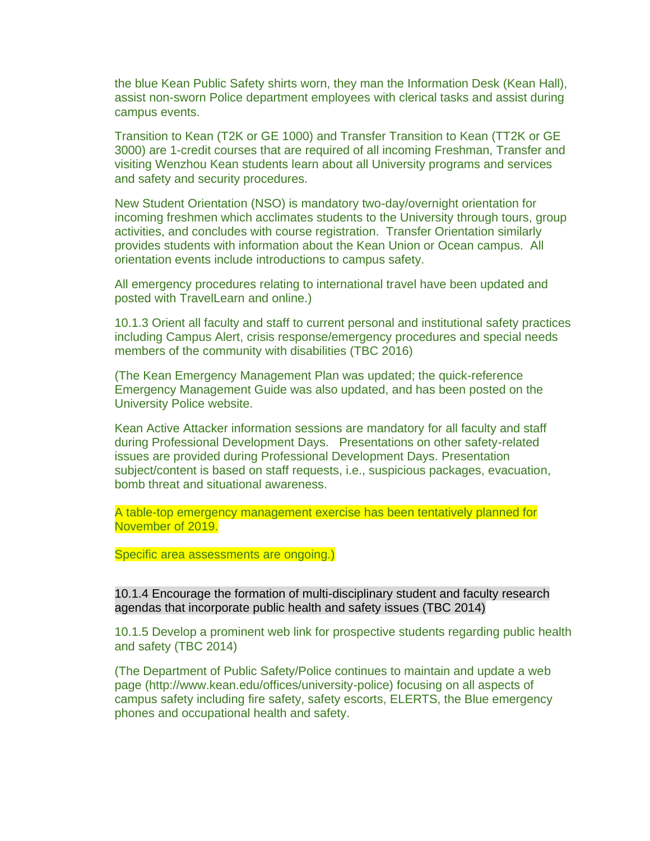the blue Kean Public Safety shirts worn, they man the Information Desk (Kean Hall), assist non-sworn Police department employees with clerical tasks and assist during campus events.

Transition to Kean (T2K or GE 1000) and Transfer Transition to Kean (TT2K or GE 3000) are 1-credit courses that are required of all incoming Freshman, Transfer and visiting Wenzhou Kean students learn about all University programs and services and safety and security procedures.

New Student Orientation (NSO) is mandatory two-day/overnight orientation for incoming freshmen which acclimates students to the University through tours, group activities, and concludes with course registration. Transfer Orientation similarly provides students with information about the Kean Union or Ocean campus. All orientation events include introductions to campus safety.

All emergency procedures relating to international travel have been updated and posted with TravelLearn and online.)

10.1.3 Orient all faculty and staff to current personal and institutional safety practices including Campus Alert, crisis response/emergency procedures and special needs members of the community with disabilities (TBC 2016)

(The Kean Emergency Management Plan was updated; the quick-reference Emergency Management Guide was also updated, and has been posted on the University Police website.

Kean Active Attacker information sessions are mandatory for all faculty and staff during Professional Development Days. Presentations on other safety-related issues are provided during Professional Development Days. Presentation subject/content is based on staff requests, i.e., suspicious packages, evacuation, bomb threat and situational awareness.

A table-top emergency management exercise has been tentatively planned for November of 2019.

Specific area assessments are ongoing.)

10.1.4 Encourage the formation of multi-disciplinary student and faculty research agendas that incorporate public health and safety issues (TBC 2014)

10.1.5 Develop a prominent web link for prospective students regarding public health and safety (TBC 2014)

(The Department of Public Safety/Police continues to maintain and update a web page (http://www.kean.edu/offices/university-police) focusing on all aspects of campus safety including fire safety, safety escorts, ELERTS, the Blue emergency phones and occupational health and safety.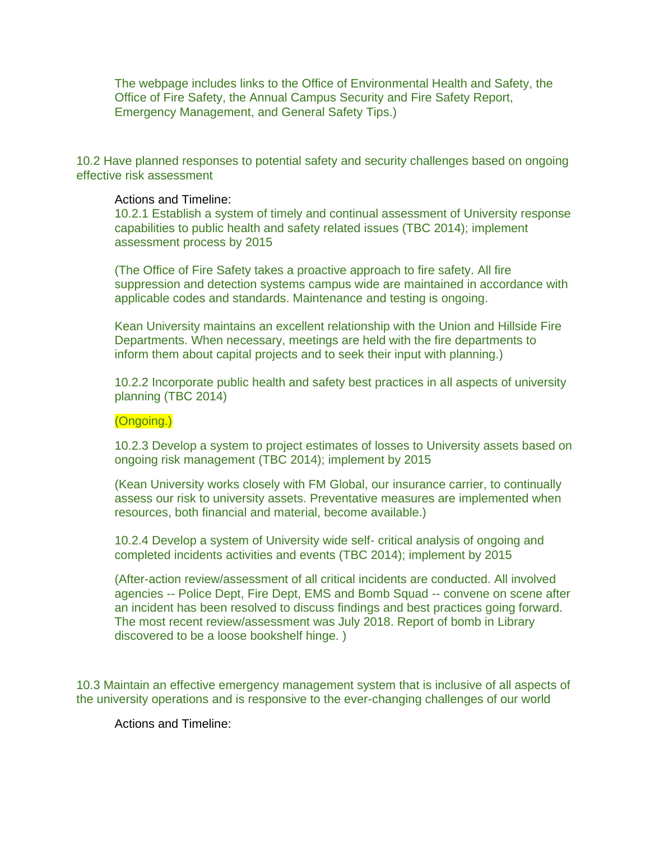The webpage includes links to the Office of Environmental Health and Safety, the Office of Fire Safety, the Annual Campus Security and Fire Safety Report, Emergency Management, and General Safety Tips.)

10.2 Have planned responses to potential safety and security challenges based on ongoing effective risk assessment

### Actions and Timeline:

10.2.1 Establish a system of timely and continual assessment of University response capabilities to public health and safety related issues (TBC 2014); implement assessment process by 2015

(The Office of Fire Safety takes a proactive approach to fire safety. All fire suppression and detection systems campus wide are maintained in accordance with applicable codes and standards. Maintenance and testing is ongoing.

Kean University maintains an excellent relationship with the Union and Hillside Fire Departments. When necessary, meetings are held with the fire departments to inform them about capital projects and to seek their input with planning.)

10.2.2 Incorporate public health and safety best practices in all aspects of university planning (TBC 2014)

### (Ongoing.)

10.2.3 Develop a system to project estimates of losses to University assets based on ongoing risk management (TBC 2014); implement by 2015

(Kean University works closely with FM Global, our insurance carrier, to continually assess our risk to university assets. Preventative measures are implemented when resources, both financial and material, become available.)

10.2.4 Develop a system of University wide self- critical analysis of ongoing and completed incidents activities and events (TBC 2014); implement by 2015

(After-action review/assessment of all critical incidents are conducted. All involved agencies -- Police Dept, Fire Dept, EMS and Bomb Squad -- convene on scene after an incident has been resolved to discuss findings and best practices going forward. The most recent review/assessment was July 2018. Report of bomb in Library discovered to be a loose bookshelf hinge. )

10.3 Maintain an effective emergency management system that is inclusive of all aspects of the university operations and is responsive to the ever-changing challenges of our world

Actions and Timeline: